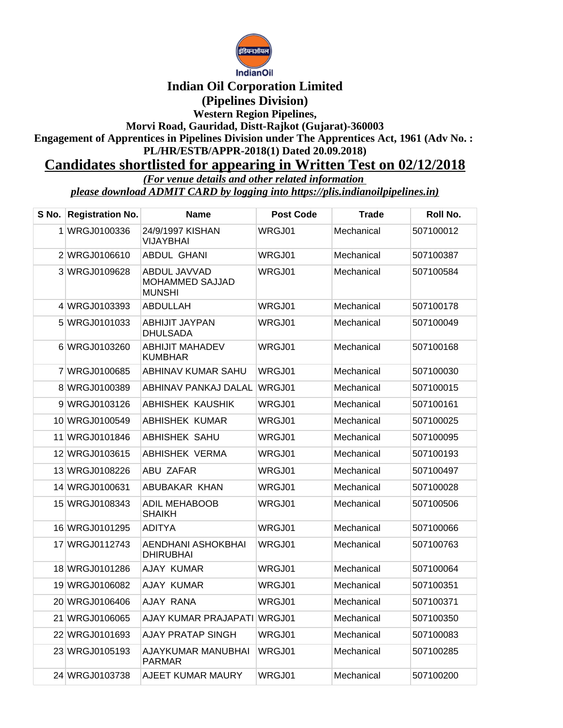

## **Indian Oil Corporation Limited**

**(Pipelines Division)**

**Western Region Pipelines, Morvi Road, Gauridad, Distt-Rajkot (Gujarat)-360003**

**Engagement of Apprentices in Pipelines Division under The Apprentices Act, 1961 (Adv No. : PL/HR/ESTB/APPR-2018(1) Dated 20.09.2018)**

## **Candidates shortlisted for appearing in Written Test on 02/12/2018**

*(For venue details and other related information* 

*please download ADMIT CARD by logging into https://plis.indianoilpipelines.in)*

| S No. Registration No. | Name                                             | <b>Post Code</b> | Trade      | Roll No.  |
|------------------------|--------------------------------------------------|------------------|------------|-----------|
| 1 WRGJ0100336          | 24/9/1997 KISHAN<br>VIJAYBHAI                    | WRGJ01           | Mechanical | 507100012 |
| 2 WRGJ0106610          | <b>ABDUL GHANI</b>                               | WRGJ01           | Mechanical | 507100387 |
| 3 WRGJ0109628          | ABDUL JAVVAD<br>MOHAMMED SAJJAD<br><b>MUNSHI</b> | WRGJ01           | Mechanical | 507100584 |
| 4 WRGJ0103393          | ABDULLAH                                         | WRGJ01           | Mechanical | 507100178 |
| 5 WRGJ0101033          | ABHIJIT JAYPAN<br><b>DHULSADA</b>                | WRGJ01           | Mechanical | 507100049 |
| 6 WRGJ0103260          | <b>ABHIJIT MAHADEV</b><br><b>KUMBHAR</b>         | WRGJ01           | Mechanical | 507100168 |
| 7 WRGJ0100685          | ABHINAV KUMAR SAHU                               | WRGJ01           | Mechanical | 507100030 |
| 8 WRGJ0100389          | ABHINAV PANKAJ DALAL                             | WRGJ01           | Mechanical | 507100015 |
| 9 WRGJ0103126          | ABHISHEK KAUSHIK                                 | WRGJ01           | Mechanical | 507100161 |
| 10 WRGJ0100549         | <b>ABHISHEK KUMAR</b>                            | WRGJ01           | Mechanical | 507100025 |
| 11 WRGJ0101846         | ABHISHEK SAHU                                    | WRGJ01           | Mechanical | 507100095 |
| 12 WRGJ0103615         | <b>ABHISHEK VERMA</b>                            | WRGJ01           | Mechanical | 507100193 |
| 13 WRGJ0108226         | ABU ZAFAR                                        | WRGJ01           | Mechanical | 507100497 |
| 14 WRGJ0100631         | ABUBAKAR KHAN                                    | WRGJ01           | Mechanical | 507100028 |
| 15 WRGJ0108343         | <b>ADIL MEHABOOB</b><br>SHAIKH                   | WRGJ01           | Mechanical | 507100506 |
| 16 WRGJ0101295         | ADITYA                                           | WRGJ01           | Mechanical | 507100066 |
| 17 WRGJ0112743         | AENDHANI ASHOKBHAI<br><b>DHIRUBHAI</b>           | WRGJ01           | Mechanical | 507100763 |
| 18 WRGJ0101286         | <b>AJAY KUMAR</b>                                | WRGJ01           | Mechanical | 507100064 |
| 19 WRGJ0106082         | <b>AJAY KUMAR</b>                                | WRGJ01           | Mechanical | 507100351 |
| 20 WRGJ0106406         | AJAY RANA                                        | WRGJ01           | Mechanical | 507100371 |
| 21 WRGJ0106065         | AJAY KUMAR PRAJAPATI WRGJ01                      |                  | Mechanical | 507100350 |
| 22 WRGJ0101693         | AJAY PRATAP SINGH                                | WRGJ01           | Mechanical | 507100083 |
| 23 WRGJ0105193         | AJAYKUMAR MANUBHAI<br>PARMAR                     | WRGJ01           | Mechanical | 507100285 |
| 24 WRGJ0103738         | AJEET KUMAR MAURY                                | WRGJ01           | Mechanical | 507100200 |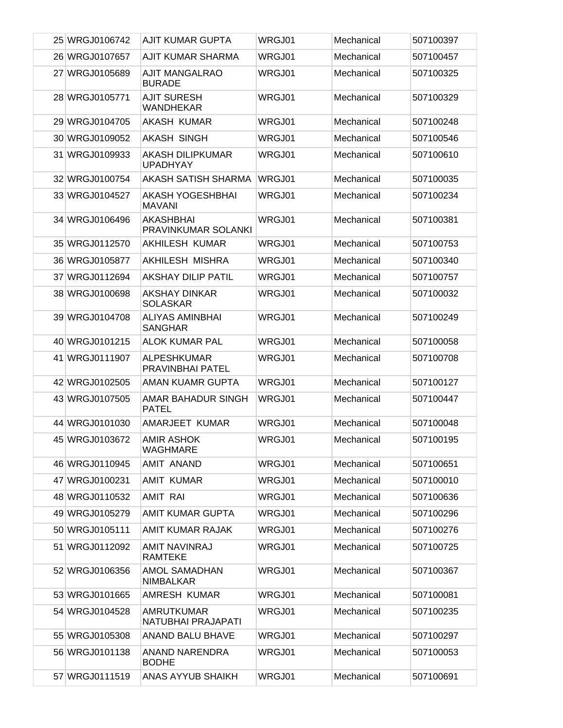| 25 WRGJ0106742 | <b>AJIT KUMAR GUPTA</b>                    | WRGJ01 | Mechanical | 507100397 |
|----------------|--------------------------------------------|--------|------------|-----------|
| 26 WRGJ0107657 | <b>AJIT KUMAR SHARMA</b>                   | WRGJ01 | Mechanical | 507100457 |
| 27 WRGJ0105689 | AJIT MANGALRAO<br><b>BURADE</b>            | WRGJ01 | Mechanical | 507100325 |
| 28 WRGJ0105771 | <b>AJIT SURESH</b><br><b>WANDHEKAR</b>     | WRGJ01 | Mechanical | 507100329 |
| 29 WRGJ0104705 | AKASH KUMAR                                | WRGJ01 | Mechanical | 507100248 |
| 30 WRGJ0109052 | AKASH SINGH                                | WRGJ01 | Mechanical | 507100546 |
| 31 WRGJ0109933 | <b>AKASH DILIPKUMAR</b><br><b>UPADHYAY</b> | WRGJ01 | Mechanical | 507100610 |
| 32 WRGJ0100754 | AKASH SATISH SHARMA                        | WRGJ01 | Mechanical | 507100035 |
| 33 WRGJ0104527 | AKASH YOGESHBHAI<br><b>MAVANI</b>          | WRGJ01 | Mechanical | 507100234 |
| 34 WRGJ0106496 | <b>AKASHBHAI</b><br>PRAVINKUMAR SOLANKI    | WRGJ01 | Mechanical | 507100381 |
| 35 WRGJ0112570 | <b>AKHILESH KUMAR</b>                      | WRGJ01 | Mechanical | 507100753 |
| 36 WRGJ0105877 | AKHILESH MISHRA                            | WRGJ01 | Mechanical | 507100340 |
| 37 WRGJ0112694 | <b>AKSHAY DILIP PATIL</b>                  | WRGJ01 | Mechanical | 507100757 |
| 38 WRGJ0100698 | AKSHAY DINKAR<br><b>SOLASKAR</b>           | WRGJ01 | Mechanical | 507100032 |
| 39 WRGJ0104708 | ALIYAS AMINBHAI<br><b>SANGHAR</b>          | WRGJ01 | Mechanical | 507100249 |
| 40 WRGJ0101215 | <b>ALOK KUMAR PAL</b>                      | WRGJ01 | Mechanical | 507100058 |
| 41 WRGJ0111907 | <b>ALPESHKUMAR</b><br>PRAVINBHAI PATEL     | WRGJ01 | Mechanical | 507100708 |
| 42 WRGJ0102505 | AMAN KUAMR GUPTA                           | WRGJ01 | Mechanical | 507100127 |
| 43 WRGJ0107505 | AMAR BAHADUR SINGH<br><b>PATEL</b>         | WRGJ01 | Mechanical | 507100447 |
| 44 WRGJ0101030 | AMARJEET KUMAR                             | WRGJ01 | Mechanical | 507100048 |
| 45 WRGJ0103672 | AMIR ASHOK<br><b>WAGHMARE</b>              | WRGJ01 | Mechanical | 507100195 |
| 46 WRGJ0110945 | AMIT ANAND                                 | WRGJ01 | Mechanical | 507100651 |
| 47 WRGJ0100231 | <b>AMIT KUMAR</b>                          | WRGJ01 | Mechanical | 507100010 |
| 48 WRGJ0110532 | <b>AMIT RAI</b>                            | WRGJ01 | Mechanical | 507100636 |
| 49 WRGJ0105279 | <b>AMIT KUMAR GUPTA</b>                    | WRGJ01 | Mechanical | 507100296 |
| 50 WRGJ0105111 | <b>AMIT KUMAR RAJAK</b>                    | WRGJ01 | Mechanical | 507100276 |
| 51 WRGJ0112092 | AMIT NAVINRAJ<br><b>RAMTEKE</b>            | WRGJ01 | Mechanical | 507100725 |
| 52 WRGJ0106356 | <b>AMOL SAMADHAN</b><br><b>NIMBALKAR</b>   | WRGJ01 | Mechanical | 507100367 |
| 53 WRGJ0101665 | AMRESH KUMAR                               | WRGJ01 | Mechanical | 507100081 |
| 54 WRGJ0104528 | <b>AMRUTKUMAR</b><br>NATUBHAI PRAJAPATI    | WRGJ01 | Mechanical | 507100235 |
| 55 WRGJ0105308 | <b>ANAND BALU BHAVE</b>                    | WRGJ01 | Mechanical | 507100297 |
| 56 WRGJ0101138 | <b>ANAND NARENDRA</b><br><b>BODHE</b>      | WRGJ01 | Mechanical | 507100053 |
| 57 WRGJ0111519 | ANAS AYYUB SHAIKH                          | WRGJ01 | Mechanical | 507100691 |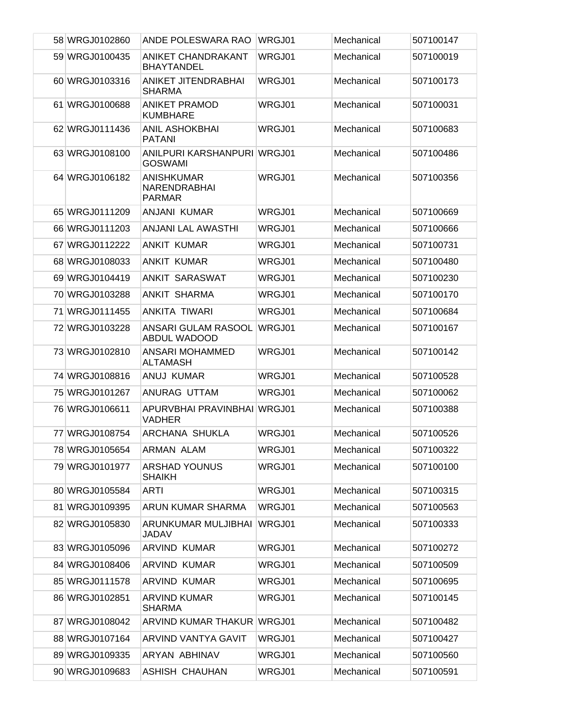| 58 WRGJ0102860 | ANDE POLESWARA RAO                                 | WRGJ01 | Mechanical | 507100147 |
|----------------|----------------------------------------------------|--------|------------|-----------|
| 59 WRGJ0100435 | ANIKET CHANDRAKANT<br><b>BHAYTANDEL</b>            | WRGJ01 | Mechanical | 507100019 |
| 60 WRGJ0103316 | <b>ANIKET JITENDRABHAI</b><br><b>SHARMA</b>        | WRGJ01 | Mechanical | 507100173 |
| 61 WRGJ0100688 | <b>ANIKET PRAMOD</b><br><b>KUMBHARE</b>            | WRGJ01 | Mechanical | 507100031 |
| 62 WRGJ0111436 | <b>ANIL ASHOKBHAI</b><br><b>PATANI</b>             | WRGJ01 | Mechanical | 507100683 |
| 63 WRGJ0108100 | ANILPURI KARSHANPURI WRGJ01<br><b>GOSWAMI</b>      |        | Mechanical | 507100486 |
| 64 WRGJ0106182 | <b>ANISHKUMAR</b><br>NARENDRABHAI<br><b>PARMAR</b> | WRGJ01 | Mechanical | 507100356 |
| 65 WRGJ0111209 | ANJANI KUMAR                                       | WRGJ01 | Mechanical | 507100669 |
| 66 WRGJ0111203 | ANJANI LAL AWASTHI                                 | WRGJ01 | Mechanical | 507100666 |
| 67 WRGJ0112222 | <b>ANKIT KUMAR</b>                                 | WRGJ01 | Mechanical | 507100731 |
| 68 WRGJ0108033 | <b>ANKIT KUMAR</b>                                 | WRGJ01 | Mechanical | 507100480 |
| 69 WRGJ0104419 | <b>ANKIT SARASWAT</b>                              | WRGJ01 | Mechanical | 507100230 |
| 70 WRGJ0103288 | ANKIT SHARMA                                       | WRGJ01 | Mechanical | 507100170 |
| 71 WRGJ0111455 | ANKITA TIWARI                                      | WRGJ01 | Mechanical | 507100684 |
| 72 WRGJ0103228 | ANSARI GULAM RASOOL<br>ABDUL WADOOD                | WRGJ01 | Mechanical | 507100167 |
| 73 WRGJ0102810 | ANSARI MOHAMMED<br><b>ALTAMASH</b>                 | WRGJ01 | Mechanical | 507100142 |
| 74 WRGJ0108816 | ANUJ KUMAR                                         | WRGJ01 | Mechanical | 507100528 |
| 75 WRGJ0101267 | ANURAG UTTAM                                       | WRGJ01 | Mechanical | 507100062 |
| 76 WRGJ0106611 | APURVBHAI PRAVINBHAI WRGJ01<br><b>VADHER</b>       |        | Mechanical | 507100388 |
| 77 WRGJ0108754 | ARCHANA SHUKLA                                     | WRGJ01 | Mechanical | 507100526 |
| 78 WRGJ0105654 | <b>ARMAN ALAM</b>                                  | WRGJ01 | Mechanical | 507100322 |
| 79 WRGJ0101977 | <b>ARSHAD YOUNUS</b><br><b>SHAIKH</b>              | WRGJ01 | Mechanical | 507100100 |
| 80 WRGJ0105584 | <b>ARTI</b>                                        | WRGJ01 | Mechanical | 507100315 |
| 81 WRGJ0109395 | ARUN KUMAR SHARMA                                  | WRGJ01 | Mechanical | 507100563 |
| 82 WRGJ0105830 | ARUNKUMAR MULJIBHAI<br>JADAV                       | WRGJ01 | Mechanical | 507100333 |
| 83 WRGJ0105096 | ARVIND KUMAR                                       | WRGJ01 | Mechanical | 507100272 |
| 84 WRGJ0108406 | <b>ARVIND KUMAR</b>                                | WRGJ01 | Mechanical | 507100509 |
| 85 WRGJ0111578 | <b>ARVIND KUMAR</b>                                | WRGJ01 | Mechanical | 507100695 |
| 86 WRGJ0102851 | <b>ARVIND KUMAR</b><br><b>SHARMA</b>               | WRGJ01 | Mechanical | 507100145 |
| 87 WRGJ0108042 | ARVIND KUMAR THAKUR                                | WRGJ01 | Mechanical | 507100482 |
| 88 WRGJ0107164 | ARVIND VANTYA GAVIT                                | WRGJ01 | Mechanical | 507100427 |
| 89 WRGJ0109335 | ARYAN ABHINAV                                      | WRGJ01 | Mechanical | 507100560 |
| 90 WRGJ0109683 | ASHISH CHAUHAN                                     | WRGJ01 | Mechanical | 507100591 |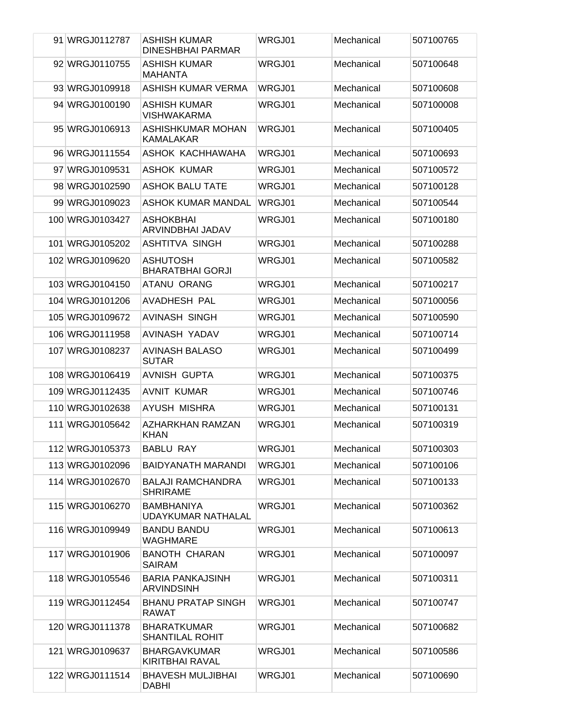| 91 WRGJ0112787  | ASHISH KUMAR<br><b>DINESHBHAI PARMAR</b>       | WRGJ01        | Mechanical | 507100765 |
|-----------------|------------------------------------------------|---------------|------------|-----------|
| 92 WRGJ0110755  | <b>ASHISH KUMAR</b><br><b>MAHANTA</b>          | WRGJ01        | Mechanical | 507100648 |
| 93 WRGJ0109918  | <b>ASHISH KUMAR VERMA</b>                      | WRGJ01        | Mechanical | 507100608 |
| 94 WRGJ0100190  | ASHISH KUMAR<br><b>VISHWAKARMA</b>             | WRGJ01        | Mechanical | 507100008 |
| 95 WRGJ0106913  | ASHISHKUMAR MOHAN<br><b>KAMALAKAR</b>          | WRGJ01        | Mechanical | 507100405 |
| 96 WRGJ0111554  | ASHOK KACHHAWAHA                               | <b>WRGJ01</b> | Mechanical | 507100693 |
| 97 WRGJ0109531  | <b>ASHOK KUMAR</b>                             | WRGJ01        | Mechanical | 507100572 |
| 98 WRGJ0102590  | <b>ASHOK BALU TATE</b>                         | WRGJ01        | Mechanical | 507100128 |
| 99 WRGJ0109023  | ASHOK KUMAR MANDAL                             | WRGJ01        | Mechanical | 507100544 |
| 100 WRGJ0103427 | ASHOKBHAI<br>ARVINDBHAI JADAV                  | WRGJ01        | Mechanical | 507100180 |
| 101 WRGJ0105202 | ASHTITVA SINGH                                 | WRGJ01        | Mechanical | 507100288 |
| 102 WRGJ0109620 | ASHUTOSH<br><b>BHARATBHAI GORJI</b>            | WRGJ01        | Mechanical | 507100582 |
| 103 WRGJ0104150 | ATANU ORANG                                    | WRGJ01        | Mechanical | 507100217 |
| 104 WRGJ0101206 | AVADHESH PAL                                   | WRGJ01        | Mechanical | 507100056 |
| 105 WRGJ0109672 | AVINASH SINGH                                  | WRGJ01        | Mechanical | 507100590 |
| 106 WRGJ0111958 | AVINASH YADAV                                  | WRGJ01        | Mechanical | 507100714 |
| 107 WRGJ0108237 | <b>AVINASH BALASO</b><br><b>SUTAR</b>          | WRGJ01        | Mechanical | 507100499 |
| 108 WRGJ0106419 | AVNISH GUPTA                                   | WRGJ01        | Mechanical | 507100375 |
| 109 WRGJ0112435 | <b>AVNIT KUMAR</b>                             | WRGJ01        | Mechanical | 507100746 |
| 110 WRGJ0102638 | AYUSH MISHRA                                   | WRGJ01        | Mechanical | 507100131 |
| 111 WRGJ0105642 | AZHARKHAN RAMZAN<br><b>KHAN</b>                | WRGJ01        | Mechanical | 507100319 |
| 112 WRGJ0105373 | <b>BABLU RAY</b>                               | WRGJ01        | Mechanical | 507100303 |
| 113 WRGJ0102096 | <b>BAIDYANATH MARANDI</b>                      | WRGJ01        | Mechanical | 507100106 |
| 114 WRGJ0102670 | <b>BALAJI RAMCHANDRA</b><br><b>SHRIRAME</b>    | WRGJ01        | Mechanical | 507100133 |
| 115 WRGJ0106270 | <b>BAMBHANIYA</b><br><b>UDAYKUMAR NATHALAL</b> | WRGJ01        | Mechanical | 507100362 |
| 116 WRGJ0109949 | <b>BANDU BANDU</b><br>WAGHMARE                 | WRGJ01        | Mechanical | 507100613 |
| 117 WRGJ0101906 | <b>BANOTH CHARAN</b><br><b>SAIRAM</b>          | WRGJ01        | Mechanical | 507100097 |
| 118 WRGJ0105546 | <b>BARIA PANKAJSINH</b><br><b>ARVINDSINH</b>   | WRGJ01        | Mechanical | 507100311 |
| 119 WRGJ0112454 | <b>BHANU PRATAP SINGH</b><br><b>RAWAT</b>      | WRGJ01        | Mechanical | 507100747 |
| 120 WRGJ0111378 | <b>BHARATKUMAR</b><br><b>SHANTILAL ROHIT</b>   | WRGJ01        | Mechanical | 507100682 |
| 121 WRGJ0109637 | <b>BHARGAVKUMAR</b><br>KIRITBHAI RAVAL         | WRGJ01        | Mechanical | 507100586 |
| 122 WRGJ0111514 | <b>BHAVESH MULJIBHAI</b><br><b>DABHI</b>       | WRGJ01        | Mechanical | 507100690 |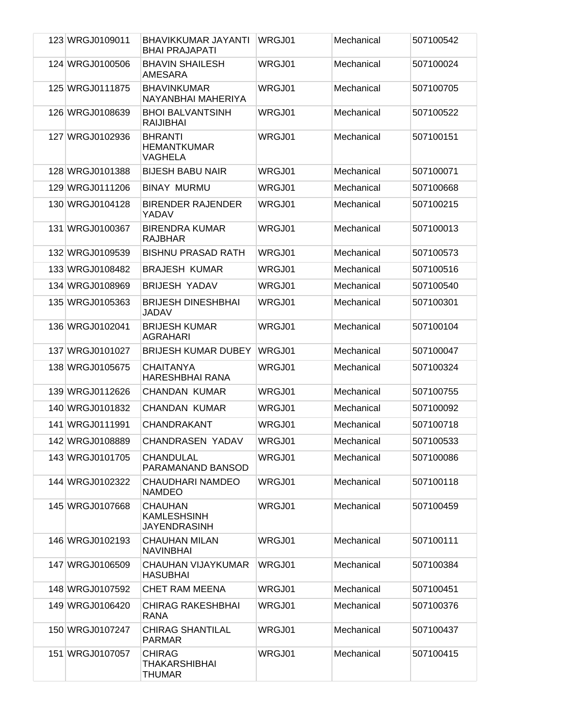| 123 WRGJ0109011 | BHAVIKKUMAR JAYANTI<br><b>BHAI PRAJAPATI</b>                | WRGJ01 | Mechanical | 507100542 |
|-----------------|-------------------------------------------------------------|--------|------------|-----------|
| 124 WRGJ0100506 | <b>BHAVIN SHAILESH</b><br>AMESARA                           | WRGJ01 | Mechanical | 507100024 |
| 125 WRGJ0111875 | <b>BHAVINKUMAR</b><br>NAYANBHAI MAHERIYA                    | WRGJ01 | Mechanical | 507100705 |
| 126 WRGJ0108639 | <b>BHOI BALVANTSINH</b><br><b>RAIJIBHAI</b>                 | WRGJ01 | Mechanical | 507100522 |
| 127 WRGJ0102936 | <b>BHRANTI</b><br><b>HEMANTKUMAR</b><br>VAGHELA             | WRGJ01 | Mechanical | 507100151 |
| 128 WRGJ0101388 | <b>BIJESH BABU NAIR</b>                                     | WRGJ01 | Mechanical | 507100071 |
| 129 WRGJ0111206 | <b>BINAY MURMU</b>                                          | WRGJ01 | Mechanical | 507100668 |
| 130 WRGJ0104128 | <b>BIRENDER RAJENDER</b><br>YADAV                           | WRGJ01 | Mechanical | 507100215 |
| 131 WRGJ0100367 | <b>BIRENDRA KUMAR</b><br><b>RAJBHAR</b>                     | WRGJ01 | Mechanical | 507100013 |
| 132 WRGJ0109539 | <b>BISHNU PRASAD RATH</b>                                   | WRGJ01 | Mechanical | 507100573 |
| 133 WRGJ0108482 | <b>BRAJESH KUMAR</b>                                        | WRGJ01 | Mechanical | 507100516 |
| 134 WRGJ0108969 | <b>BRIJESH YADAV</b>                                        | WRGJ01 | Mechanical | 507100540 |
| 135 WRGJ0105363 | <b>BRIJESH DINESHBHAI</b><br>JADAV                          | WRGJ01 | Mechanical | 507100301 |
| 136 WRGJ0102041 | <b>BRIJESH KUMAR</b><br><b>AGRAHARI</b>                     | WRGJ01 | Mechanical | 507100104 |
| 137 WRGJ0101027 | <b>BRIJESH KUMAR DUBEY</b>                                  | WRGJ01 | Mechanical | 507100047 |
| 138 WRGJ0105675 | <b>CHAITANYA</b><br><b>HARESHBHAI RANA</b>                  | WRGJ01 | Mechanical | 507100324 |
| 139 WRGJ0112626 | <b>CHANDAN KUMAR</b>                                        | WRGJ01 | Mechanical | 507100755 |
| 140 WRGJ0101832 | <b>CHANDAN KUMAR</b>                                        | WRGJ01 | Mechanical | 507100092 |
| 141 WRGJ0111991 | <b>CHANDRAKANT</b>                                          | WRGJ01 | Mechanical | 507100718 |
| 142 WRGJ0108889 | <b>CHANDRASEN YADAV</b>                                     | WRGJ01 | Mechanical | 507100533 |
| 143 WRGJ0101705 | <b>CHANDULAL</b><br>PARAMANAND BANSOD                       | WRGJ01 | Mechanical | 507100086 |
| 144 WRGJ0102322 | <b>CHAUDHARI NAMDEO</b><br><b>NAMDEO</b>                    | WRGJ01 | Mechanical | 507100118 |
| 145 WRGJ0107668 | <b>CHAUHAN</b><br><b>KAMLESHSINH</b><br><b>JAYENDRASINH</b> | WRGJ01 | Mechanical | 507100459 |
| 146 WRGJ0102193 | <b>CHAUHAN MILAN</b><br><b>NAVINBHAI</b>                    | WRGJ01 | Mechanical | 507100111 |
| 147 WRGJ0106509 | <b>CHAUHAN VIJAYKUMAR</b><br><b>HASUBHAI</b>                | WRGJ01 | Mechanical | 507100384 |
| 148 WRGJ0107592 | <b>CHET RAM MEENA</b>                                       | WRGJ01 | Mechanical | 507100451 |
| 149 WRGJ0106420 | <b>CHIRAG RAKESHBHAI</b><br><b>RANA</b>                     | WRGJ01 | Mechanical | 507100376 |
| 150 WRGJ0107247 | <b>CHIRAG SHANTILAL</b><br><b>PARMAR</b>                    | WRGJ01 | Mechanical | 507100437 |
| 151 WRGJ0107057 | <b>CHIRAG</b><br><b>THAKARSHIBHAI</b><br><b>THUMAR</b>      | WRGJ01 | Mechanical | 507100415 |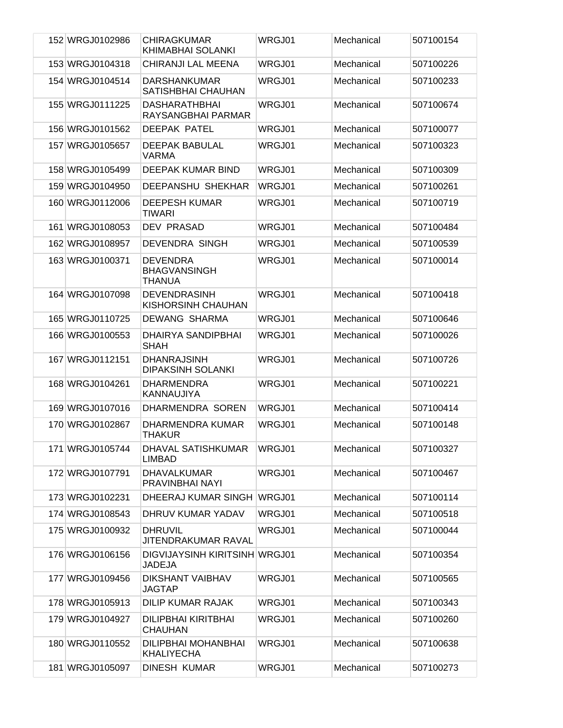| 152 WRGJ0102986 | <b>CHIRAGKUMAR</b><br>KHIMABHAI SOLANKI                 | WRGJ01 | Mechanical | 507100154 |
|-----------------|---------------------------------------------------------|--------|------------|-----------|
| 153 WRGJ0104318 | CHIRANJI LAL MEENA                                      | WRGJ01 | Mechanical | 507100226 |
| 154 WRGJ0104514 | <b>DARSHANKUMAR</b><br>SATISHBHAI CHAUHAN               | WRGJ01 | Mechanical | 507100233 |
| 155 WRGJ0111225 | <b>DASHARATHBHAI</b><br>RAYSANGBHAI PARMAR              | WRGJ01 | Mechanical | 507100674 |
| 156 WRGJ0101562 | <b>DEEPAK PATEL</b>                                     | WRGJ01 | Mechanical | 507100077 |
| 157 WRGJ0105657 | <b>DEEPAK BABULAL</b><br><b>VARMA</b>                   | WRGJ01 | Mechanical | 507100323 |
| 158 WRGJ0105499 | DEEPAK KUMAR BIND                                       | WRGJ01 | Mechanical | 507100309 |
| 159 WRGJ0104950 | <b>DEEPANSHU SHEKHAR</b>                                | WRGJ01 | Mechanical | 507100261 |
| 160 WRGJ0112006 | <b>DEEPESH KUMAR</b><br><b>TIWARI</b>                   | WRGJ01 | Mechanical | 507100719 |
| 161 WRGJ0108053 | <b>DEV PRASAD</b>                                       | WRGJ01 | Mechanical | 507100484 |
| 162 WRGJ0108957 | <b>DEVENDRA SINGH</b>                                   | WRGJ01 | Mechanical | 507100539 |
| 163 WRGJ0100371 | <b>DEVENDRA</b><br><b>BHAGVANSINGH</b><br><b>THANUA</b> | WRGJ01 | Mechanical | 507100014 |
| 164 WRGJ0107098 | <b>DEVENDRASINH</b><br>KISHORSINH CHAUHAN               | WRGJ01 | Mechanical | 507100418 |
| 165 WRGJ0110725 | DEWANG SHARMA                                           | WRGJ01 | Mechanical | 507100646 |
| 166 WRGJ0100553 | DHAIRYA SANDIPBHAI<br><b>SHAH</b>                       | WRGJ01 | Mechanical | 507100026 |
| 167 WRGJ0112151 | <b>DHANRAJSINH</b><br><b>DIPAKSINH SOLANKI</b>          | WRGJ01 | Mechanical | 507100726 |
| 168 WRGJ0104261 | <b>DHARMENDRA</b><br>KANNAUJIYA                         | WRGJ01 | Mechanical | 507100221 |
| 169 WRGJ0107016 | DHARMENDRA SOREN                                        | WRGJ01 | Mechanical | 507100414 |
| 170 WRGJ0102867 | DHARMENDRA KUMAR<br><b>THAKUR</b>                       | WRGJ01 | Mechanical | 507100148 |
| 171 WRGJ0105744 | DHAVAL SATISHKUMAR<br><b>LIMBAD</b>                     | WRGJ01 | Mechanical | 507100327 |
| 172 WRGJ0107791 | <b>DHAVALKUMAR</b><br>PRAVINBHAI NAYI                   | WRGJ01 | Mechanical | 507100467 |
| 173 WRGJ0102231 | DHEERAJ KUMAR SINGH WRGJ01                              |        | Mechanical | 507100114 |
| 174 WRGJ0108543 | DHRUV KUMAR YADAV                                       | WRGJ01 | Mechanical | 507100518 |
| 175 WRGJ0100932 | <b>DHRUVIL</b><br>JITENDRAKUMAR RAVAL                   | WRGJ01 | Mechanical | 507100044 |
| 176 WRGJ0106156 | DIGVIJAYSINH KIRITSINH WRGJ01<br>JADEJA                 |        | Mechanical | 507100354 |
| 177 WRGJ0109456 | <b>DIKSHANT VAIBHAV</b><br><b>JAGTAP</b>                | WRGJ01 | Mechanical | 507100565 |
| 178 WRGJ0105913 | <b>DILIP KUMAR RAJAK</b>                                | WRGJ01 | Mechanical | 507100343 |
| 179 WRGJ0104927 | DILIPBHAI KIRITBHAI<br><b>CHAUHAN</b>                   | WRGJ01 | Mechanical | 507100260 |
| 180 WRGJ0110552 | DILIPBHAI MOHANBHAI<br><b>KHALIYECHA</b>                | WRGJ01 | Mechanical | 507100638 |
| 181 WRGJ0105097 | <b>DINESH KUMAR</b>                                     | WRGJ01 | Mechanical | 507100273 |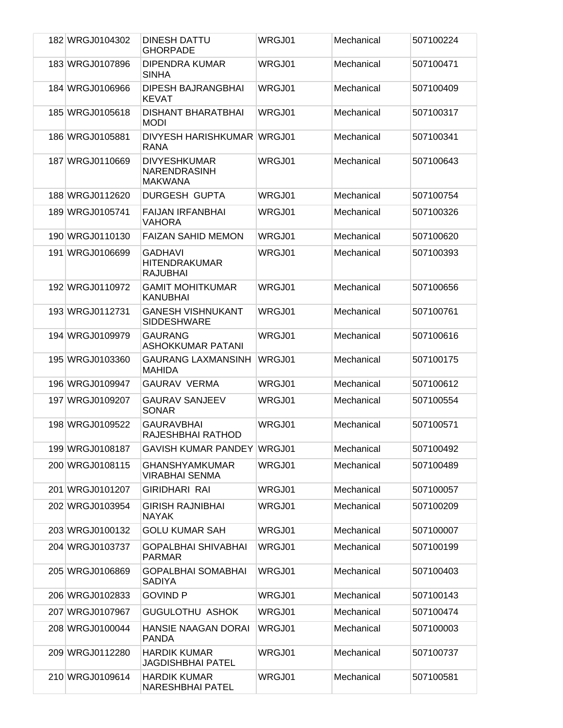| 182 WRGJ0104302 | DINESH DATTU<br><b>GHORPADE</b>                              | WRGJ01 | Mechanical | 507100224 |
|-----------------|--------------------------------------------------------------|--------|------------|-----------|
| 183 WRGJ0107896 | <b>DIPENDRA KUMAR</b><br><b>SINHA</b>                        | WRGJ01 | Mechanical | 507100471 |
| 184 WRGJ0106966 | <b>DIPESH BAJRANGBHAI</b><br><b>KEVAT</b>                    | WRGJ01 | Mechanical | 507100409 |
| 185 WRGJ0105618 | <b>DISHANT BHARATBHAI</b><br><b>MODI</b>                     | WRGJ01 | Mechanical | 507100317 |
| 186 WRGJ0105881 | DIVYESH HARISHKUMAR WRGJ01<br>RANA                           |        | Mechanical | 507100341 |
| 187 WRGJ0110669 | <b>DIVYESHKUMAR</b><br><b>NARENDRASINH</b><br><b>MAKWANA</b> | WRGJ01 | Mechanical | 507100643 |
| 188 WRGJ0112620 | <b>DURGESH GUPTA</b>                                         | WRGJ01 | Mechanical | 507100754 |
| 189 WRGJ0105741 | <b>FAIJAN IRFANBHAI</b><br><b>VAHORA</b>                     | WRGJ01 | Mechanical | 507100326 |
| 190 WRGJ0110130 | <b>FAIZAN SAHID MEMON</b>                                    | WRGJ01 | Mechanical | 507100620 |
| 191 WRGJ0106699 | <b>GADHAVI</b><br><b>HITENDRAKUMAR</b><br><b>RAJUBHAI</b>    | WRGJ01 | Mechanical | 507100393 |
| 192 WRGJ0110972 | <b>GAMIT MOHITKUMAR</b><br><b>KANUBHAI</b>                   | WRGJ01 | Mechanical | 507100656 |
| 193 WRGJ0112731 | <b>GANESH VISHNUKANT</b><br><b>SIDDESHWARE</b>               | WRGJ01 | Mechanical | 507100761 |
| 194 WRGJ0109979 | <b>GAURANG</b><br>ASHOKKUMAR PATANI                          | WRGJ01 | Mechanical | 507100616 |
| 195 WRGJ0103360 | <b>GAURANG LAXMANSINH</b><br><b>MAHIDA</b>                   | WRGJ01 | Mechanical | 507100175 |
| 196 WRGJ0109947 | <b>GAURAV VERMA</b>                                          | WRGJ01 | Mechanical | 507100612 |
| 197 WRGJ0109207 | <b>GAURAV SANJEEV</b><br><b>SONAR</b>                        | WRGJ01 | Mechanical | 507100554 |
| 198 WRGJ0109522 | <b>GAURAVBHAI</b><br>RAJESHBHAI RATHOD                       | WRGJ01 | Mechanical | 507100571 |
| 199 WRGJ0108187 | GAVISH KUMAR PANDEY WRGJ01                                   |        | Mechanical | 507100492 |
| 200 WRGJ0108115 | GHANSHYAMKUMAR<br><b>VIRABHAI SENMA</b>                      | WRGJ01 | Mechanical | 507100489 |
| 201 WRGJ0101207 | <b>GIRIDHARI RAI</b>                                         | WRGJ01 | Mechanical | 507100057 |
| 202 WRGJ0103954 | <b>GIRISH RAJNIBHAI</b><br><b>NAYAK</b>                      | WRGJ01 | Mechanical | 507100209 |
| 203 WRGJ0100132 | <b>GOLU KUMAR SAH</b>                                        | WRGJ01 | Mechanical | 507100007 |
| 204 WRGJ0103737 | <b>GOPALBHAI SHIVABHAI</b><br><b>PARMAR</b>                  | WRGJ01 | Mechanical | 507100199 |
| 205 WRGJ0106869 | <b>GOPALBHAI SOMABHAI</b><br>SADIYA                          | WRGJ01 | Mechanical | 507100403 |
| 206 WRGJ0102833 | <b>GOVIND P</b>                                              | WRGJ01 | Mechanical | 507100143 |
| 207 WRGJ0107967 | <b>GUGULOTHU ASHOK</b>                                       | WRGJ01 | Mechanical | 507100474 |
| 208 WRGJ0100044 | <b>HANSIE NAAGAN DORAI</b><br><b>PANDA</b>                   | WRGJ01 | Mechanical | 507100003 |
| 209 WRGJ0112280 | <b>HARDIK KUMAR</b><br>JAGDISHBHAI PATEL                     | WRGJ01 | Mechanical | 507100737 |
| 210 WRGJ0109614 | <b>HARDIK KUMAR</b><br>NARESHBHAI PATEL                      | WRGJ01 | Mechanical | 507100581 |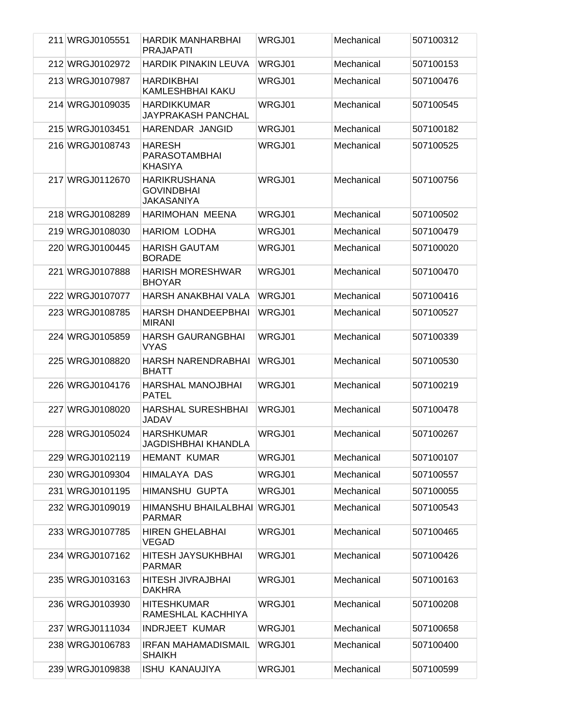| 211 WRGJ0105551 | HARDIK MANHARBHAI                                             | WRGJ01 | Mechanical | 507100312 |
|-----------------|---------------------------------------------------------------|--------|------------|-----------|
| 212 WRGJ0102972 | <b>PRAJAPATI</b><br><b>HARDIK PINAKIN LEUVA</b>               | WRGJ01 | Mechanical | 507100153 |
| 213 WRGJ0107987 | <b>HARDIKBHAI</b>                                             | WRGJ01 | Mechanical | 507100476 |
|                 | <b>KAMLESHBHAI KAKU</b>                                       |        |            |           |
| 214 WRGJ0109035 | <b>HARDIKKUMAR</b><br>JAYPRAKASH PANCHAL                      | WRGJ01 | Mechanical | 507100545 |
| 215 WRGJ0103451 | HARENDAR JANGID                                               | WRGJ01 | Mechanical | 507100182 |
| 216 WRGJ0108743 | <b>HARESH</b><br><b>PARASOTAMBHAI</b><br><b>KHASIYA</b>       | WRGJ01 | Mechanical | 507100525 |
| 217 WRGJ0112670 | <b>HARIKRUSHANA</b><br><b>GOVINDBHAI</b><br><b>JAKASANIYA</b> | WRGJ01 | Mechanical | 507100756 |
| 218 WRGJ0108289 | HARIMOHAN MEENA                                               | WRGJ01 | Mechanical | 507100502 |
| 219 WRGJ0108030 | <b>HARIOM LODHA</b>                                           | WRGJ01 | Mechanical | 507100479 |
| 220 WRGJ0100445 | <b>HARISH GAUTAM</b><br><b>BORADE</b>                         | WRGJ01 | Mechanical | 507100020 |
| 221 WRGJ0107888 | <b>HARISH MORESHWAR</b><br><b>BHOYAR</b>                      | WRGJ01 | Mechanical | 507100470 |
| 222 WRGJ0107077 | HARSH ANAKBHAI VALA                                           | WRGJ01 | Mechanical | 507100416 |
| 223 WRGJ0108785 | <b>HARSH DHANDEEPBHAI</b><br><b>MIRANI</b>                    | WRGJ01 | Mechanical | 507100527 |
| 224 WRGJ0105859 | <b>HARSH GAURANGBHAI</b><br><b>VYAS</b>                       | WRGJ01 | Mechanical | 507100339 |
| 225 WRGJ0108820 | <b>HARSH NARENDRABHAI</b><br><b>BHATT</b>                     | WRGJ01 | Mechanical | 507100530 |
| 226 WRGJ0104176 | <b>HARSHAL MANOJBHAI</b><br><b>PATEL</b>                      | WRGJ01 | Mechanical | 507100219 |
| 227 WRGJ0108020 | <b>HARSHAL SURESHBHAI</b><br><b>JADAV</b>                     | WRGJ01 | Mechanical | 507100478 |
| 228 WRGJ0105024 | <b>HARSHKUMAR</b><br>JAGDISHBHAI KHANDLA                      | WRGJ01 | Mechanical | 507100267 |
| 229 WRGJ0102119 | <b>HEMANT KUMAR</b>                                           | WRGJ01 | Mechanical | 507100107 |
| 230 WRGJ0109304 | HIMALAYA DAS                                                  | WRGJ01 | Mechanical | 507100557 |
| 231 WRGJ0101195 | <b>HIMANSHU GUPTA</b>                                         | WRGJ01 | Mechanical | 507100055 |
| 232 WRGJ0109019 | HIMANSHU BHAILALBHAI WRGJ01<br><b>PARMAR</b>                  |        | Mechanical | 507100543 |
| 233 WRGJ0107785 | <b>HIREN GHELABHAI</b><br><b>VEGAD</b>                        | WRGJ01 | Mechanical | 507100465 |
| 234 WRGJ0107162 | HITESH JAYSUKHBHAI<br><b>PARMAR</b>                           | WRGJ01 | Mechanical | 507100426 |
| 235 WRGJ0103163 | HITESH JIVRAJBHAI<br>DAKHRA                                   | WRGJ01 | Mechanical | 507100163 |
| 236 WRGJ0103930 | <b>HITESHKUMAR</b><br>RAMESHLAL KACHHIYA                      | WRGJ01 | Mechanical | 507100208 |
| 237 WRGJ0111034 | <b>INDRJEET KUMAR</b>                                         | WRGJ01 | Mechanical | 507100658 |
| 238 WRGJ0106783 | <b>IRFAN MAHAMADISMAIL</b><br><b>SHAIKH</b>                   | WRGJ01 | Mechanical | 507100400 |
| 239 WRGJ0109838 | <b>ISHU KANAUJIYA</b>                                         | WRGJ01 | Mechanical | 507100599 |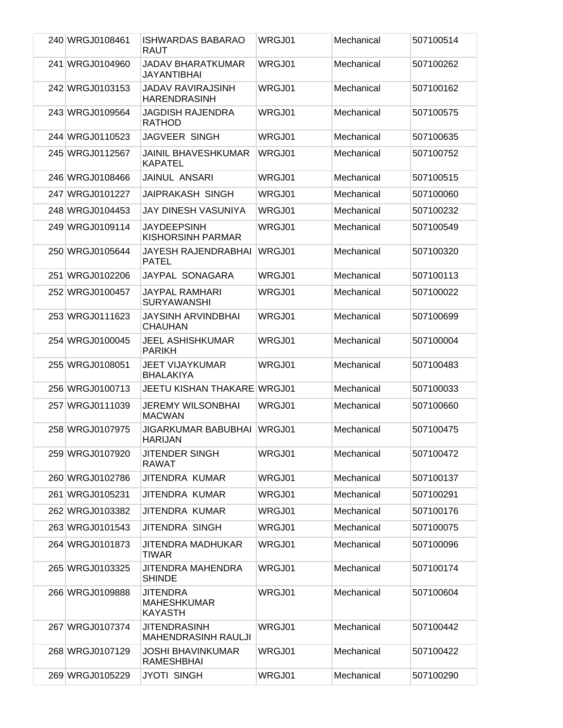| 240 WRGJ0108461 | <b>ISHWARDAS BABARAO</b><br>RAUT                        | WRGJ01 | Mechanical | 507100514 |
|-----------------|---------------------------------------------------------|--------|------------|-----------|
| 241 WRGJ0104960 | JADAV BHARATKUMAR<br><b>JAYANTIBHAI</b>                 | WRGJ01 | Mechanical | 507100262 |
| 242 WRGJ0103153 | <b>JADAV RAVIRAJSINH</b><br><b>HARENDRASINH</b>         | WRGJ01 | Mechanical | 507100162 |
| 243 WRGJ0109564 | JAGDISH RAJENDRA<br><b>RATHOD</b>                       | WRGJ01 | Mechanical | 507100575 |
| 244 WRGJ0110523 | <b>JAGVEER SINGH</b>                                    | WRGJ01 | Mechanical | 507100635 |
| 245 WRGJ0112567 | <b>JAINIL BHAVESHKUMAR</b><br><b>KAPATEL</b>            | WRGJ01 | Mechanical | 507100752 |
| 246 WRGJ0108466 | JAINUL ANSARI                                           | WRGJ01 | Mechanical | 507100515 |
| 247 WRGJ0101227 | <b>JAIPRAKASH SINGH</b>                                 | WRGJ01 | Mechanical | 507100060 |
| 248 WRGJ0104453 | JAY DINESH VASUNIYA                                     | WRGJ01 | Mechanical | 507100232 |
| 249 WRGJ0109114 | JAYDEEPSINH<br>KISHORSINH PARMAR                        | WRGJ01 | Mechanical | 507100549 |
| 250 WRGJ0105644 | JAYESH RAJENDRABHAI<br><b>PATEL</b>                     | WRGJ01 | Mechanical | 507100320 |
| 251 WRGJ0102206 | JAYPAL SONAGARA                                         | WRGJ01 | Mechanical | 507100113 |
| 252 WRGJ0100457 | JAYPAL RAMHARI<br><b>SURYAWANSHI</b>                    | WRGJ01 | Mechanical | 507100022 |
| 253 WRGJ0111623 | JAYSINH ARVINDBHAI<br><b>CHAUHAN</b>                    | WRGJ01 | Mechanical | 507100699 |
| 254 WRGJ0100045 | JEEL ASHISHKUMAR<br><b>PARIKH</b>                       | WRGJ01 | Mechanical | 507100004 |
| 255 WRGJ0108051 | <b>JEET VIJAYKUMAR</b><br><b>BHALAKIYA</b>              | WRGJ01 | Mechanical | 507100483 |
| 256 WRGJ0100713 | JEETU KISHAN THAKARE WRGJ01                             |        | Mechanical | 507100033 |
| 257 WRGJ0111039 | <b>JEREMY WILSONBHAI</b><br><b>MACWAN</b>               | WRGJ01 | Mechanical | 507100660 |
| 258 WRGJ0107975 | JIGARKUMAR BABUBHAI<br><b>HARIJAN</b>                   | WRGJ01 | Mechanical | 507100475 |
| 259 WRGJ0107920 | <b>JITENDER SINGH</b><br><b>RAWAT</b>                   | WRGJ01 | Mechanical | 507100472 |
| 260 WRGJ0102786 | JITENDRA KUMAR                                          | WRGJ01 | Mechanical | 507100137 |
| 261 WRGJ0105231 | JITENDRA KUMAR                                          | WRGJ01 | Mechanical | 507100291 |
| 262 WRGJ0103382 | JITENDRA KUMAR                                          | WRGJ01 | Mechanical | 507100176 |
| 263 WRGJ0101543 | JITENDRA SINGH                                          | WRGJ01 | Mechanical | 507100075 |
| 264 WRGJ0101873 | JITENDRA MADHUKAR<br><b>TIWAR</b>                       | WRGJ01 | Mechanical | 507100096 |
| 265 WRGJ0103325 | JITENDRA MAHENDRA<br><b>SHINDE</b>                      | WRGJ01 | Mechanical | 507100174 |
| 266 WRGJ0109888 | <b>JITENDRA</b><br><b>MAHESHKUMAR</b><br><b>KAYASTH</b> | WRGJ01 | Mechanical | 507100604 |
| 267 WRGJ0107374 | <b>JITENDRASINH</b><br><b>MAHENDRASINH RAULJI</b>       | WRGJ01 | Mechanical | 507100442 |
| 268 WRGJ0107129 | JOSHI BHAVINKUMAR<br><b>RAMESHBHAI</b>                  | WRGJ01 | Mechanical | 507100422 |
| 269 WRGJ0105229 | <b>JYOTI SINGH</b>                                      | WRGJ01 | Mechanical | 507100290 |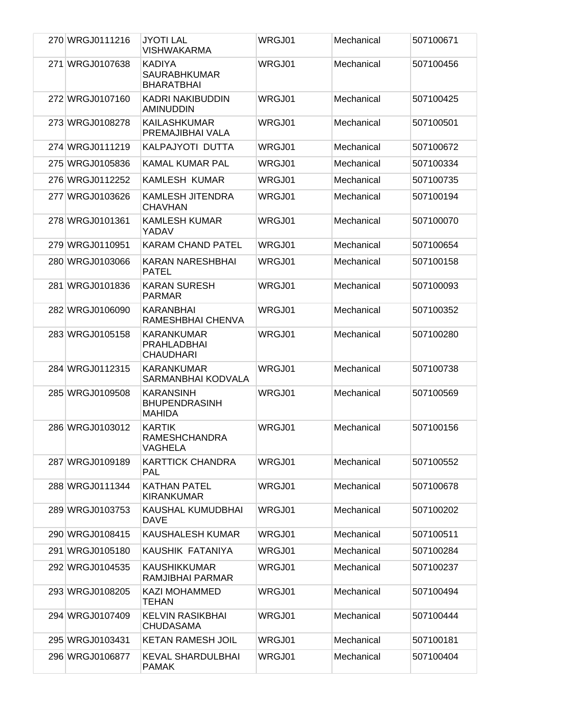| 270 WRGJ0111216 | <b>JYOTI LAL</b><br>VISHWAKARMA                           | WRGJ01 | Mechanical | 507100671 |
|-----------------|-----------------------------------------------------------|--------|------------|-----------|
| 271 WRGJ0107638 | <b>KADIYA</b><br><b>SAURABHKUMAR</b><br><b>BHARATBHAI</b> | WRGJ01 | Mechanical | 507100456 |
| 272 WRGJ0107160 | KADRI NAKIBUDDIN<br>AMINUDDIN                             | WRGJ01 | Mechanical | 507100425 |
| 273 WRGJ0108278 | KAILASHKUMAR<br>PREMAJIBHAI VALA                          | WRGJ01 | Mechanical | 507100501 |
| 274 WRGJ0111219 | KALPAJYOTI DUTTA                                          | WRGJ01 | Mechanical | 507100672 |
| 275 WRGJ0105836 | <b>KAMAL KUMAR PAL</b>                                    | WRGJ01 | Mechanical | 507100334 |
| 276 WRGJ0112252 | KAMLESH KUMAR                                             | WRGJ01 | Mechanical | 507100735 |
| 277 WRGJ0103626 | KAMLESH JITENDRA<br><b>CHAVHAN</b>                        | WRGJ01 | Mechanical | 507100194 |
| 278 WRGJ0101361 | <b>KAMLESH KUMAR</b><br>YADAV                             | WRGJ01 | Mechanical | 507100070 |
| 279 WRGJ0110951 | <b>KARAM CHAND PATEL</b>                                  | WRGJ01 | Mechanical | 507100654 |
| 280 WRGJ0103066 | KARAN NARESHBHAI<br><b>PATEL</b>                          | WRGJ01 | Mechanical | 507100158 |
| 281 WRGJ0101836 | <b>KARAN SURESH</b><br>PARMAR                             | WRGJ01 | Mechanical | 507100093 |
| 282 WRGJ0106090 | KARANBHAI<br>RAMESHBHAI CHENVA                            | WRGJ01 | Mechanical | 507100352 |
| 283 WRGJ0105158 | KARANKUMAR<br>PRAHLADBHAI<br><b>CHAUDHARI</b>             | WRGJ01 | Mechanical | 507100280 |
| 284 WRGJ0112315 | KARANKUMAR<br>SARMANBHAI KODVALA                          | WRGJ01 | Mechanical | 507100738 |
| 285 WRGJ0109508 | <b>KARANSINH</b><br><b>BHUPENDRASINH</b><br><b>MAHIDA</b> | WRGJ01 | Mechanical | 507100569 |
| 286 WRGJ0103012 | <b>KARTIK</b><br><b>RAMESHCHANDRA</b><br>VAGHELA          | WRGJ01 | Mechanical | 507100156 |
| 287 WRGJ0109189 | <b>KARTTICK CHANDRA</b><br>PAL                            | WRGJ01 | Mechanical | 507100552 |
| 288 WRGJ0111344 | <b>KATHAN PATEL</b><br><b>KIRANKUMAR</b>                  | WRGJ01 | Mechanical | 507100678 |
| 289 WRGJ0103753 | KAUSHAL KUMUDBHAI<br>DAVE                                 | WRGJ01 | Mechanical | 507100202 |
| 290 WRGJ0108415 | KAUSHALESH KUMAR                                          | WRGJ01 | Mechanical | 507100511 |
| 291 WRGJ0105180 | KAUSHIK FATANIYA                                          | WRGJ01 | Mechanical | 507100284 |
| 292 WRGJ0104535 | KAUSHIKKUMAR<br>RAMJIBHAI PARMAR                          | WRGJ01 | Mechanical | 507100237 |
| 293 WRGJ0108205 | <b>KAZI MOHAMMED</b><br>TEHAN                             | WRGJ01 | Mechanical | 507100494 |
| 294 WRGJ0107409 | <b>KELVIN RASIKBHAI</b><br><b>CHUDASAMA</b>               | WRGJ01 | Mechanical | 507100444 |
| 295 WRGJ0103431 | KETAN RAMESH JOIL                                         | WRGJ01 | Mechanical | 507100181 |
| 296 WRGJ0106877 | KEVAL SHARDULBHAI<br><b>PAMAK</b>                         | WRGJ01 | Mechanical | 507100404 |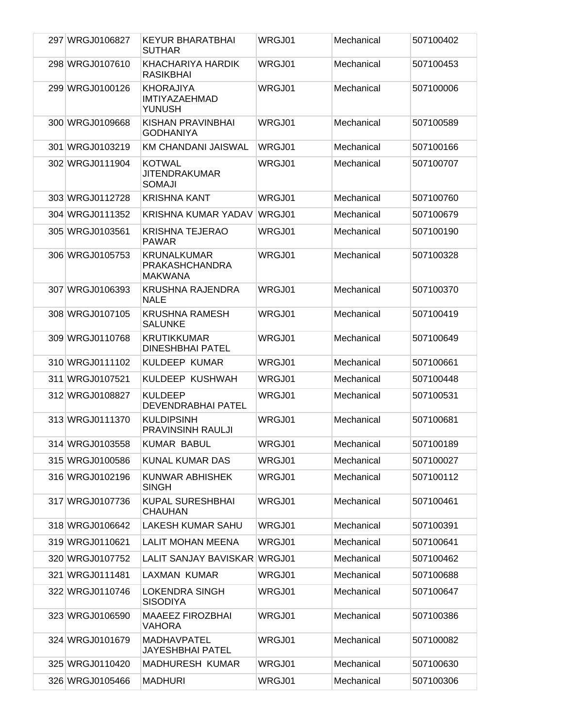| 297 WRGJ0106827 | <b>KEYUR BHARATBHAI</b><br><b>SUTHAR</b>               | WRGJ01 | Mechanical | 507100402 |
|-----------------|--------------------------------------------------------|--------|------------|-----------|
| 298 WRGJ0107610 | KHACHARIYA HARDIK<br><b>RASIKBHAI</b>                  | WRGJ01 | Mechanical | 507100453 |
| 299 WRGJ0100126 | <b>KHORAJIYA</b><br>IMTIYAZAEHMAD<br>YUNUSH            | WRGJ01 | Mechanical | 507100006 |
| 300 WRGJ0109668 | KISHAN PRAVINBHAI<br><b>GODHANIYA</b>                  | WRGJ01 | Mechanical | 507100589 |
| 301 WRGJ0103219 | KM CHANDANI JAISWAL                                    | WRGJ01 | Mechanical | 507100166 |
| 302 WRGJ0111904 | <b>KOTWAL</b><br>JITENDRAKUMAR<br><b>SOMAJI</b>        | WRGJ01 | Mechanical | 507100707 |
| 303 WRGJ0112728 | <b>KRISHNA KANT</b>                                    | WRGJ01 | Mechanical | 507100760 |
| 304 WRGJ0111352 | KRISHNA KUMAR YADAV                                    | WRGJ01 | Mechanical | 507100679 |
| 305 WRGJ0103561 | <b>KRISHNA TEJERAO</b><br><b>PAWAR</b>                 | WRGJ01 | Mechanical | 507100190 |
| 306 WRGJ0105753 | <b>KRUNALKUMAR</b><br><b>PRAKASHCHANDRA</b><br>MAKWANA | WRGJ01 | Mechanical | 507100328 |
| 307 WRGJ0106393 | <b>KRUSHNA RAJENDRA</b><br><b>NALE</b>                 | WRGJ01 | Mechanical | 507100370 |
| 308 WRGJ0107105 | <b>KRUSHNA RAMESH</b><br><b>SALUNKE</b>                | WRGJ01 | Mechanical | 507100419 |
| 309 WRGJ0110768 | <b>KRUTIKKUMAR</b><br><b>DINESHBHAI PATEL</b>          | WRGJ01 | Mechanical | 507100649 |
| 310 WRGJ0111102 | <b>KULDEEP KUMAR</b>                                   | WRGJ01 | Mechanical | 507100661 |
| 311 WRGJ0107521 | KULDEEP KUSHWAH                                        | WRGJ01 | Mechanical | 507100448 |
| 312 WRGJ0108827 | <b>KULDEEP</b><br>DEVENDRABHAI PATEL                   | WRGJ01 | Mechanical | 507100531 |
| 313 WRGJ0111370 | <b>KULDIPSINH</b><br>PRAVINSINH RAULJI                 | WRGJ01 | Mechanical | 507100681 |
| 314 WRGJ0103558 | <b>KUMAR BABUL</b>                                     | WRGJ01 | Mechanical | 507100189 |
| 315 WRGJ0100586 | KUNAL KUMAR DAS                                        | WRGJ01 | Mechanical | 507100027 |
| 316 WRGJ0102196 | KUNWAR ABHISHEK<br><b>SINGH</b>                        | WRGJ01 | Mechanical | 507100112 |
| 317 WRGJ0107736 | <b>KUPAL SURESHBHAI</b><br><b>CHAUHAN</b>              | WRGJ01 | Mechanical | 507100461 |
| 318 WRGJ0106642 | LAKESH KUMAR SAHU                                      | WRGJ01 | Mechanical | 507100391 |
| 319 WRGJ0110621 | <b>LALIT MOHAN MEENA</b>                               | WRGJ01 | Mechanical | 507100641 |
| 320 WRGJ0107752 | LALIT SANJAY BAVISKAR                                  | WRGJ01 | Mechanical | 507100462 |
| 321 WRGJ0111481 | LAXMAN KUMAR                                           | WRGJ01 | Mechanical | 507100688 |
| 322 WRGJ0110746 | LOKENDRA SINGH<br><b>SISODIYA</b>                      | WRGJ01 | Mechanical | 507100647 |
| 323 WRGJ0106590 | <b>MAAEEZ FIROZBHAI</b><br><b>VAHORA</b>               | WRGJ01 | Mechanical | 507100386 |
| 324 WRGJ0101679 | <b>MADHAVPATEL</b><br>JAYESHBHAI PATEL                 | WRGJ01 | Mechanical | 507100082 |
| 325 WRGJ0110420 | MADHURESH KUMAR                                        | WRGJ01 | Mechanical | 507100630 |
| 326 WRGJ0105466 | <b>MADHURI</b>                                         | WRGJ01 | Mechanical | 507100306 |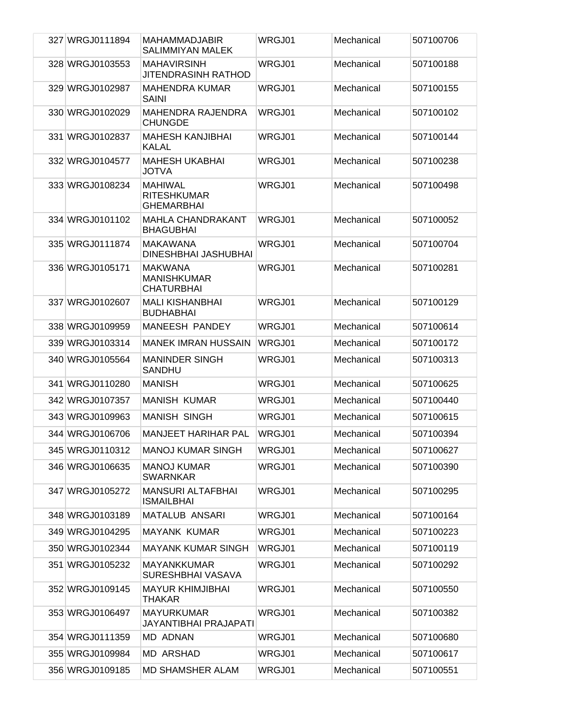| 327 WRGJ0111894 | <b>MAHAMMADJABIR</b><br>SALIMMIYAN MALEK                  | WRGJ01 | Mechanical | 507100706 |
|-----------------|-----------------------------------------------------------|--------|------------|-----------|
| 328 WRGJ0103553 | <b>MAHAVIRSINH</b><br><b>JITENDRASINH RATHOD</b>          | WRGJ01 | Mechanical | 507100188 |
| 329 WRGJ0102987 | <b>MAHENDRA KUMAR</b><br><b>SAINI</b>                     | WRGJ01 | Mechanical | 507100155 |
| 330 WRGJ0102029 | <b>MAHENDRA RAJENDRA</b><br><b>CHUNGDE</b>                | WRGJ01 | Mechanical | 507100102 |
| 331 WRGJ0102837 | <b>MAHESH KANJIBHAI</b><br><b>KALAL</b>                   | WRGJ01 | Mechanical | 507100144 |
| 332 WRGJ0104577 | <b>MAHESH UKABHAI</b><br>JOTVA                            | WRGJ01 | Mechanical | 507100238 |
| 333 WRGJ0108234 | <b>MAHIWAL</b><br><b>RITESHKUMAR</b><br><b>GHEMARBHAI</b> | WRGJ01 | Mechanical | 507100498 |
| 334 WRGJ0101102 | <b>MAHLA CHANDRAKANT</b><br><b>BHAGUBHAI</b>              | WRGJ01 | Mechanical | 507100052 |
| 335 WRGJ0111874 | <b>MAKAWANA</b><br>DINESHBHAI JASHUBHAI                   | WRGJ01 | Mechanical | 507100704 |
| 336 WRGJ0105171 | <b>MAKWANA</b><br><b>MANISHKUMAR</b><br><b>CHATURBHAI</b> | WRGJ01 | Mechanical | 507100281 |
| 337 WRGJ0102607 | <b>MALI KISHANBHAI</b><br><b>BUDHABHAI</b>                | WRGJ01 | Mechanical | 507100129 |
| 338 WRGJ0109959 | MANEESH PANDEY                                            | WRGJ01 | Mechanical | 507100614 |
| 339 WRGJ0103314 | <b>MANEK IMRAN HUSSAIN</b>                                | WRGJ01 | Mechanical | 507100172 |
| 340 WRGJ0105564 | <b>MANINDER SINGH</b><br><b>SANDHU</b>                    | WRGJ01 | Mechanical | 507100313 |
| 341 WRGJ0110280 | <b>MANISH</b>                                             | WRGJ01 | Mechanical | 507100625 |
| 342 WRGJ0107357 | <b>MANISH KUMAR</b>                                       | WRGJ01 | Mechanical | 507100440 |
| 343 WRGJ0109963 | <b>MANISH SINGH</b>                                       | WRGJ01 | Mechanical | 507100615 |
| 344 WRGJ0106706 | <b>MANJEET HARIHAR PAL</b>                                | WRGJ01 | Mechanical | 507100394 |
| 345 WRGJ0110312 | <b>MANOJ KUMAR SINGH</b>                                  | WRGJ01 | Mechanical | 507100627 |
| 346 WRGJ0106635 | <b>MANOJ KUMAR</b><br><b>SWARNKAR</b>                     | WRGJ01 | Mechanical | 507100390 |
| 347 WRGJ0105272 | <b>MANSURI ALTAFBHAI</b><br><b>ISMAILBHAI</b>             | WRGJ01 | Mechanical | 507100295 |
| 348 WRGJ0103189 | <b>MATALUB ANSARI</b>                                     | WRGJ01 | Mechanical | 507100164 |
| 349 WRGJ0104295 | <b>MAYANK KUMAR</b>                                       | WRGJ01 | Mechanical | 507100223 |
| 350 WRGJ0102344 | <b>MAYANK KUMAR SINGH</b>                                 | WRGJ01 | Mechanical | 507100119 |
| 351 WRGJ0105232 | <b>MAYANKKUMAR</b><br>SURESHBHAI VASAVA                   | WRGJ01 | Mechanical | 507100292 |
| 352 WRGJ0109145 | <b>MAYUR KHIMJIBHAI</b><br><b>THAKAR</b>                  | WRGJ01 | Mechanical | 507100550 |
| 353 WRGJ0106497 | <b>MAYURKUMAR</b><br>JAYANTIBHAI PRAJAPATI                | WRGJ01 | Mechanical | 507100382 |
| 354 WRGJ0111359 | <b>MD ADNAN</b>                                           | WRGJ01 | Mechanical | 507100680 |
| 355 WRGJ0109984 | <b>MD ARSHAD</b>                                          | WRGJ01 | Mechanical | 507100617 |
| 356 WRGJ0109185 | <b>MD SHAMSHER ALAM</b>                                   | WRGJ01 | Mechanical | 507100551 |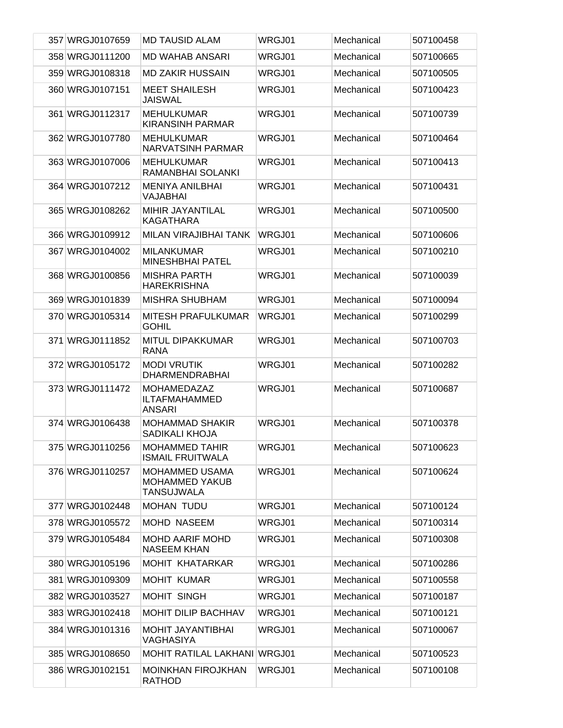| 357 WRGJ0107659 | <b>MD TAUSID ALAM</b>                                        | WRGJ01 | Mechanical | 507100458 |
|-----------------|--------------------------------------------------------------|--------|------------|-----------|
| 358 WRGJ0111200 | <b>MD WAHAB ANSARI</b>                                       | WRGJ01 | Mechanical | 507100665 |
| 359 WRGJ0108318 | <b>MD ZAKIR HUSSAIN</b>                                      | WRGJ01 | Mechanical | 507100505 |
| 360 WRGJ0107151 | <b>MEET SHAILESH</b><br><b>JAISWAL</b>                       | WRGJ01 | Mechanical | 507100423 |
| 361 WRGJ0112317 | <b>MEHULKUMAR</b><br><b>KIRANSINH PARMAR</b>                 | WRGJ01 | Mechanical | 507100739 |
| 362 WRGJ0107780 | <b>MEHULKUMAR</b><br><b>NARVATSINH PARMAR</b>                | WRGJ01 | Mechanical | 507100464 |
| 363 WRGJ0107006 | <b>MEHULKUMAR</b><br>RAMANBHAI SOLANKI                       | WRGJ01 | Mechanical | 507100413 |
| 364 WRGJ0107212 | <b>MENIYA ANILBHAI</b><br>VAJABHAI                           | WRGJ01 | Mechanical | 507100431 |
| 365 WRGJ0108262 | MIHIR JAYANTILAL<br><b>KAGATHARA</b>                         | WRGJ01 | Mechanical | 507100500 |
| 366 WRGJ0109912 | <b>MILAN VIRAJIBHAI TANK</b>                                 | WRGJ01 | Mechanical | 507100606 |
| 367 WRGJ0104002 | <b>MILANKUMAR</b><br><b>MINESHBHAI PATEL</b>                 | WRGJ01 | Mechanical | 507100210 |
| 368 WRGJ0100856 | <b>MISHRA PARTH</b><br><b>HAREKRISHNA</b>                    | WRGJ01 | Mechanical | 507100039 |
| 369 WRGJ0101839 | <b>MISHRA SHUBHAM</b>                                        | WRGJ01 | Mechanical | 507100094 |
| 370 WRGJ0105314 | <b>MITESH PRAFULKUMAR</b><br><b>GOHIL</b>                    | WRGJ01 | Mechanical | 507100299 |
| 371 WRGJ0111852 | <b>MITUL DIPAKKUMAR</b><br><b>RANA</b>                       | WRGJ01 | Mechanical | 507100703 |
| 372 WRGJ0105172 | <b>MODI VRUTIK</b><br><b>DHARMENDRABHAI</b>                  | WRGJ01 | Mechanical | 507100282 |
| 373 WRGJ0111472 | <b>MOHAMEDAZAZ</b><br><b>ILTAFMAHAMMED</b><br><b>ANSARI</b>  | WRGJ01 | Mechanical | 507100687 |
| 374 WRGJ0106438 | <b>MOHAMMAD SHAKIR</b><br>SADIKALI KHOJA                     | WRGJ01 | Mechanical | 507100378 |
| 375 WRGJ0110256 | <b>MOHAMMED TAHIR</b><br><b>ISMAIL FRUITWALA</b>             | WRGJ01 | Mechanical | 507100623 |
| 376 WRGJ0110257 | <b>MOHAMMED USAMA</b><br><b>MOHAMMED YAKUB</b><br>TANSUJWALA | WRGJ01 | Mechanical | 507100624 |
| 377 WRGJ0102448 | <b>MOHAN TUDU</b>                                            | WRGJ01 | Mechanical | 507100124 |
| 378 WRGJ0105572 | MOHD NASEEM                                                  | WRGJ01 | Mechanical | 507100314 |
| 379 WRGJ0105484 | <b>MOHD AARIF MOHD</b><br><b>NASEEM KHAN</b>                 | WRGJ01 | Mechanical | 507100308 |
| 380 WRGJ0105196 | <b>MOHIT KHATARKAR</b>                                       | WRGJ01 | Mechanical | 507100286 |
| 381 WRGJ0109309 | <b>MOHIT KUMAR</b>                                           | WRGJ01 | Mechanical | 507100558 |
| 382 WRGJ0103527 | <b>MOHIT SINGH</b>                                           | WRGJ01 | Mechanical | 507100187 |
| 383 WRGJ0102418 | <b>MOHIT DILIP BACHHAV</b>                                   | WRGJ01 | Mechanical | 507100121 |
| 384 WRGJ0101316 | <b>MOHIT JAYANTIBHAI</b><br><b>VAGHASIYA</b>                 | WRGJ01 | Mechanical | 507100067 |
| 385 WRGJ0108650 | <b>MOHIT RATILAL LAKHANI WRGJ01</b>                          |        | Mechanical | 507100523 |
| 386 WRGJ0102151 | <b>MOINKHAN FIROJKHAN</b><br><b>RATHOD</b>                   | WRGJ01 | Mechanical | 507100108 |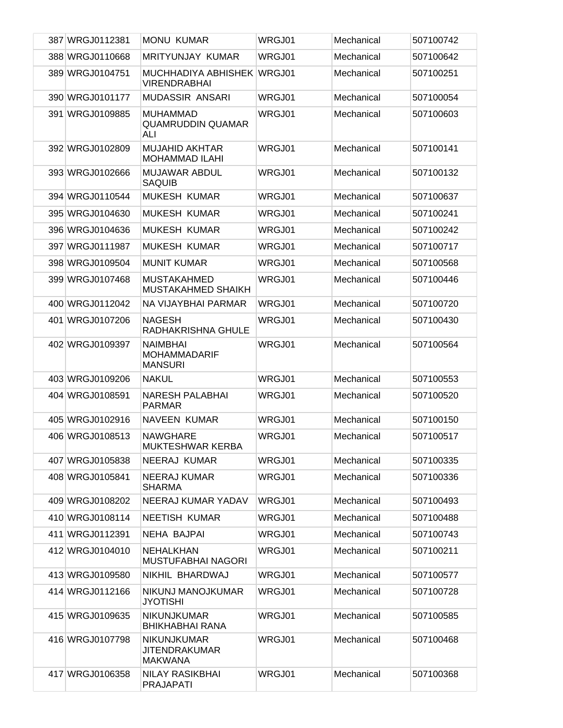| 387 WRGJ0112381 | <b>MONU KUMAR</b>                                            | WRGJ01 | Mechanical | 507100742 |
|-----------------|--------------------------------------------------------------|--------|------------|-----------|
| 388 WRGJ0110668 | <b>MRITYUNJAY KUMAR</b>                                      | WRGJ01 | Mechanical | 507100642 |
| 389 WRGJ0104751 | MUCHHADIYA ABHISHEK WRGJ01<br><b>VIRENDRABHAI</b>            |        | Mechanical | 507100251 |
| 390 WRGJ0101177 | MUDASSIR ANSARI                                              | WRGJ01 | Mechanical | 507100054 |
| 391 WRGJ0109885 | <b>MUHAMMAD</b><br><b>QUAMRUDDIN QUAMAR</b><br>ALI           | WRGJ01 | Mechanical | 507100603 |
| 392 WRGJ0102809 | <b>MUJAHID AKHTAR</b><br><b>MOHAMMAD ILAHI</b>               | WRGJ01 | Mechanical | 507100141 |
| 393 WRGJ0102666 | <b>MUJAWAR ABDUL</b><br><b>SAQUIB</b>                        | WRGJ01 | Mechanical | 507100132 |
| 394 WRGJ0110544 | <b>MUKESH KUMAR</b>                                          | WRGJ01 | Mechanical | 507100637 |
| 395 WRGJ0104630 | <b>MUKESH KUMAR</b>                                          | WRGJ01 | Mechanical | 507100241 |
| 396 WRGJ0104636 | <b>MUKESH KUMAR</b>                                          | WRGJ01 | Mechanical | 507100242 |
| 397 WRGJ0111987 | <b>MUKESH KUMAR</b>                                          | WRGJ01 | Mechanical | 507100717 |
| 398 WRGJ0109504 | <b>MUNIT KUMAR</b>                                           | WRGJ01 | Mechanical | 507100568 |
| 399 WRGJ0107468 | <b>MUSTAKAHMED</b><br>MUSTAKAHMED SHAIKH                     | WRGJ01 | Mechanical | 507100446 |
| 400 WRGJ0112042 | NA VIJAYBHAI PARMAR                                          | WRGJ01 | Mechanical | 507100720 |
| 401 WRGJ0107206 | <b>NAGESH</b><br>RADHAKRISHNA GHULE                          | WRGJ01 | Mechanical | 507100430 |
| 402 WRGJ0109397 | <b>NAIMBHAI</b><br><b>MOHAMMADARIF</b><br><b>MANSURI</b>     | WRGJ01 | Mechanical | 507100564 |
| 403 WRGJ0109206 | <b>NAKUL</b>                                                 | WRGJ01 | Mechanical | 507100553 |
| 404 WRGJ0108591 | <b>NARESH PALABHAI</b><br><b>PARMAR</b>                      | WRGJ01 | Mechanical | 507100520 |
| 405 WRGJ0102916 | <b>NAVEEN KUMAR</b>                                          | WRGJ01 | Mechanical | 507100150 |
| 406 WRGJ0108513 | <b>NAWGHARE</b><br>MUKTESHWAR KERBA                          | WRGJ01 | Mechanical | 507100517 |
| 407 WRGJ0105838 | NEERAJ KUMAR                                                 | WRGJ01 | Mechanical | 507100335 |
| 408 WRGJ0105841 | NEERAJ KUMAR<br><b>SHARMA</b>                                | WRGJ01 | Mechanical | 507100336 |
| 409 WRGJ0108202 | NEERAJ KUMAR YADAV                                           | WRGJ01 | Mechanical | 507100493 |
| 410 WRGJ0108114 | NEETISH KUMAR                                                | WRGJ01 | Mechanical | 507100488 |
| 411 WRGJ0112391 | NEHA BAJPAI                                                  | WRGJ01 | Mechanical | 507100743 |
| 412 WRGJ0104010 | <b>NEHALKHAN</b><br><b>MUSTUFABHAI NAGORI</b>                | WRGJ01 | Mechanical | 507100211 |
| 413 WRGJ0109580 | NIKHIL BHARDWAJ                                              | WRGJ01 | Mechanical | 507100577 |
| 414 WRGJ0112166 | NIKUNJ MANOJKUMAR<br><b>JYOTISHI</b>                         | WRGJ01 | Mechanical | 507100728 |
| 415 WRGJ0109635 | <b>NIKUNJKUMAR</b><br><b>BHIKHABHAI RANA</b>                 | WRGJ01 | Mechanical | 507100585 |
| 416 WRGJ0107798 | <b>NIKUNJKUMAR</b><br><b>JITENDRAKUMAR</b><br><b>MAKWANA</b> | WRGJ01 | Mechanical | 507100468 |
| 417 WRGJ0106358 | <b>NILAY RASIKBHAI</b><br><b>PRAJAPATI</b>                   | WRGJ01 | Mechanical | 507100368 |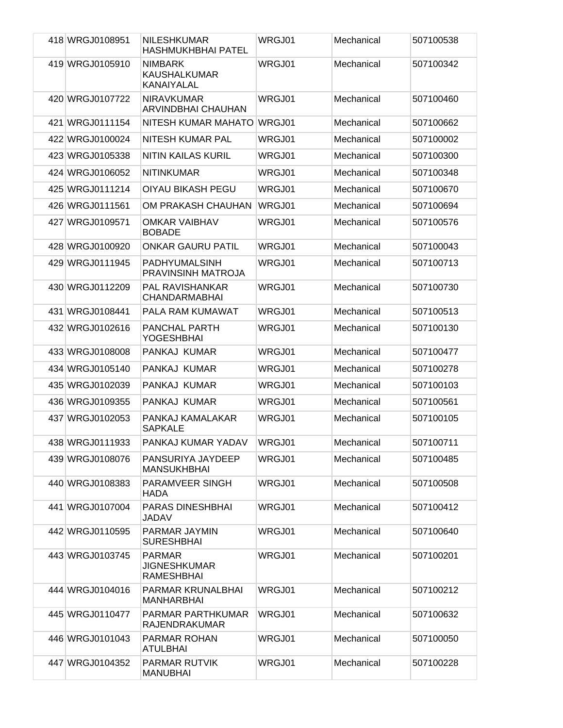| 418 WRGJ0108951 | <b>NILESHKUMAR</b><br><b>HASHMUKHBHAI PATEL</b>           | WRGJ01 | Mechanical | 507100538 |
|-----------------|-----------------------------------------------------------|--------|------------|-----------|
| 419 WRGJ0105910 | <b>NIMBARK</b><br><b>KAUSHALKUMAR</b><br>KANAIYALAL       | WRGJ01 | Mechanical | 507100342 |
| 420 WRGJ0107722 | <b>NIRAVKUMAR</b><br>ARVINDBHAI CHAUHAN                   | WRGJ01 | Mechanical | 507100460 |
| 421 WRGJ0111154 | NITESH KUMAR MAHATO                                       | WRGJ01 | Mechanical | 507100662 |
| 422 WRGJ0100024 | NITESH KUMAR PAL                                          | WRGJ01 | Mechanical | 507100002 |
| 423 WRGJ0105338 | <b>NITIN KAILAS KURIL</b>                                 | WRGJ01 | Mechanical | 507100300 |
| 424 WRGJ0106052 | <b>NITINKUMAR</b>                                         | WRGJ01 | Mechanical | 507100348 |
| 425 WRGJ0111214 | OIYAU BIKASH PEGU                                         | WRGJ01 | Mechanical | 507100670 |
| 426 WRGJ0111561 | OM PRAKASH CHAUHAN                                        | WRGJ01 | Mechanical | 507100694 |
| 427 WRGJ0109571 | <b>OMKAR VAIBHAV</b><br><b>BOBADE</b>                     | WRGJ01 | Mechanical | 507100576 |
| 428 WRGJ0100920 | <b>ONKAR GAURU PATIL</b>                                  | WRGJ01 | Mechanical | 507100043 |
| 429 WRGJ0111945 | <b>PADHYUMALSINH</b><br>PRAVINSINH MATROJA                | WRGJ01 | Mechanical | 507100713 |
| 430 WRGJ0112209 | PAL RAVISHANKAR<br><b>CHANDARMABHAI</b>                   | WRGJ01 | Mechanical | 507100730 |
| 431 WRGJ0108441 | PALA RAM KUMAWAT                                          | WRGJ01 | Mechanical | 507100513 |
| 432 WRGJ0102616 | <b>PANCHAL PARTH</b><br><b>YOGESHBHAI</b>                 | WRGJ01 | Mechanical | 507100130 |
| 433 WRGJ0108008 | PANKAJ KUMAR                                              | WRGJ01 | Mechanical | 507100477 |
| 434 WRGJ0105140 | PANKAJ KUMAR                                              | WRGJ01 | Mechanical | 507100278 |
| 435 WRGJ0102039 | PANKAJ KUMAR                                              | WRGJ01 | Mechanical | 507100103 |
| 436 WRGJ0109355 | PANKAJ KUMAR                                              | WRGJ01 | Mechanical | 507100561 |
| 437 WRGJ0102053 | PANKAJ KAMALAKAR<br><b>SAPKALE</b>                        | WRGJ01 | Mechanical | 507100105 |
| 438 WRGJ0111933 | PANKAJ KUMAR YADAV                                        | WRGJ01 | Mechanical | 507100711 |
| 439 WRGJ0108076 | PANSURIYA JAYDEEP<br><b>MANSUKHBHAI</b>                   | WRGJ01 | Mechanical | 507100485 |
| 440 WRGJ0108383 | PARAMVEER SINGH<br><b>HADA</b>                            | WRGJ01 | Mechanical | 507100508 |
| 441 WRGJ0107004 | PARAS DINESHBHAI<br>JADAV                                 | WRGJ01 | Mechanical | 507100412 |
| 442 WRGJ0110595 | PARMAR JAYMIN<br><b>SURESHBHAI</b>                        | WRGJ01 | Mechanical | 507100640 |
| 443 WRGJ0103745 | <b>PARMAR</b><br><b>JIGNESHKUMAR</b><br><b>RAMESHBHAI</b> | WRGJ01 | Mechanical | 507100201 |
| 444 WRGJ0104016 | PARMAR KRUNALBHAI<br><b>MANHARBHAI</b>                    | WRGJ01 | Mechanical | 507100212 |
| 445 WRGJ0110477 | PARMAR PARTHKUMAR<br><b>RAJENDRAKUMAR</b>                 | WRGJ01 | Mechanical | 507100632 |
| 446 WRGJ0101043 | PARMAR ROHAN<br><b>ATULBHAI</b>                           | WRGJ01 | Mechanical | 507100050 |
| 447 WRGJ0104352 | PARMAR RUTVIK<br><b>MANUBHAI</b>                          | WRGJ01 | Mechanical | 507100228 |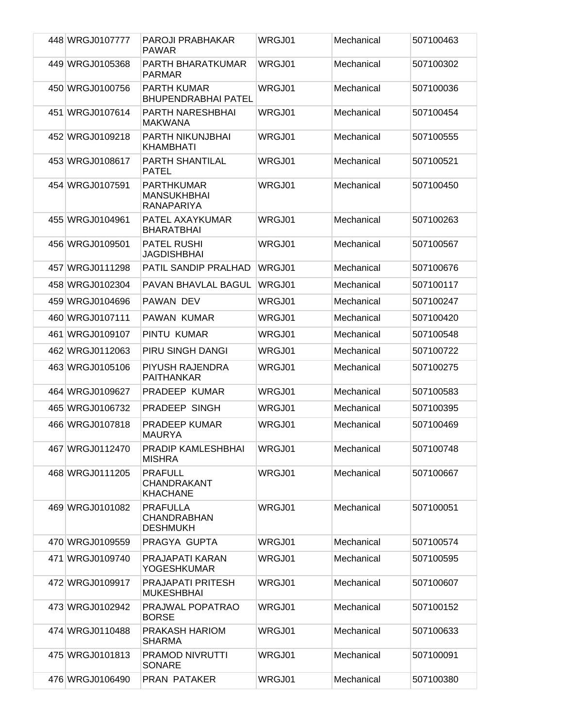| 448 WRGJ0107777 | <b>PAROJI PRABHAKAR</b><br><b>PAWAR</b>                      | WRGJ01        | Mechanical | 507100463 |
|-----------------|--------------------------------------------------------------|---------------|------------|-----------|
| 449 WRGJ0105368 | PARTH BHARATKUMAR<br><b>PARMAR</b>                           | WRGJ01        | Mechanical | 507100302 |
| 450 WRGJ0100756 | <b>PARTH KUMAR</b><br><b>BHUPENDRABHAI PATEL</b>             | WRGJ01        | Mechanical | 507100036 |
| 451 WRGJ0107614 | PARTH NARESHBHAI<br><b>MAKWANA</b>                           | WRGJ01        | Mechanical | 507100454 |
| 452 WRGJ0109218 | <b>PARTH NIKUNJBHAI</b><br><b>KHAMBHATI</b>                  | WRGJ01        | Mechanical | 507100555 |
| 453 WRGJ0108617 | PARTH SHANTILAL<br><b>PATEL</b>                              | WRGJ01        | Mechanical | 507100521 |
| 454 WRGJ0107591 | <b>PARTHKUMAR</b><br><b>MANSUKHBHAI</b><br><b>RANAPARIYA</b> | WRGJ01        | Mechanical | 507100450 |
| 455 WRGJ0104961 | PATEL AXAYKUMAR<br><b>BHARATBHAI</b>                         | <b>WRGJ01</b> | Mechanical | 507100263 |
| 456 WRGJ0109501 | <b>PATEL RUSHI</b><br><b>JAGDISHBHAI</b>                     | WRGJ01        | Mechanical | 507100567 |
| 457 WRGJ0111298 | PATIL SANDIP PRALHAD                                         | WRGJ01        | Mechanical | 507100676 |
| 458 WRGJ0102304 | PAVAN BHAVLAL BAGUL                                          | WRGJ01        | Mechanical | 507100117 |
| 459 WRGJ0104696 | PAWAN DEV                                                    | WRGJ01        | Mechanical | 507100247 |
| 460 WRGJ0107111 | PAWAN KUMAR                                                  | WRGJ01        | Mechanical | 507100420 |
| 461 WRGJ0109107 | PINTU KUMAR                                                  | WRGJ01        | Mechanical | 507100548 |
| 462 WRGJ0112063 | PIRU SINGH DANGI                                             | WRGJ01        | Mechanical | 507100722 |
| 463 WRGJ0105106 | PIYUSH RAJENDRA<br><b>PAITHANKAR</b>                         | WRGJ01        | Mechanical | 507100275 |
| 464 WRGJ0109627 | PRADEEP KUMAR                                                | WRGJ01        | Mechanical | 507100583 |
| 465 WRGJ0106732 | PRADEEP SINGH                                                | WRGJ01        | Mechanical | 507100395 |
| 466 WRGJ0107818 | <b>PRADEEP KUMAR</b><br><b>MAURYA</b>                        | WRGJ01        | Mechanical | 507100469 |
| 467 WRGJ0112470 | PRADIP KAMLESHBHAI<br><b>MISHRA</b>                          | WRGJ01        | Mechanical | 507100748 |
| 468 WRGJ0111205 | <b>PRAFULL</b><br>CHANDRAKANT<br><b>KHACHANE</b>             | WRGJ01        | Mechanical | 507100667 |
| 469 WRGJ0101082 | <b>PRAFULLA</b><br><b>CHANDRABHAN</b><br><b>DESHMUKH</b>     | WRGJ01        | Mechanical | 507100051 |
| 470 WRGJ0109559 | PRAGYA GUPTA                                                 | WRGJ01        | Mechanical | 507100574 |
| 471 WRGJ0109740 | PRAJAPATI KARAN<br><b>YOGESHKUMAR</b>                        | WRGJ01        | Mechanical | 507100595 |
| 472 WRGJ0109917 | <b>PRAJAPATI PRITESH</b><br><b>MUKESHBHAI</b>                | WRGJ01        | Mechanical | 507100607 |
| 473 WRGJ0102942 | PRAJWAL POPATRAO<br><b>BORSE</b>                             | WRGJ01        | Mechanical | 507100152 |
| 474 WRGJ0110488 | PRAKASH HARIOM<br><b>SHARMA</b>                              | WRGJ01        | Mechanical | 507100633 |
| 475 WRGJ0101813 | <b>PRAMOD NIVRUTTI</b><br><b>SONARE</b>                      | WRGJ01        | Mechanical | 507100091 |
| 476 WRGJ0106490 | <b>PRAN PATAKER</b>                                          | WRGJ01        | Mechanical | 507100380 |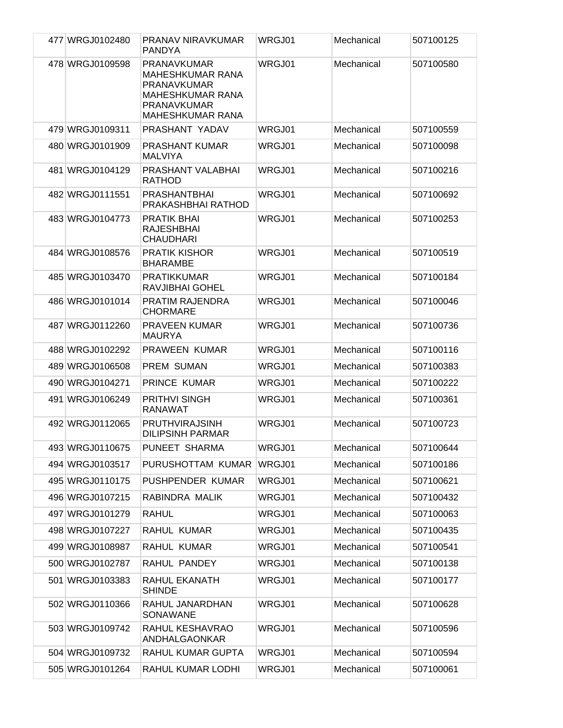| 477 WRGJ0102480 | PRANAV NIRAVKUMAR<br><b>PANDYA</b>                                                                                                | WRGJ01 | Mechanical | 507100125 |
|-----------------|-----------------------------------------------------------------------------------------------------------------------------------|--------|------------|-----------|
| 478 WRGJ0109598 | <b>PRANAVKUMAR</b><br>MAHESHKUMAR RANA<br><b>PRANAVKUMAR</b><br><b>MAHESHKUMAR RANA</b><br>PRANAVKUMAR<br><b>MAHESHKUMAR RANA</b> | WRGJ01 | Mechanical | 507100580 |
| 479 WRGJ0109311 | PRASHANT YADAV                                                                                                                    | WRGJ01 | Mechanical | 507100559 |
| 480 WRGJ0101909 | <b>PRASHANT KUMAR</b><br><b>MALVIYA</b>                                                                                           | WRGJ01 | Mechanical | 507100098 |
| 481 WRGJ0104129 | PRASHANT VALABHAI<br><b>RATHOD</b>                                                                                                | WRGJ01 | Mechanical | 507100216 |
| 482 WRGJ0111551 | <b>PRASHANTBHAI</b><br>PRAKASHBHAI RATHOD                                                                                         | WRGJ01 | Mechanical | 507100692 |
| 483 WRGJ0104773 | PRATIK BHAI<br><b>RAJESHBHAI</b><br><b>CHAUDHARI</b>                                                                              | WRGJ01 | Mechanical | 507100253 |
| 484 WRGJ0108576 | <b>PRATIK KISHOR</b><br><b>BHARAMBE</b>                                                                                           | WRGJ01 | Mechanical | 507100519 |
| 485 WRGJ0103470 | <b>PRATIKKUMAR</b><br>RAVJIBHAI GOHEL                                                                                             | WRGJ01 | Mechanical | 507100184 |
| 486 WRGJ0101014 | PRATIM RAJENDRA<br><b>CHORMARE</b>                                                                                                | WRGJ01 | Mechanical | 507100046 |
| 487 WRGJ0112260 | <b>PRAVEEN KUMAR</b><br><b>MAURYA</b>                                                                                             | WRGJ01 | Mechanical | 507100736 |
| 488 WRGJ0102292 | PRAWEEN KUMAR                                                                                                                     | WRGJ01 | Mechanical | 507100116 |
| 489 WRGJ0106508 | <b>PREM SUMAN</b>                                                                                                                 | WRGJ01 | Mechanical | 507100383 |
| 490 WRGJ0104271 | PRINCE KUMAR                                                                                                                      | WRGJ01 | Mechanical | 507100222 |
| 491 WRGJ0106249 | <b>PRITHVI SINGH</b><br><b>RANAWAT</b>                                                                                            | WRGJ01 | Mechanical | 507100361 |
| 492 WRGJ0112065 | <b>PRUTHVIRAJSINH</b><br><b>DILIPSINH PARMAR</b>                                                                                  | WRGJ01 | Mechanical | 507100723 |
| 493 WRGJ0110675 | PUNEET SHARMA                                                                                                                     | WRGJ01 | Mechanical | 507100644 |
| 494 WRGJ0103517 | PURUSHOTTAM KUMAR                                                                                                                 | WRGJ01 | Mechanical | 507100186 |
| 495 WRGJ0110175 | PUSHPENDER KUMAR                                                                                                                  | WRGJ01 | Mechanical | 507100621 |
| 496 WRGJ0107215 | RABINDRA MALIK                                                                                                                    | WRGJ01 | Mechanical | 507100432 |
| 497 WRGJ0101279 | <b>RAHUL</b>                                                                                                                      | WRGJ01 | Mechanical | 507100063 |
| 498 WRGJ0107227 | RAHUL KUMAR                                                                                                                       | WRGJ01 | Mechanical | 507100435 |
| 499 WRGJ0108987 | RAHUL KUMAR                                                                                                                       | WRGJ01 | Mechanical | 507100541 |
| 500 WRGJ0102787 | RAHUL PANDEY                                                                                                                      | WRGJ01 | Mechanical | 507100138 |
| 501 WRGJ0103383 | RAHUL EKANATH<br><b>SHINDE</b>                                                                                                    | WRGJ01 | Mechanical | 507100177 |
| 502 WRGJ0110366 | RAHUL JANARDHAN<br>SONAWANE                                                                                                       | WRGJ01 | Mechanical | 507100628 |
| 503 WRGJ0109742 | RAHUL KESHAVRAO<br>ANDHALGAONKAR                                                                                                  | WRGJ01 | Mechanical | 507100596 |
| 504 WRGJ0109732 | RAHUL KUMAR GUPTA                                                                                                                 | WRGJ01 | Mechanical | 507100594 |
| 505 WRGJ0101264 | RAHUL KUMAR LODHI                                                                                                                 | WRGJ01 | Mechanical | 507100061 |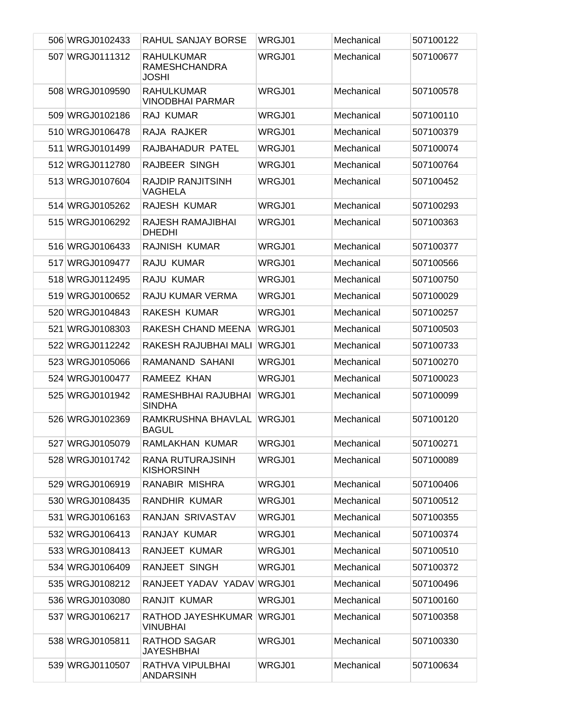| 506 WRGJ0102433 | RAHUL SANJAY BORSE                                        | WRGJ01 | Mechanical | 507100122 |
|-----------------|-----------------------------------------------------------|--------|------------|-----------|
| 507 WRGJ0111312 | <b>RAHULKUMAR</b><br><b>RAMESHCHANDRA</b><br><b>JOSHI</b> | WRGJ01 | Mechanical | 507100677 |
| 508 WRGJ0109590 | <b>RAHULKUMAR</b><br><b>VINODBHAI PARMAR</b>              | WRGJ01 | Mechanical | 507100578 |
| 509 WRGJ0102186 | RAJ KUMAR                                                 | WRGJ01 | Mechanical | 507100110 |
| 510 WRGJ0106478 | RAJA RAJKER                                               | WRGJ01 | Mechanical | 507100379 |
| 511 WRGJ0101499 | RAJBAHADUR PATEL                                          | WRGJ01 | Mechanical | 507100074 |
| 512 WRGJ0112780 | RAJBEER SINGH                                             | WRGJ01 | Mechanical | 507100764 |
| 513 WRGJ0107604 | <b>RAJDIP RANJITSINH</b><br><b>VAGHELA</b>                | WRGJ01 | Mechanical | 507100452 |
| 514 WRGJ0105262 | RAJESH KUMAR                                              | WRGJ01 | Mechanical | 507100293 |
| 515 WRGJ0106292 | RAJESH RAMAJIBHAI<br><b>DHEDHI</b>                        | WRGJ01 | Mechanical | 507100363 |
| 516 WRGJ0106433 | RAJNISH KUMAR                                             | WRGJ01 | Mechanical | 507100377 |
| 517 WRGJ0109477 | RAJU KUMAR                                                | WRGJ01 | Mechanical | 507100566 |
| 518 WRGJ0112495 | RAJU KUMAR                                                | WRGJ01 | Mechanical | 507100750 |
| 519 WRGJ0100652 | RAJU KUMAR VERMA                                          | WRGJ01 | Mechanical | 507100029 |
| 520 WRGJ0104843 | RAKESH KUMAR                                              | WRGJ01 | Mechanical | 507100257 |
| 521 WRGJ0108303 | RAKESH CHAND MEENA                                        | WRGJ01 | Mechanical | 507100503 |
| 522 WRGJ0112242 | RAKESH RAJUBHAI MALI                                      | WRGJ01 | Mechanical | 507100733 |
| 523 WRGJ0105066 | RAMANAND SAHANI                                           | WRGJ01 | Mechanical | 507100270 |
| 524 WRGJ0100477 | RAMEEZ KHAN                                               | WRGJ01 | Mechanical | 507100023 |
| 525 WRGJ0101942 | RAMESHBHAI RAJUBHAI<br><b>SINDHA</b>                      | WRGJ01 | Mechanical | 507100099 |
| 526 WRGJ0102369 | RAMKRUSHNA BHAVLAL<br><b>BAGUL</b>                        | WRGJ01 | Mechanical | 507100120 |
| 527 WRGJ0105079 | RAMLAKHAN KUMAR                                           | WRGJ01 | Mechanical | 507100271 |
| 528 WRGJ0101742 | RANA RUTURAJSINH<br><b>KISHORSINH</b>                     | WRGJ01 | Mechanical | 507100089 |
| 529 WRGJ0106919 | RANABIR MISHRA                                            | WRGJ01 | Mechanical | 507100406 |
| 530 WRGJ0108435 | RANDHIR KUMAR                                             | WRGJ01 | Mechanical | 507100512 |
| 531 WRGJ0106163 | RANJAN SRIVASTAV                                          | WRGJ01 | Mechanical | 507100355 |
| 532 WRGJ0106413 | RANJAY KUMAR                                              | WRGJ01 | Mechanical | 507100374 |
| 533 WRGJ0108413 | RANJEET KUMAR                                             | WRGJ01 | Mechanical | 507100510 |
| 534 WRGJ0106409 | RANJEET SINGH                                             | WRGJ01 | Mechanical | 507100372 |
| 535 WRGJ0108212 | RANJEET YADAV YADAV WRGJ01                                |        | Mechanical | 507100496 |
| 536 WRGJ0103080 | RANJIT KUMAR                                              | WRGJ01 | Mechanical | 507100160 |
| 537 WRGJ0106217 | RATHOD JAYESHKUMAR WRGJ01<br><b>VINUBHAI</b>              |        | Mechanical | 507100358 |
| 538 WRGJ0105811 | <b>RATHOD SAGAR</b><br><b>JAYESHBHAI</b>                  | WRGJ01 | Mechanical | 507100330 |
| 539 WRGJ0110507 | RATHVA VIPULBHAI<br><b>ANDARSINH</b>                      | WRGJ01 | Mechanical | 507100634 |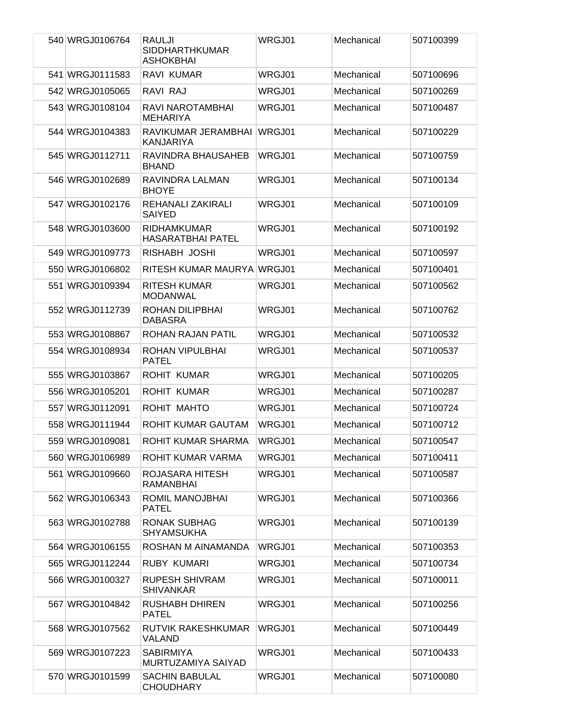| 540 WRGJ0106764 | RAULJI<br><b>SIDDHARTHKUMAR</b><br><b>ASHOKBHAI</b> | WRGJ01 | Mechanical | 507100399 |
|-----------------|-----------------------------------------------------|--------|------------|-----------|
| 541 WRGJ0111583 | RAVI KUMAR                                          | WRGJ01 | Mechanical | 507100696 |
| 542 WRGJ0105065 | RAVI RAJ                                            | WRGJ01 | Mechanical | 507100269 |
| 543 WRGJ0108104 | RAVI NAROTAMBHAI<br><b>MEHARIYA</b>                 | WRGJ01 | Mechanical | 507100487 |
| 544 WRGJ0104383 | RAVIKUMAR JERAMBHAI<br><b>KANJARIYA</b>             | WRGJ01 | Mechanical | 507100229 |
| 545 WRGJ0112711 | RAVINDRA BHAUSAHEB<br><b>BHAND</b>                  | WRGJ01 | Mechanical | 507100759 |
| 546 WRGJ0102689 | RAVINDRA LALMAN<br><b>BHOYE</b>                     | WRGJ01 | Mechanical | 507100134 |
| 547 WRGJ0102176 | REHANALI ZAKIRALI<br><b>SAIYED</b>                  | WRGJ01 | Mechanical | 507100109 |
| 548 WRGJ0103600 | <b>RIDHAMKUMAR</b><br><b>HASARATBHAI PATEL</b>      | WRGJ01 | Mechanical | 507100192 |
| 549 WRGJ0109773 | RISHABH JOSHI                                       | WRGJ01 | Mechanical | 507100597 |
| 550 WRGJ0106802 | RITESH KUMAR MAURYA WRGJ01                          |        | Mechanical | 507100401 |
| 551 WRGJ0109394 | <b>RITESH KUMAR</b><br><b>MODANWAL</b>              | WRGJ01 | Mechanical | 507100562 |
| 552 WRGJ0112739 | ROHAN DILIPBHAI<br><b>DABASRA</b>                   | WRGJ01 | Mechanical | 507100762 |
| 553 WRGJ0108867 | ROHAN RAJAN PATIL                                   | WRGJ01 | Mechanical | 507100532 |
| 554 WRGJ0108934 | ROHAN VIPULBHAI<br><b>PATEL</b>                     | WRGJ01 | Mechanical | 507100537 |
| 555 WRGJ0103867 | <b>ROHIT KUMAR</b>                                  | WRGJ01 | Mechanical | 507100205 |
| 556 WRGJ0105201 | <b>ROHIT KUMAR</b>                                  | WRGJ01 | Mechanical | 507100287 |
| 557 WRGJ0112091 | ROHIT MAHTO                                         | WRGJ01 | Mechanical | 507100724 |
| 558 WRGJ0111944 | ROHIT KUMAR GAUTAM                                  | WRGJ01 | Mechanical | 507100712 |
| 559 WRGJ0109081 | ROHIT KUMAR SHARMA                                  | WRGJ01 | Mechanical | 507100547 |
| 560 WRGJ0106989 | ROHIT KUMAR VARMA                                   | WRGJ01 | Mechanical | 507100411 |
| 561 WRGJ0109660 | ROJASARA HITESH<br><b>RAMANBHAI</b>                 | WRGJ01 | Mechanical | 507100587 |
| 562 WRGJ0106343 | ROMIL MANOJBHAI<br><b>PATEL</b>                     | WRGJ01 | Mechanical | 507100366 |
| 563 WRGJ0102788 | <b>RONAK SUBHAG</b><br><b>SHYAMSUKHA</b>            | WRGJ01 | Mechanical | 507100139 |
| 564 WRGJ0106155 | ROSHAN M AINAMANDA                                  | WRGJ01 | Mechanical | 507100353 |
| 565 WRGJ0112244 | <b>RUBY KUMARI</b>                                  | WRGJ01 | Mechanical | 507100734 |
| 566 WRGJ0100327 | <b>RUPESH SHIVRAM</b><br><b>SHIVANKAR</b>           | WRGJ01 | Mechanical | 507100011 |
| 567 WRGJ0104842 | <b>RUSHABH DHIREN</b><br><b>PATEL</b>               | WRGJ01 | Mechanical | 507100256 |
| 568 WRGJ0107562 | RUTVIK RAKESHKUMAR<br>VALAND                        | WRGJ01 | Mechanical | 507100449 |
| 569 WRGJ0107223 | <b>SABIRMIYA</b><br>MURTUZAMIYA SAIYAD              | WRGJ01 | Mechanical | 507100433 |
| 570 WRGJ0101599 | <b>SACHIN BABULAL</b><br><b>CHOUDHARY</b>           | WRGJ01 | Mechanical | 507100080 |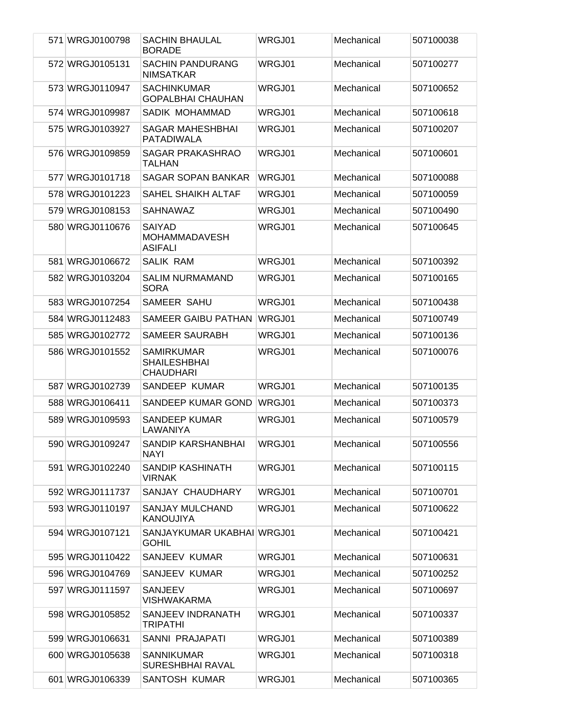| 571 WRGJ0100798 | <b>SACHIN BHAULAL</b><br><b>BORADE</b>                       | WRGJ01 | Mechanical | 507100038 |
|-----------------|--------------------------------------------------------------|--------|------------|-----------|
| 572 WRGJ0105131 | <b>SACHIN PANDURANG</b><br><b>NIMSATKAR</b>                  | WRGJ01 | Mechanical | 507100277 |
| 573 WRGJ0110947 | <b>SACHINKUMAR</b><br><b>GOPALBHAI CHAUHAN</b>               | WRGJ01 | Mechanical | 507100652 |
| 574 WRGJ0109987 | SADIK MOHAMMAD                                               | WRGJ01 | Mechanical | 507100618 |
| 575 WRGJ0103927 | <b>SAGAR MAHESHBHAI</b><br><b>PATADIWALA</b>                 | WRGJ01 | Mechanical | 507100207 |
| 576 WRGJ0109859 | <b>SAGAR PRAKASHRAO</b><br>TALHAN                            | WRGJ01 | Mechanical | 507100601 |
| 577 WRGJ0101718 | <b>SAGAR SOPAN BANKAR</b>                                    | WRGJ01 | Mechanical | 507100088 |
| 578 WRGJ0101223 | SAHEL SHAIKH ALTAF                                           | WRGJ01 | Mechanical | 507100059 |
| 579 WRGJ0108153 | <b>SAHNAWAZ</b>                                              | WRGJ01 | Mechanical | 507100490 |
| 580 WRGJ0110676 | <b>SAIYAD</b><br><b>MOHAMMADAVESH</b><br><b>ASIFALI</b>      | WRGJ01 | Mechanical | 507100645 |
| 581 WRGJ0106672 | <b>SALIK RAM</b>                                             | WRGJ01 | Mechanical | 507100392 |
| 582 WRGJ0103204 | <b>SALIM NURMAMAND</b><br><b>SORA</b>                        | WRGJ01 | Mechanical | 507100165 |
| 583 WRGJ0107254 | SAMEER SAHU                                                  | WRGJ01 | Mechanical | 507100438 |
| 584 WRGJ0112483 | SAMEER GAIBU PATHAN                                          | WRGJ01 | Mechanical | 507100749 |
| 585 WRGJ0102772 | SAMEER SAURABH                                               | WRGJ01 | Mechanical | 507100136 |
| 586 WRGJ0101552 | <b>SAMIRKUMAR</b><br><b>SHAILESHBHAI</b><br><b>CHAUDHARI</b> | WRGJ01 | Mechanical | 507100076 |
| 587 WRGJ0102739 | SANDEEP KUMAR                                                | WRGJ01 | Mechanical | 507100135 |
| 588 WRGJ0106411 | SANDEEP KUMAR GOND                                           | WRGJ01 | Mechanical | 507100373 |
| 589 WRGJ0109593 | <b>SANDEEP KUMAR</b><br>LAWANIYA                             | WRGJ01 | Mechanical | 507100579 |
| 590 WRGJ0109247 | SANDIP KARSHANBHAI<br><b>NAYI</b>                            | WRGJ01 | Mechanical | 507100556 |
| 591 WRGJ0102240 | SANDIP KASHINATH<br><b>VIRNAK</b>                            | WRGJ01 | Mechanical | 507100115 |
| 592 WRGJ0111737 | SANJAY CHAUDHARY                                             | WRGJ01 | Mechanical | 507100701 |
| 593 WRGJ0110197 | SANJAY MULCHAND<br><b>KANOUJIYA</b>                          | WRGJ01 | Mechanical | 507100622 |
| 594 WRGJ0107121 | SANJAYKUMAR UKABHAI WRGJ01<br><b>GOHIL</b>                   |        | Mechanical | 507100421 |
| 595 WRGJ0110422 | SANJEEV KUMAR                                                | WRGJ01 | Mechanical | 507100631 |
| 596 WRGJ0104769 | SANJEEV KUMAR                                                | WRGJ01 | Mechanical | 507100252 |
| 597 WRGJ0111597 | <b>SANJEEV</b><br><b>VISHWAKARMA</b>                         | WRGJ01 | Mechanical | 507100697 |
| 598 WRGJ0105852 | SANJEEV INDRANATH<br><b>TRIPATHI</b>                         | WRGJ01 | Mechanical | 507100337 |
| 599 WRGJ0106631 | SANNI PRAJAPATI                                              | WRGJ01 | Mechanical | 507100389 |
| 600 WRGJ0105638 | <b>SANNIKUMAR</b><br>SURESHBHAI RAVAL                        | WRGJ01 | Mechanical | 507100318 |
| 601 WRGJ0106339 | SANTOSH KUMAR                                                | WRGJ01 | Mechanical | 507100365 |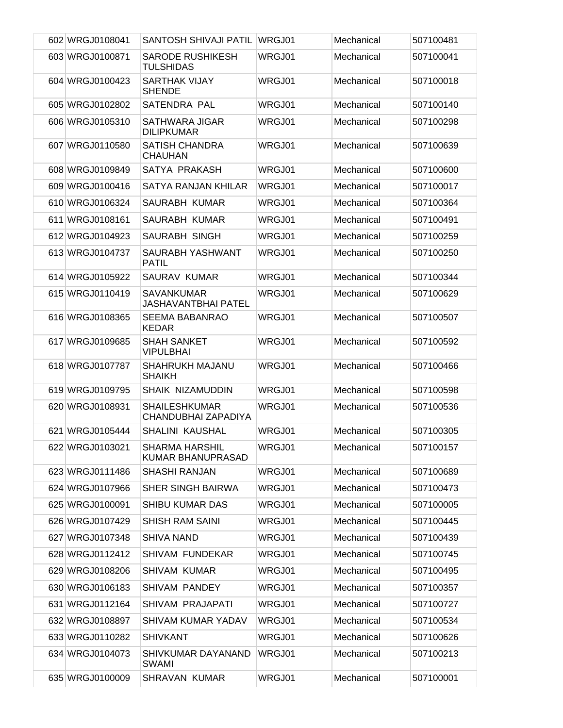| 602 WRGJ0108041 | SANTOSH SHIVAJI PATIL                       | WRGJ01 | Mechanical | 507100481 |
|-----------------|---------------------------------------------|--------|------------|-----------|
| 603 WRGJ0100871 | <b>SARODE RUSHIKESH</b><br><b>TULSHIDAS</b> | WRGJ01 | Mechanical | 507100041 |
| 604 WRGJ0100423 | <b>SARTHAK VIJAY</b><br><b>SHENDE</b>       | WRGJ01 | Mechanical | 507100018 |
| 605 WRGJ0102802 | SATENDRA PAL                                | WRGJ01 | Mechanical | 507100140 |
| 606 WRGJ0105310 | <b>SATHWARA JIGAR</b><br><b>DILIPKUMAR</b>  | WRGJ01 | Mechanical | 507100298 |
| 607 WRGJ0110580 | <b>SATISH CHANDRA</b><br><b>CHAUHAN</b>     | WRGJ01 | Mechanical | 507100639 |
| 608 WRGJ0109849 | SATYA PRAKASH                               | WRGJ01 | Mechanical | 507100600 |
| 609 WRGJ0100416 | SATYA RANJAN KHILAR                         | WRGJ01 | Mechanical | 507100017 |
| 610 WRGJ0106324 | SAURABH KUMAR                               | WRGJ01 | Mechanical | 507100364 |
| 611 WRGJ0108161 | SAURABH KUMAR                               | WRGJ01 | Mechanical | 507100491 |
| 612 WRGJ0104923 | <b>SAURABH SINGH</b>                        | WRGJ01 | Mechanical | 507100259 |
| 613 WRGJ0104737 | SAURABH YASHWANT<br><b>PATIL</b>            | WRGJ01 | Mechanical | 507100250 |
| 614 WRGJ0105922 | SAURAV KUMAR                                | WRGJ01 | Mechanical | 507100344 |
| 615 WRGJ0110419 | <b>SAVANKUMAR</b><br>JASHAVANTBHAI PATEL    | WRGJ01 | Mechanical | 507100629 |
| 616 WRGJ0108365 | <b>SEEMA BABANRAO</b><br><b>KEDAR</b>       | WRGJ01 | Mechanical | 507100507 |
| 617 WRGJ0109685 | <b>SHAH SANKET</b><br><b>VIPULBHAI</b>      | WRGJ01 | Mechanical | 507100592 |
| 618 WRGJ0107787 | <b>SHAHRUKH MAJANU</b><br><b>SHAIKH</b>     | WRGJ01 | Mechanical | 507100466 |
| 619 WRGJ0109795 | SHAIK NIZAMUDDIN                            | WRGJ01 | Mechanical | 507100598 |
| 620 WRGJ0108931 | <b>SHAILESHKUMAR</b><br>CHANDUBHAI ZAPADIYA | WRGJ01 | Mechanical | 507100536 |
| 621 WRGJ0105444 | <b>SHALINI KAUSHAL</b>                      | WRGJ01 | Mechanical | 507100305 |
| 622 WRGJ0103021 | <b>SHARMA HARSHIL</b><br>KUMAR BHANUPRASAD  | WRGJ01 | Mechanical | 507100157 |
| 623 WRGJ0111486 | <b>SHASHI RANJAN</b>                        | WRGJ01 | Mechanical | 507100689 |
| 624 WRGJ0107966 | <b>SHER SINGH BAIRWA</b>                    | WRGJ01 | Mechanical | 507100473 |
| 625 WRGJ0100091 | <b>SHIBU KUMAR DAS</b>                      | WRGJ01 | Mechanical | 507100005 |
| 626 WRGJ0107429 | <b>SHISH RAM SAINI</b>                      | WRGJ01 | Mechanical | 507100445 |
| 627 WRGJ0107348 | <b>SHIVA NAND</b>                           | WRGJ01 | Mechanical | 507100439 |
| 628 WRGJ0112412 | <b>SHIVAM FUNDEKAR</b>                      | WRGJ01 | Mechanical | 507100745 |
| 629 WRGJ0108206 | <b>SHIVAM KUMAR</b>                         | WRGJ01 | Mechanical | 507100495 |
| 630 WRGJ0106183 | SHIVAM PANDEY                               | WRGJ01 | Mechanical | 507100357 |
| 631 WRGJ0112164 | SHIVAM PRAJAPATI                            | WRGJ01 | Mechanical | 507100727 |
| 632 WRGJ0108897 | SHIVAM KUMAR YADAV                          | WRGJ01 | Mechanical | 507100534 |
| 633 WRGJ0110282 | <b>SHIVKANT</b>                             | WRGJ01 | Mechanical | 507100626 |
| 634 WRGJ0104073 | SHIVKUMAR DAYANAND<br>SWAMI                 | WRGJ01 | Mechanical | 507100213 |
| 635 WRGJ0100009 | SHRAVAN KUMAR                               | WRGJ01 | Mechanical | 507100001 |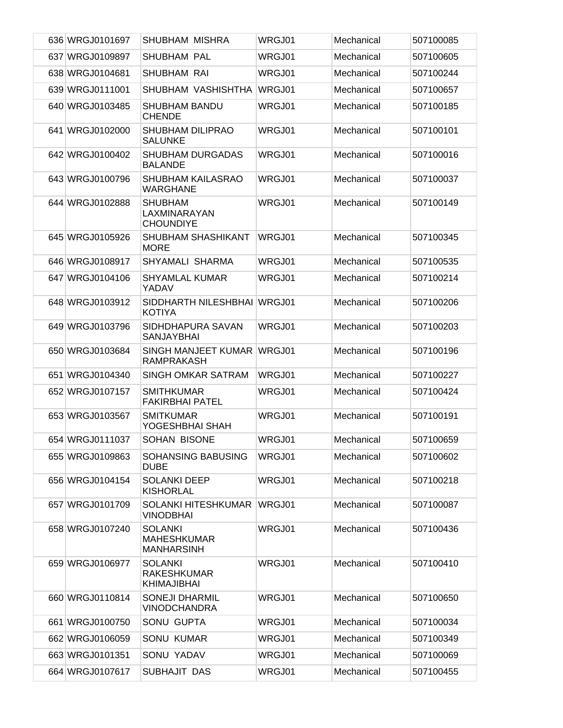| 636 WRGJ0101697 | SHUBHAM MISHRA                                             | WRGJ01 | Mechanical | 507100085 |
|-----------------|------------------------------------------------------------|--------|------------|-----------|
| 637 WRGJ0109897 | <b>SHUBHAM PAL</b>                                         | WRGJ01 | Mechanical | 507100605 |
| 638 WRGJ0104681 | SHUBHAM RAI                                                | WRGJ01 | Mechanical | 507100244 |
| 639 WRGJ0111001 | SHUBHAM VASHISHTHA                                         | WRGJ01 | Mechanical | 507100657 |
| 640 WRGJ0103485 | SHUBHAM BANDU<br><b>CHENDE</b>                             | WRGJ01 | Mechanical | 507100185 |
| 641 WRGJ0102000 | <b>SHUBHAM DILIPRAO</b><br><b>SALUNKE</b>                  | WRGJ01 | Mechanical | 507100101 |
| 642 WRGJ0100402 | <b>SHUBHAM DURGADAS</b><br><b>BALANDE</b>                  | WRGJ01 | Mechanical | 507100016 |
| 643 WRGJ0100796 | <b>SHUBHAM KAILASRAO</b><br><b>WARGHANE</b>                | WRGJ01 | Mechanical | 507100037 |
| 644 WRGJ0102888 | <b>SHUBHAM</b><br>LAXMINARAYAN<br><b>CHOUNDIYE</b>         | WRGJ01 | Mechanical | 507100149 |
| 645 WRGJ0105926 | SHUBHAM SHASHIKANT<br><b>MORE</b>                          | WRGJ01 | Mechanical | 507100345 |
| 646 WRGJ0108917 | SHYAMALI SHARMA                                            | WRGJ01 | Mechanical | 507100535 |
| 647 WRGJ0104106 | <b>SHYAMLAL KUMAR</b><br>YADAV                             | WRGJ01 | Mechanical | 507100214 |
| 648 WRGJ0103912 | SIDDHARTH NILESHBHAI WRGJ01<br><b>KOTIYA</b>               |        | Mechanical | 507100206 |
| 649 WRGJ0103796 | SIDHDHAPURA SAVAN<br><b>SANJAYBHAI</b>                     | WRGJ01 | Mechanical | 507100203 |
| 650 WRGJ0103684 | SINGH MANJEET KUMAR<br><b>RAMPRAKASH</b>                   | WRGJ01 | Mechanical | 507100196 |
| 651 WRGJ0104340 | SINGH OMKAR SATRAM                                         | WRGJ01 | Mechanical | 507100227 |
| 652 WRGJ0107157 | <b>SMITHKUMAR</b><br><b>FAKIRBHAI PATEL</b>                | WRGJ01 | Mechanical | 507100424 |
| 653 WRGJ0103567 | <b>SMITKUMAR</b><br>YOGESHBHAI SHAH                        | WRGJ01 | Mechanical | 507100191 |
| 654 WRGJ0111037 | SOHAN BISONE                                               | WRGJ01 | Mechanical | 507100659 |
| 655 WRGJ0109863 | SOHANSING BABUSING<br><b>DUBE</b>                          | WRGJ01 | Mechanical | 507100602 |
| 656 WRGJ0104154 | <b>SOLANKI DEEP</b><br><b>KISHORLAL</b>                    | WRGJ01 | Mechanical | 507100218 |
| 657 WRGJ0101709 | SOLANKI HITESHKUMAR<br><b>VINODBHAI</b>                    | WRGJ01 | Mechanical | 507100087 |
| 658 WRGJ0107240 | <b>SOLANKI</b><br><b>MAHESHKUMAR</b><br><b>MANHARSINH</b>  | WRGJ01 | Mechanical | 507100436 |
| 659 WRGJ0106977 | <b>SOLANKI</b><br><b>RAKESHKUMAR</b><br><b>KHIMAJIBHAI</b> | WRGJ01 | Mechanical | 507100410 |
| 660 WRGJ0110814 | <b>SONEJI DHARMIL</b><br><b>VINODCHANDRA</b>               | WRGJ01 | Mechanical | 507100650 |
| 661 WRGJ0100750 | SONU GUPTA                                                 | WRGJ01 | Mechanical | 507100034 |
| 662 WRGJ0106059 | <b>SONU KUMAR</b>                                          | WRGJ01 | Mechanical | 507100349 |
| 663 WRGJ0101351 | SONU YADAV                                                 | WRGJ01 | Mechanical | 507100069 |
| 664 WRGJ0107617 | SUBHAJIT DAS                                               | WRGJ01 | Mechanical | 507100455 |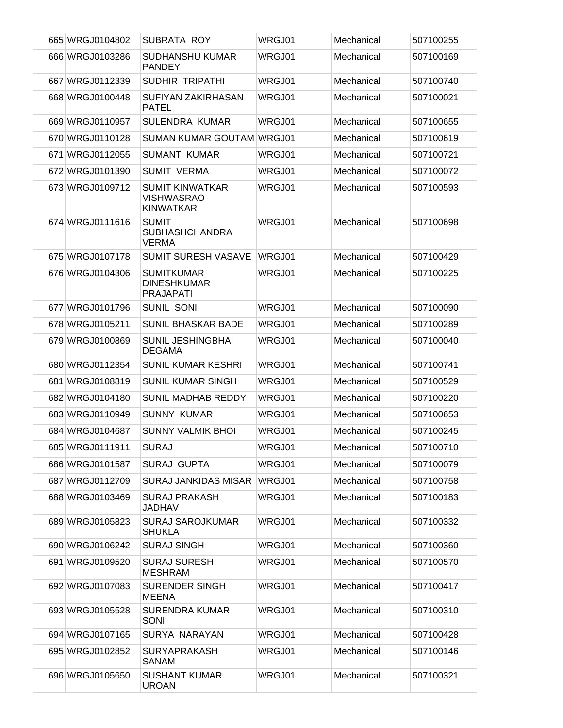| 665 WRGJ0104802 | SUBRATA ROY                                                     | WRGJ01        | Mechanical | 507100255 |
|-----------------|-----------------------------------------------------------------|---------------|------------|-----------|
| 666 WRGJ0103286 | <b>SUDHANSHU KUMAR</b><br><b>PANDEY</b>                         | WRGJ01        | Mechanical | 507100169 |
| 667 WRGJ0112339 | SUDHIR TRIPATHI                                                 | WRGJ01        | Mechanical | 507100740 |
| 668 WRGJ0100448 | SUFIYAN ZAKIRHASAN<br><b>PATEL</b>                              | WRGJ01        | Mechanical | 507100021 |
| 669 WRGJ0110957 | <b>SULENDRA KUMAR</b>                                           | WRGJ01        | Mechanical | 507100655 |
| 670 WRGJ0110128 | <b>SUMAN KUMAR GOUTAM WRGJ01</b>                                |               | Mechanical | 507100619 |
| 671 WRGJ0112055 | <b>SUMANT KUMAR</b>                                             | WRGJ01        | Mechanical | 507100721 |
| 672 WRGJ0101390 | <b>SUMIT VERMA</b>                                              | WRGJ01        | Mechanical | 507100072 |
| 673 WRGJ0109712 | <b>SUMIT KINWATKAR</b><br><b>VISHWASRAO</b><br><b>KINWATKAR</b> | WRGJ01        | Mechanical | 507100593 |
| 674 WRGJ0111616 | <b>SUMIT</b><br><b>SUBHASHCHANDRA</b><br><b>VERMA</b>           | <b>WRGJ01</b> | Mechanical | 507100698 |
| 675 WRGJ0107178 | <b>SUMIT SURESH VASAVE</b>                                      | WRGJ01        | Mechanical | 507100429 |
| 676 WRGJ0104306 | <b>SUMITKUMAR</b><br><b>DINESHKUMAR</b><br><b>PRAJAPATI</b>     | WRGJ01        | Mechanical | 507100225 |
| 677 WRGJ0101796 | <b>SUNIL SONI</b>                                               | WRGJ01        | Mechanical | 507100090 |
| 678 WRGJ0105211 | <b>SUNIL BHASKAR BADE</b>                                       | WRGJ01        | Mechanical | 507100289 |
| 679 WRGJ0100869 | <b>SUNIL JESHINGBHAI</b><br><b>DEGAMA</b>                       | WRGJ01        | Mechanical | 507100040 |
| 680 WRGJ0112354 | <b>SUNIL KUMAR KESHRI</b>                                       | WRGJ01        | Mechanical | 507100741 |
| 681 WRGJ0108819 | <b>SUNIL KUMAR SINGH</b>                                        | WRGJ01        | Mechanical | 507100529 |
| 682 WRGJ0104180 | <b>SUNIL MADHAB REDDY</b>                                       | WRGJ01        | Mechanical | 507100220 |
| 683 WRGJ0110949 | <b>SUNNY KUMAR</b>                                              | WRGJ01        | Mechanical | 507100653 |
| 684 WRGJ0104687 | <b>SUNNY VALMIK BHOI</b>                                        | WRGJ01        | Mechanical | 507100245 |
| 685 WRGJ0111911 | <b>SURAJ</b>                                                    | WRGJ01        | Mechanical | 507100710 |
| 686 WRGJ0101587 | <b>SURAJ GUPTA</b>                                              | WRGJ01        | Mechanical | 507100079 |
| 687 WRGJ0112709 | <b>SURAJ JANKIDAS MISAR</b>                                     | WRGJ01        | Mechanical | 507100758 |
| 688 WRGJ0103469 | <b>SURAJ PRAKASH</b><br>JADHAV                                  | WRGJ01        | Mechanical | 507100183 |
| 689 WRGJ0105823 | <b>SURAJ SAROJKUMAR</b><br><b>SHUKLA</b>                        | WRGJ01        | Mechanical | 507100332 |
| 690 WRGJ0106242 | <b>SURAJ SINGH</b>                                              | WRGJ01        | Mechanical | 507100360 |
| 691 WRGJ0109520 | <b>SURAJ SURESH</b><br><b>MESHRAM</b>                           | WRGJ01        | Mechanical | 507100570 |
| 692 WRGJ0107083 | <b>SURENDER SINGH</b><br><b>MEENA</b>                           | WRGJ01        | Mechanical | 507100417 |
| 693 WRGJ0105528 | <b>SURENDRA KUMAR</b><br>SONI                                   | WRGJ01        | Mechanical | 507100310 |
| 694 WRGJ0107165 | SURYA NARAYAN                                                   | WRGJ01        | Mechanical | 507100428 |
| 695 WRGJ0102852 | <b>SURYAPRAKASH</b><br>SANAM                                    | WRGJ01        | Mechanical | 507100146 |
| 696 WRGJ0105650 | <b>SUSHANT KUMAR</b><br><b>UROAN</b>                            | WRGJ01        | Mechanical | 507100321 |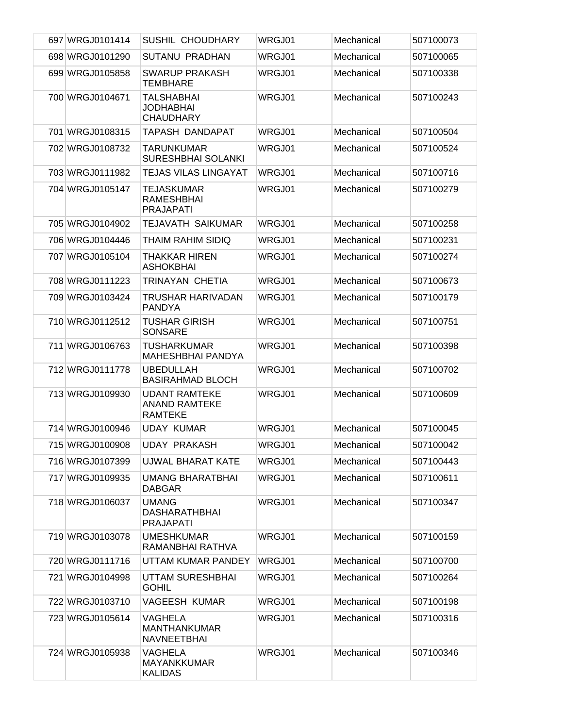| 697 WRGJ0101414 | <b>SUSHIL CHOUDHARY</b>                                        | WRGJ01 | Mechanical | 507100073 |
|-----------------|----------------------------------------------------------------|--------|------------|-----------|
| 698 WRGJ0101290 | SUTANU PRADHAN                                                 | WRGJ01 | Mechanical | 507100065 |
| 699 WRGJ0105858 | <b>SWARUP PRAKASH</b><br>TEMBHARE                              | WRGJ01 | Mechanical | 507100338 |
| 700 WRGJ0104671 | <b>TALSHABHAI</b><br>JODHABHAI<br><b>CHAUDHARY</b>             | WRGJ01 | Mechanical | 507100243 |
| 701 WRGJ0108315 | TAPASH DANDAPAT                                                | WRGJ01 | Mechanical | 507100504 |
| 702 WRGJ0108732 | <b>TARUNKUMAR</b><br><b>SURESHBHAI SOLANKI</b>                 | WRGJ01 | Mechanical | 507100524 |
| 703 WRGJ0111982 | <b>TEJAS VILAS LINGAYAT</b>                                    | WRGJ01 | Mechanical | 507100716 |
| 704 WRGJ0105147 | <b>TEJASKUMAR</b><br><b>RAMESHBHAI</b><br><b>PRAJAPATI</b>     | WRGJ01 | Mechanical | 507100279 |
| 705 WRGJ0104902 | <b>TEJAVATH SAIKUMAR</b>                                       | WRGJ01 | Mechanical | 507100258 |
| 706 WRGJ0104446 | THAIM RAHIM SIDIQ                                              | WRGJ01 | Mechanical | 507100231 |
| 707 WRGJ0105104 | <b>THAKKAR HIREN</b><br><b>ASHOKBHAI</b>                       | WRGJ01 | Mechanical | 507100274 |
| 708 WRGJ0111223 | TRINAYAN CHETIA                                                | WRGJ01 | Mechanical | 507100673 |
| 709 WRGJ0103424 | TRUSHAR HARIVADAN<br><b>PANDYA</b>                             | WRGJ01 | Mechanical | 507100179 |
| 710 WRGJ0112512 | TUSHAR GIRISH<br><b>SONSARE</b>                                | WRGJ01 | Mechanical | 507100751 |
| 711 WRGJ0106763 | <b>TUSHARKUMAR</b><br><b>MAHESHBHAI PANDYA</b>                 | WRGJ01 | Mechanical | 507100398 |
| 712 WRGJ0111778 | <b>UBEDULLAH</b><br><b>BASIRAHMAD BLOCH</b>                    | WRGJ01 | Mechanical | 507100702 |
| 713 WRGJ0109930 | <b>UDANT RAMTEKE</b><br><b>ANAND RAMTEKE</b><br><b>RAMTEKE</b> | WRGJ01 | Mechanical | 507100609 |
| 714 WRGJ0100946 | <b>UDAY KUMAR</b>                                              | WRGJ01 | Mechanical | 507100045 |
| 715 WRGJ0100908 | <b>UDAY PRAKASH</b>                                            | WRGJ01 | Mechanical | 507100042 |
| 716 WRGJ0107399 | UJWAL BHARAT KATE                                              | WRGJ01 | Mechanical | 507100443 |
| 717 WRGJ0109935 | <b>UMANG BHARATBHAI</b><br><b>DABGAR</b>                       | WRGJ01 | Mechanical | 507100611 |
| 718 WRGJ0106037 | <b>UMANG</b><br><b>DASHARATHBHAI</b><br><b>PRAJAPATI</b>       | WRGJ01 | Mechanical | 507100347 |
| 719 WRGJ0103078 | <b>UMESHKUMAR</b><br>RAMANBHAI RATHVA                          | WRGJ01 | Mechanical | 507100159 |
| 720 WRGJ0111716 | UTTAM KUMAR PANDEY                                             | WRGJ01 | Mechanical | 507100700 |
| 721 WRGJ0104998 | UTTAM SURESHBHAI<br><b>GOHIL</b>                               | WRGJ01 | Mechanical | 507100264 |
| 722 WRGJ0103710 | <b>VAGEESH KUMAR</b>                                           | WRGJ01 | Mechanical | 507100198 |
| 723 WRGJ0105614 | VAGHELA<br><b>MANTHANKUMAR</b><br>NAVNEETBHAI                  | WRGJ01 | Mechanical | 507100316 |
| 724 WRGJ0105938 | VAGHELA<br><b>MAYANKKUMAR</b><br><b>KALIDAS</b>                | WRGJ01 | Mechanical | 507100346 |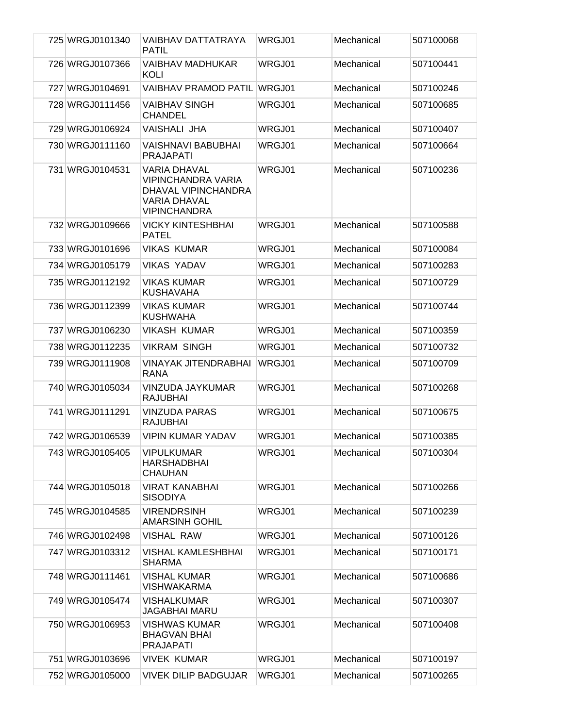| 725 WRGJ0101340 | VAIBHAV DATTATRAYA                                                                                             | WRGJ01 | Mechanical | 507100068 |
|-----------------|----------------------------------------------------------------------------------------------------------------|--------|------------|-----------|
|                 | <b>PATIL</b>                                                                                                   |        |            |           |
| 726 WRGJ0107366 | <b>VAIBHAV MADHUKAR</b><br>KOLI                                                                                | WRGJ01 | Mechanical | 507100441 |
| 727 WRGJ0104691 | <b>VAIBHAV PRAMOD PATIL</b>                                                                                    | WRGJ01 | Mechanical | 507100246 |
| 728 WRGJ0111456 | <b>VAIBHAV SINGH</b><br><b>CHANDEL</b>                                                                         | WRGJ01 | Mechanical | 507100685 |
| 729 WRGJ0106924 | <b>VAISHALI JHA</b>                                                                                            | WRGJ01 | Mechanical | 507100407 |
| 730 WRGJ0111160 | VAISHNAVI BABUBHAI<br><b>PRAJAPATI</b>                                                                         | WRGJ01 | Mechanical | 507100664 |
| 731 WRGJ0104531 | <b>VARIA DHAVAL</b><br><b>VIPINCHANDRA VARIA</b><br>DHAVAL VIPINCHANDRA<br>VARIA DHAVAL<br><b>VIPINCHANDRA</b> | WRGJ01 | Mechanical | 507100236 |
| 732 WRGJ0109666 | <b>VICKY KINTESHBHAI</b><br><b>PATEL</b>                                                                       | WRGJ01 | Mechanical | 507100588 |
| 733 WRGJ0101696 | <b>VIKAS KUMAR</b>                                                                                             | WRGJ01 | Mechanical | 507100084 |
| 734 WRGJ0105179 | <b>VIKAS YADAV</b>                                                                                             | WRGJ01 | Mechanical | 507100283 |
| 735 WRGJ0112192 | <b>VIKAS KUMAR</b><br>KUSHAVAHA                                                                                | WRGJ01 | Mechanical | 507100729 |
| 736 WRGJ0112399 | <b>VIKAS KUMAR</b><br><b>KUSHWAHA</b>                                                                          | WRGJ01 | Mechanical | 507100744 |
| 737 WRGJ0106230 | <b>VIKASH KUMAR</b>                                                                                            | WRGJ01 | Mechanical | 507100359 |
| 738 WRGJ0112235 | <b>VIKRAM SINGH</b>                                                                                            | WRGJ01 | Mechanical | 507100732 |
| 739 WRGJ0111908 | VINAYAK JITENDRABHAI<br>RANA                                                                                   | WRGJ01 | Mechanical | 507100709 |
| 740 WRGJ0105034 | VINZUDA JAYKUMAR<br><b>RAJUBHAI</b>                                                                            | WRGJ01 | Mechanical | 507100268 |
| 741 WRGJ0111291 | <b>VINZUDA PARAS</b><br><b>RAJUBHAI</b>                                                                        | WRGJ01 | Mechanical | 507100675 |
| 742 WRGJ0106539 | <b>VIPIN KUMAR YADAV</b>                                                                                       | WRGJ01 | Mechanical | 507100385 |
| 743 WRGJ0105405 | <b>VIPULKUMAR</b><br>HARSHADBHAI<br><b>CHAUHAN</b>                                                             | WRGJ01 | Mechanical | 507100304 |
| 744 WRGJ0105018 | <b>VIRAT KANABHAI</b><br>SISODIYA                                                                              | WRGJ01 | Mechanical | 507100266 |
| 745 WRGJ0104585 | <b>VIRENDRSINH</b><br><b>AMARSINH GOHIL</b>                                                                    | WRGJ01 | Mechanical | 507100239 |
| 746 WRGJ0102498 | <b>VISHAL RAW</b>                                                                                              | WRGJ01 | Mechanical | 507100126 |
| 747 WRGJ0103312 | <b>VISHAL KAMLESHBHAI</b><br><b>SHARMA</b>                                                                     | WRGJ01 | Mechanical | 507100171 |
| 748 WRGJ0111461 | <b>VISHAL KUMAR</b><br><b>VISHWAKARMA</b>                                                                      | WRGJ01 | Mechanical | 507100686 |
| 749 WRGJ0105474 | <b>VISHALKUMAR</b><br><b>JAGABHAI MARU</b>                                                                     | WRGJ01 | Mechanical | 507100307 |
| 750 WRGJ0106953 | VISHWAS KUMAR<br><b>BHAGVAN BHAI</b><br><b>PRAJAPATI</b>                                                       | WRGJ01 | Mechanical | 507100408 |
| 751 WRGJ0103696 | <b>VIVEK KUMAR</b>                                                                                             | WRGJ01 | Mechanical | 507100197 |
| 752 WRGJ0105000 | <b>VIVEK DILIP BADGUJAR</b>                                                                                    | WRGJ01 | Mechanical | 507100265 |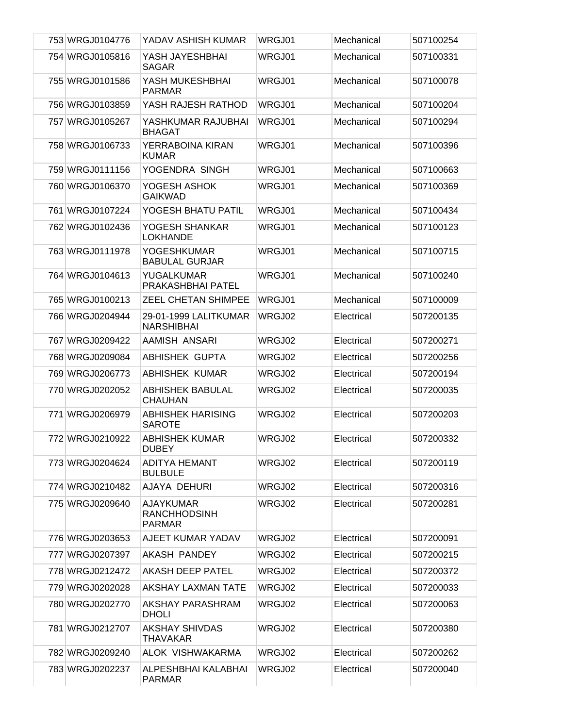| 753 WRGJ0104776 | YADAV ASHISH KUMAR                                       | WRGJ01 | Mechanical | 507100254 |
|-----------------|----------------------------------------------------------|--------|------------|-----------|
| 754 WRGJ0105816 | YASH JAYESHBHAI<br>SAGAR                                 | WRGJ01 | Mechanical | 507100331 |
| 755 WRGJ0101586 | YASH MUKESHBHAI<br><b>PARMAR</b>                         | WRGJ01 | Mechanical | 507100078 |
| 756 WRGJ0103859 | YASH RAJESH RATHOD                                       | WRGJ01 | Mechanical | 507100204 |
| 757 WRGJ0105267 | YASHKUMAR RAJUBHAI<br><b>BHAGAT</b>                      | WRGJ01 | Mechanical | 507100294 |
| 758 WRGJ0106733 | YERRABOINA KIRAN<br><b>KUMAR</b>                         | WRGJ01 | Mechanical | 507100396 |
| 759 WRGJ0111156 | YOGENDRA SINGH                                           | WRGJ01 | Mechanical | 507100663 |
| 760 WRGJ0106370 | YOGESH ASHOK<br><b>GAIKWAD</b>                           | WRGJ01 | Mechanical | 507100369 |
| 761 WRGJ0107224 | YOGESH BHATU PATIL                                       | WRGJ01 | Mechanical | 507100434 |
| 762 WRGJ0102436 | YOGESH SHANKAR<br><b>LOKHANDE</b>                        | WRGJ01 | Mechanical | 507100123 |
| 763 WRGJ0111978 | <b>YOGESHKUMAR</b><br><b>BABULAL GURJAR</b>              | WRGJ01 | Mechanical | 507100715 |
| 764 WRGJ0104613 | YUGALKUMAR<br>PRAKASHBHAI PATEL                          | WRGJ01 | Mechanical | 507100240 |
| 765 WRGJ0100213 | ZEEL CHETAN SHIMPEE                                      | WRGJ01 | Mechanical | 507100009 |
| 766 WRGJ0204944 | 29-01-1999 LALITKUMAR<br><b>NARSHIBHAI</b>               | WRGJ02 | Electrical | 507200135 |
| 767 WRGJ0209422 | AAMISH ANSARI                                            | WRGJ02 | Electrical | 507200271 |
| 768 WRGJ0209084 | <b>ABHISHEK GUPTA</b>                                    | WRGJ02 | Electrical | 507200256 |
| 769 WRGJ0206773 | <b>ABHISHEK KUMAR</b>                                    | WRGJ02 | Electrical | 507200194 |
| 770 WRGJ0202052 | <b>ABHISHEK BABULAL</b><br><b>CHAUHAN</b>                | WRGJ02 | Electrical | 507200035 |
| 771 WRGJ0206979 | <b>ABHISHEK HARISING</b><br><b>SAROTE</b>                | WRGJ02 | Electrical | 507200203 |
| 772 WRGJ0210922 | <b>ABHISHEK KUMAR</b><br><b>DUBEY</b>                    | WRGJ02 | Electrical | 507200332 |
| 773 WRGJ0204624 | <b>ADITYA HEMANT</b><br><b>BULBULE</b>                   | WRGJ02 | Electrical | 507200119 |
| 774 WRGJ0210482 | AJAYA DEHURI                                             | WRGJ02 | Electrical | 507200316 |
| 775 WRGJ0209640 | <b>AJAYKUMAR</b><br><b>RANCHHODSINH</b><br><b>PARMAR</b> | WRGJ02 | Electrical | 507200281 |
| 776 WRGJ0203653 | AJEET KUMAR YADAV                                        | WRGJ02 | Electrical | 507200091 |
| 777 WRGJ0207397 | AKASH PANDEY                                             | WRGJ02 | Electrical | 507200215 |
| 778 WRGJ0212472 | <b>AKASH DEEP PATEL</b>                                  | WRGJ02 | Electrical | 507200372 |
| 779 WRGJ0202028 | <b>AKSHAY LAXMAN TATE</b>                                | WRGJ02 | Electrical | 507200033 |
| 780 WRGJ0202770 | AKSHAY PARASHRAM<br><b>DHOLI</b>                         | WRGJ02 | Electrical | 507200063 |
| 781 WRGJ0212707 | <b>AKSHAY SHIVDAS</b><br><b>THAVAKAR</b>                 | WRGJ02 | Electrical | 507200380 |
| 782 WRGJ0209240 | ALOK VISHWAKARMA                                         | WRGJ02 | Electrical | 507200262 |
| 783 WRGJ0202237 | ALPESHBHAI KALABHAI<br><b>PARMAR</b>                     | WRGJ02 | Electrical | 507200040 |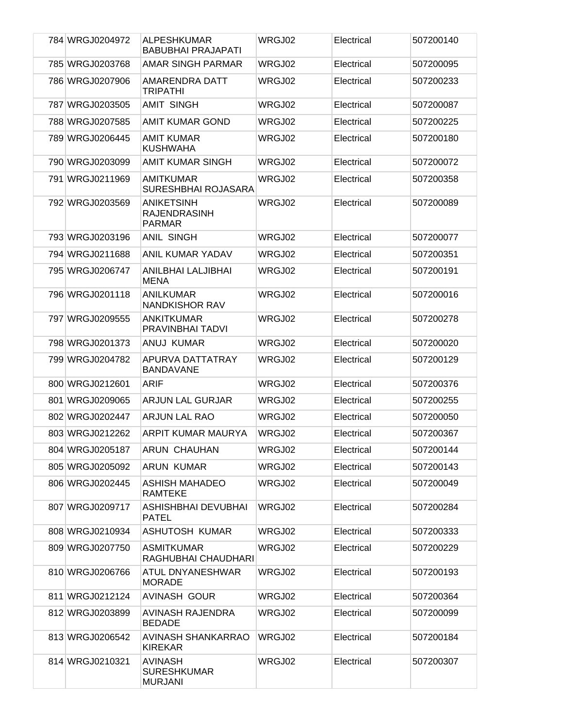| 784 WRGJ0204972 | ALPESHKUMAR<br><b>BABUBHAI PRAJAPATI</b>                  | WRGJ02 | Electrical | 507200140 |
|-----------------|-----------------------------------------------------------|--------|------------|-----------|
| 785 WRGJ0203768 | <b>AMAR SINGH PARMAR</b>                                  | WRGJ02 | Electrical | 507200095 |
| 786 WRGJ0207906 | AMARENDRA DATT<br><b>TRIPATHI</b>                         | WRGJ02 | Electrical | 507200233 |
| 787 WRGJ0203505 | <b>AMIT SINGH</b>                                         | WRGJ02 | Electrical | 507200087 |
| 788 WRGJ0207585 | <b>AMIT KUMAR GOND</b>                                    | WRGJ02 | Electrical | 507200225 |
| 789 WRGJ0206445 | <b>AMIT KUMAR</b><br><b>KUSHWAHA</b>                      | WRGJ02 | Electrical | 507200180 |
| 790 WRGJ0203099 | <b>AMIT KUMAR SINGH</b>                                   | WRGJ02 | Electrical | 507200072 |
| 791 WRGJ0211969 | <b>AMITKUMAR</b><br>SURESHBHAI ROJASARA                   | WRGJ02 | Electrical | 507200358 |
| 792 WRGJ0203569 | <b>ANIKETSINH</b><br><b>RAJENDRASINH</b><br><b>PARMAR</b> | WRGJ02 | Electrical | 507200089 |
| 793 WRGJ0203196 | <b>ANIL SINGH</b>                                         | WRGJ02 | Electrical | 507200077 |
| 794 WRGJ0211688 | <b>ANIL KUMAR YADAV</b>                                   | WRGJ02 | Electrical | 507200351 |
| 795 WRGJ0206747 | ANILBHAI LALJIBHAI<br><b>MENA</b>                         | WRGJ02 | Electrical | 507200191 |
| 796 WRGJ0201118 | ANILKUMAR<br><b>NANDKISHOR RAV</b>                        | WRGJ02 | Electrical | 507200016 |
| 797 WRGJ0209555 | <b>ANKITKUMAR</b><br>PRAVINBHAI TADVI                     | WRGJ02 | Electrical | 507200278 |
| 798 WRGJ0201373 | ANUJ KUMAR                                                | WRGJ02 | Electrical | 507200020 |
| 799 WRGJ0204782 | APURVA DATTATRAY<br><b>BANDAVANE</b>                      | WRGJ02 | Electrical | 507200129 |
| 800 WRGJ0212601 | <b>ARIF</b>                                               | WRGJ02 | Electrical | 507200376 |
| 801 WRGJ0209065 | <b>ARJUN LAL GURJAR</b>                                   | WRGJ02 | Electrical | 507200255 |
| 802 WRGJ0202447 | <b>ARJUN LAL RAO</b>                                      | WRGJ02 | Electrical | 507200050 |
| 803 WRGJ0212262 | ARPIT KUMAR MAURYA                                        | WRGJ02 | Electrical | 507200367 |
| 804 WRGJ0205187 | <b>ARUN CHAUHAN</b>                                       | WRGJ02 | Electrical | 507200144 |
| 805 WRGJ0205092 | ARUN KUMAR                                                | WRGJ02 | Electrical | 507200143 |
| 806 WRGJ0202445 | <b>ASHISH MAHADEO</b><br><b>RAMTEKE</b>                   | WRGJ02 | Electrical | 507200049 |
| 807 WRGJ0209717 | ASHISHBHAI DEVUBHAI<br><b>PATEL</b>                       | WRGJ02 | Electrical | 507200284 |
| 808 WRGJ0210934 | <b>ASHUTOSH KUMAR</b>                                     | WRGJ02 | Electrical | 507200333 |
| 809 WRGJ0207750 | <b>ASMITKUMAR</b><br>RAGHUBHAI CHAUDHARI                  | WRGJ02 | Electrical | 507200229 |
| 810 WRGJ0206766 | ATUL DNYANESHWAR<br><b>MORADE</b>                         | WRGJ02 | Electrical | 507200193 |
| 811 WRGJ0212124 | <b>AVINASH GOUR</b>                                       | WRGJ02 | Electrical | 507200364 |
| 812 WRGJ0203899 | AVINASH RAJENDRA<br><b>BEDADE</b>                         | WRGJ02 | Electrical | 507200099 |
| 813 WRGJ0206542 | <b>AVINASH SHANKARRAO</b><br><b>KIREKAR</b>               | WRGJ02 | Electrical | 507200184 |
| 814 WRGJ0210321 | <b>AVINASH</b><br><b>SURESHKUMAR</b><br><b>MURJANI</b>    | WRGJ02 | Electrical | 507200307 |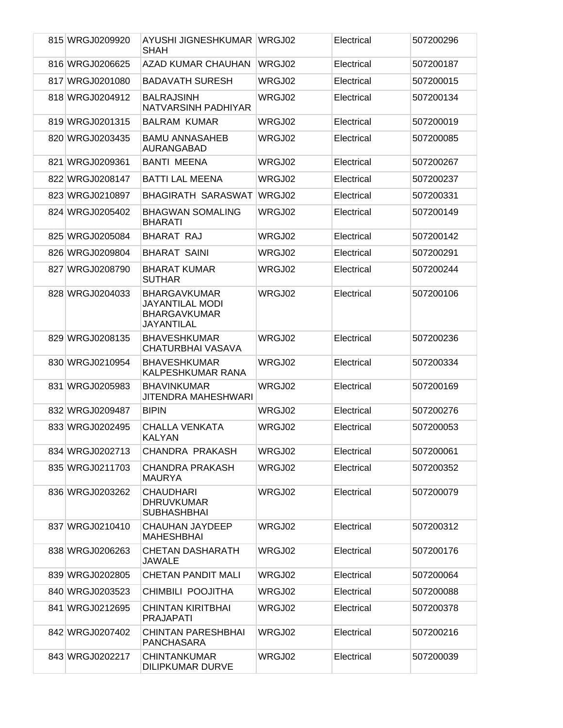| 815 WRGJ0209920 | AYUSHI JIGNESHKUMAR WRGJ02<br><b>SHAH</b>                                          |        | Electrical | 507200296 |
|-----------------|------------------------------------------------------------------------------------|--------|------------|-----------|
| 816 WRGJ0206625 | AZAD KUMAR CHAUHAN                                                                 | WRGJ02 | Electrical | 507200187 |
| 817 WRGJ0201080 | <b>BADAVATH SURESH</b>                                                             | WRGJ02 | Electrical | 507200015 |
| 818 WRGJ0204912 | <b>BALRAJSINH</b><br>NATVARSINH PADHIYAR                                           | WRGJ02 | Electrical | 507200134 |
| 819 WRGJ0201315 | <b>BALRAM KUMAR</b>                                                                | WRGJ02 | Electrical | 507200019 |
| 820 WRGJ0203435 | <b>BAMU ANNASAHEB</b><br>AURANGABAD                                                | WRGJ02 | Electrical | 507200085 |
| 821 WRGJ0209361 | <b>BANTI MEENA</b>                                                                 | WRGJ02 | Electrical | 507200267 |
| 822 WRGJ0208147 | <b>BATTI LAL MEENA</b>                                                             | WRGJ02 | Electrical | 507200237 |
| 823 WRGJ0210897 | <b>BHAGIRATH SARASWAT</b>                                                          | WRGJ02 | Electrical | 507200331 |
| 824 WRGJ0205402 | <b>BHAGWAN SOMALING</b><br><b>BHARATI</b>                                          | WRGJ02 | Electrical | 507200149 |
| 825 WRGJ0205084 | <b>BHARAT RAJ</b>                                                                  | WRGJ02 | Electrical | 507200142 |
| 826 WRGJ0209804 | <b>BHARAT SAINI</b>                                                                | WRGJ02 | Electrical | 507200291 |
| 827 WRGJ0208790 | <b>BHARAT KUMAR</b><br><b>SUTHAR</b>                                               | WRGJ02 | Electrical | 507200244 |
| 828 WRGJ0204033 | <b>BHARGAVKUMAR</b><br>JAYANTILAL MODI<br><b>BHARGAVKUMAR</b><br><b>JAYANTILAL</b> | WRGJ02 | Electrical | 507200106 |
| 829 WRGJ0208135 | <b>BHAVESHKUMAR</b><br>CHATURBHAI VASAVA                                           | WRGJ02 | Electrical | 507200236 |
| 830 WRGJ0210954 | <b>BHAVESHKUMAR</b><br>KALPESHKUMAR RANA                                           | WRGJ02 | Electrical | 507200334 |
| 831 WRGJ0205983 | <b>BHAVINKUMAR</b><br><b>JITENDRA MAHESHWARI</b>                                   | WRGJ02 | Electrical | 507200169 |
| 832 WRGJ0209487 | <b>BIPIN</b>                                                                       | WRGJ02 | Electrical | 507200276 |
| 833 WRGJ0202495 | <b>CHALLA VENKATA</b><br><b>KALYAN</b>                                             | WRGJ02 | Electrical | 507200053 |
| 834 WRGJ0202713 | CHANDRA PRAKASH                                                                    | WRGJ02 | Electrical | 507200061 |
| 835 WRGJ0211703 | <b>CHANDRA PRAKASH</b><br><b>MAURYA</b>                                            | WRGJ02 | Electrical | 507200352 |
| 836 WRGJ0203262 | <b>CHAUDHARI</b><br><b>DHRUVKUMAR</b><br><b>SUBHASHBHAI</b>                        | WRGJ02 | Electrical | 507200079 |
| 837 WRGJ0210410 | <b>CHAUHAN JAYDEEP</b><br><b>MAHESHBHAI</b>                                        | WRGJ02 | Electrical | 507200312 |
| 838 WRGJ0206263 | <b>CHETAN DASHARATH</b><br><b>JAWALE</b>                                           | WRGJ02 | Electrical | 507200176 |
| 839 WRGJ0202805 | <b>CHETAN PANDIT MALI</b>                                                          | WRGJ02 | Electrical | 507200064 |
| 840 WRGJ0203523 | CHIMBILI POOJITHA                                                                  | WRGJ02 | Electrical | 507200088 |
| 841 WRGJ0212695 | <b>CHINTAN KIRITBHAI</b><br><b>PRAJAPATI</b>                                       | WRGJ02 | Electrical | 507200378 |
| 842 WRGJ0207402 | <b>CHINTAN PARESHBHAI</b><br><b>PANCHASARA</b>                                     | WRGJ02 | Electrical | 507200216 |
| 843 WRGJ0202217 | <b>CHINTANKUMAR</b><br><b>DILIPKUMAR DURVE</b>                                     | WRGJ02 | Electrical | 507200039 |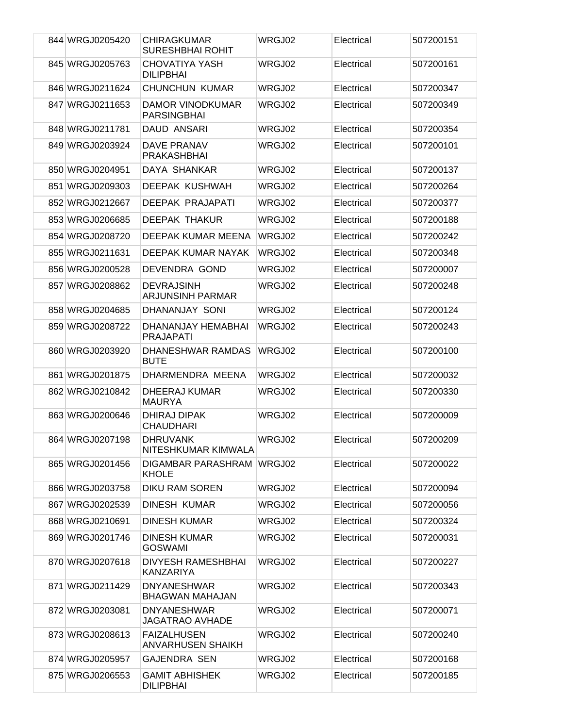| 844 WRGJ0205420 | <b>CHIRAGKUMAR</b><br><b>SURESHBHAI ROHIT</b>  | WRGJ02 | Electrical | 507200151 |
|-----------------|------------------------------------------------|--------|------------|-----------|
| 845 WRGJ0205763 | <b>CHOVATIYA YASH</b><br><b>DILIPBHAI</b>      | WRGJ02 | Electrical | 507200161 |
| 846 WRGJ0211624 | <b>CHUNCHUN KUMAR</b>                          | WRGJ02 | Electrical | 507200347 |
| 847 WRGJ0211653 | DAMOR VINODKUMAR<br><b>PARSINGBHAI</b>         | WRGJ02 | Electrical | 507200349 |
| 848 WRGJ0211781 | DAUD ANSARI                                    | WRGJ02 | Electrical | 507200354 |
| 849 WRGJ0203924 | <b>DAVE PRANAV</b><br><b>PRAKASHBHAI</b>       | WRGJ02 | Electrical | 507200101 |
| 850 WRGJ0204951 | DAYA SHANKAR                                   | WRGJ02 | Electrical | 507200137 |
| 851 WRGJ0209303 | <b>DEEPAK KUSHWAH</b>                          | WRGJ02 | Electrical | 507200264 |
| 852 WRGJ0212667 | DEEPAK PRAJAPATI                               | WRGJ02 | Electrical | 507200377 |
| 853 WRGJ0206685 | <b>DEEPAK THAKUR</b>                           | WRGJ02 | Electrical | 507200188 |
| 854 WRGJ0208720 | DEEPAK KUMAR MEENA                             | WRGJ02 | Electrical | 507200242 |
| 855 WRGJ0211631 | DEEPAK KUMAR NAYAK                             | WRGJ02 | Electrical | 507200348 |
| 856 WRGJ0200528 | DEVENDRA GOND                                  | WRGJ02 | Electrical | 507200007 |
| 857 WRGJ0208862 | <b>DEVRAJSINH</b><br><b>ARJUNSINH PARMAR</b>   | WRGJ02 | Electrical | 507200248 |
| 858 WRGJ0204685 | DHANANJAY SONI                                 | WRGJ02 | Electrical | 507200124 |
| 859 WRGJ0208722 | DHANANJAY HEMABHAI<br><b>PRAJAPATI</b>         | WRGJ02 | Electrical | 507200243 |
| 860 WRGJ0203920 | DHANESHWAR RAMDAS<br><b>BUTE</b>               | WRGJ02 | Electrical | 507200100 |
| 861 WRGJ0201875 | DHARMENDRA MEENA                               | WRGJ02 | Electrical | 507200032 |
| 862 WRGJ0210842 | <b>DHEERAJ KUMAR</b><br><b>MAURYA</b>          | WRGJ02 | Electrical | 507200330 |
| 863 WRGJ0200646 | <b>DHIRAJ DIPAK</b><br><b>CHAUDHARI</b>        | WRGJ02 | Electrical | 507200009 |
| 864 WRGJ0207198 | <b>DHRUVANK</b><br>NITESHKUMAR KIMWALA         | WRGJ02 | Electrical | 507200209 |
| 865 WRGJ0201456 | DIGAMBAR PARASHRAM WRGJ02<br><b>KHOLE</b>      |        | Electrical | 507200022 |
| 866 WRGJ0203758 | <b>DIKU RAM SOREN</b>                          | WRGJ02 | Electrical | 507200094 |
| 867 WRGJ0202539 | DINESH KUMAR                                   | WRGJ02 | Electrical | 507200056 |
| 868 WRGJ0210691 | <b>DINESH KUMAR</b>                            | WRGJ02 | Electrical | 507200324 |
| 869 WRGJ0201746 | <b>DINESH KUMAR</b><br><b>GOSWAMI</b>          | WRGJ02 | Electrical | 507200031 |
| 870 WRGJ0207618 | <b>DIVYESH RAMESHBHAI</b><br><b>KANZARIYA</b>  | WRGJ02 | Electrical | 507200227 |
| 871 WRGJ0211429 | <b>DNYANESHWAR</b><br><b>BHAGWAN MAHAJAN</b>   | WRGJ02 | Electrical | 507200343 |
| 872 WRGJ0203081 | <b>DNYANESHWAR</b><br><b>JAGATRAO AVHADE</b>   | WRGJ02 | Electrical | 507200071 |
| 873 WRGJ0208613 | <b>FAIZALHUSEN</b><br><b>ANVARHUSEN SHAIKH</b> | WRGJ02 | Electrical | 507200240 |
| 874 WRGJ0205957 | <b>GAJENDRA SEN</b>                            | WRGJ02 | Electrical | 507200168 |
| 875 WRGJ0206553 | <b>GAMIT ABHISHEK</b><br><b>DILIPBHAI</b>      | WRGJ02 | Electrical | 507200185 |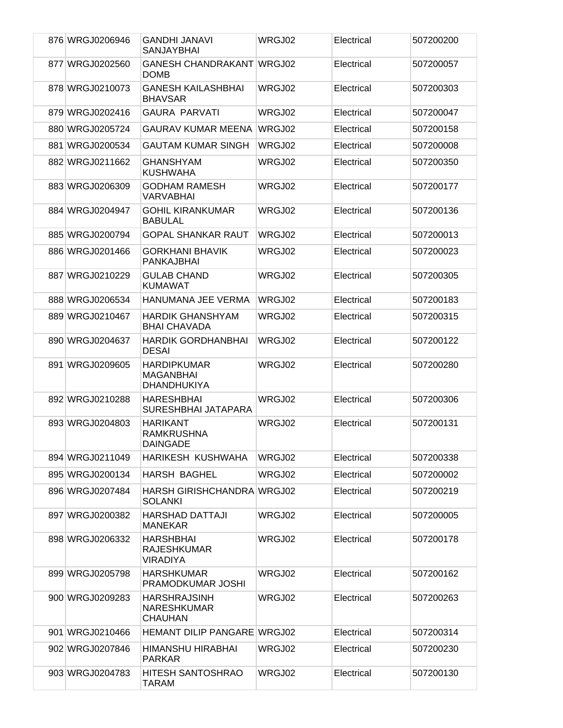| 876 WRGJ0206946 | <b>GANDHI JANAVI</b><br><b>SANJAYBHAI</b>                   | WRGJ02 | Electrical | 507200200 |
|-----------------|-------------------------------------------------------------|--------|------------|-----------|
| 877 WRGJ0202560 | <b>GANESH CHANDRAKANT WRGJ02</b><br><b>DOMB</b>             |        | Electrical | 507200057 |
| 878 WRGJ0210073 | <b>GANESH KAILASHBHAI</b><br><b>BHAVSAR</b>                 | WRGJ02 | Electrical | 507200303 |
| 879 WRGJ0202416 | <b>GAURA PARVATI</b>                                        | WRGJ02 | Electrical | 507200047 |
| 880 WRGJ0205724 | <b>GAURAV KUMAR MEENA</b>                                   | WRGJ02 | Electrical | 507200158 |
| 881 WRGJ0200534 | <b>GAUTAM KUMAR SINGH</b>                                   | WRGJ02 | Electrical | 507200008 |
| 882 WRGJ0211662 | <b>GHANSHYAM</b><br><b>KUSHWAHA</b>                         | WRGJ02 | Electrical | 507200350 |
| 883 WRGJ0206309 | <b>GODHAM RAMESH</b><br><b>VARVABHAI</b>                    | WRGJ02 | Electrical | 507200177 |
| 884 WRGJ0204947 | <b>GOHIL KIRANKUMAR</b><br><b>BABULAL</b>                   | WRGJ02 | Electrical | 507200136 |
| 885 WRGJ0200794 | <b>GOPAL SHANKAR RAUT</b>                                   | WRGJ02 | Electrical | 507200013 |
| 886 WRGJ0201466 | GORKHANI BHAVIK<br><b>PANKAJBHAI</b>                        | WRGJ02 | Electrical | 507200023 |
| 887 WRGJ0210229 | <b>GULAB CHAND</b><br><b>KUMAWAT</b>                        | WRGJ02 | Electrical | 507200305 |
| 888 WRGJ0206534 | HANUMANA JEE VERMA                                          | WRGJ02 | Electrical | 507200183 |
| 889 WRGJ0210467 | <b>HARDIK GHANSHYAM</b><br><b>BHAI CHAVADA</b>              | WRGJ02 | Electrical | 507200315 |
| 890 WRGJ0204637 | <b>HARDIK GORDHANBHAI</b><br><b>DESAI</b>                   | WRGJ02 | Electrical | 507200122 |
| 891 WRGJ0209605 | <b>HARDIPKUMAR</b><br>MAGANBHAI<br><b>DHANDHUKIYA</b>       | WRGJ02 | Electrical | 507200280 |
| 892 WRGJ0210288 | <b>HARESHBHAI</b><br>SURESHBHAI JATAPARA                    | WRGJ02 | Electrical | 507200306 |
| 893 WRGJ0204803 | <b>HARIKANT</b><br><b>RAMKRUSHNA</b><br><b>DAINGADE</b>     | WRGJ02 | Electrical | 507200131 |
| 894 WRGJ0211049 | HARIKESH KUSHWAHA                                           | WRGJ02 | Electrical | 507200338 |
| 895 WRGJ0200134 | <b>HARSH BAGHEL</b>                                         | WRGJ02 | Electrical | 507200002 |
| 896 WRGJ0207484 | HARSH GIRISHCHANDRA WRGJ02<br>SOLANKI                       |        | Electrical | 507200219 |
| 897 WRGJ0200382 | <b>HARSHAD DATTAJI</b><br><b>MANEKAR</b>                    | WRGJ02 | Electrical | 507200005 |
| 898 WRGJ0206332 | <b>HARSHBHAI</b><br><b>RAJESHKUMAR</b><br>VIRADIYA          | WRGJ02 | Electrical | 507200178 |
| 899 WRGJ0205798 | <b>HARSHKUMAR</b><br>PRAMODKUMAR JOSHI                      | WRGJ02 | Electrical | 507200162 |
| 900 WRGJ0209283 | <b>HARSHRAJSINH</b><br><b>NARESHKUMAR</b><br><b>CHAUHAN</b> | WRGJ02 | Electrical | 507200263 |
| 901 WRGJ0210466 | HEMANT DILIP PANGARE WRGJ02                                 |        | Electrical | 507200314 |
| 902 WRGJ0207846 | HIMANSHU HIRABHAI<br><b>PARKAR</b>                          | WRGJ02 | Electrical | 507200230 |
| 903 WRGJ0204783 | <b>HITESH SANTOSHRAO</b><br>TARAM                           | WRGJ02 | Electrical | 507200130 |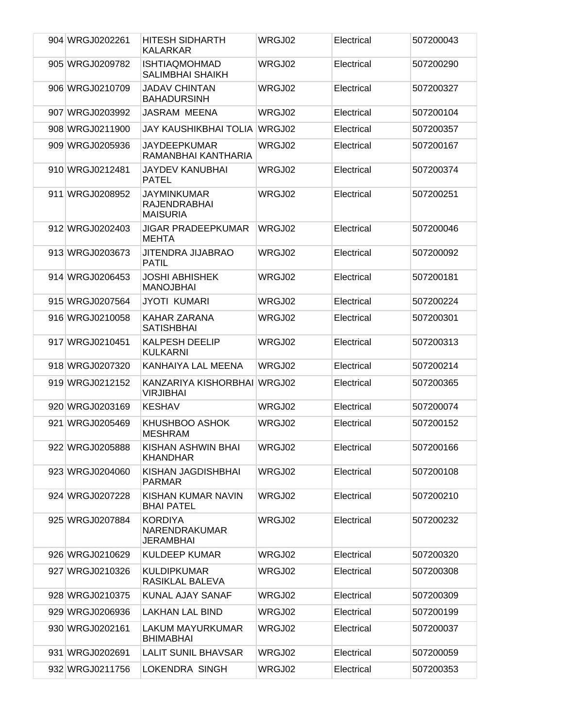| 904 WRGJ0202261 | <b>HITESH SIDHARTH</b><br><b>KALARKAR</b>             | WRGJ02 | Electrical | 507200043 |
|-----------------|-------------------------------------------------------|--------|------------|-----------|
| 905 WRGJ0209782 | <b>ISHTIAQMOHMAD</b><br><b>SALIMBHAI SHAIKH</b>       | WRGJ02 | Electrical | 507200290 |
| 906 WRGJ0210709 | <b>JADAV CHINTAN</b><br><b>BAHADURSINH</b>            | WRGJ02 | Electrical | 507200327 |
| 907 WRGJ0203992 | JASRAM MEENA                                          | WRGJ02 | Electrical | 507200104 |
| 908 WRGJ0211900 | JAY KAUSHIKBHAI TOLIA WRGJ02                          |        | Electrical | 507200357 |
| 909 WRGJ0205936 | JAYDEEPKUMAR<br>RAMANBHAI KANTHARIA                   | WRGJ02 | Electrical | 507200167 |
| 910 WRGJ0212481 | <b>JAYDEV KANUBHAI</b><br><b>PATEL</b>                | WRGJ02 | Electrical | 507200374 |
| 911 WRGJ0208952 | JAYMINKUMAR<br><b>RAJENDRABHAI</b><br><b>MAISURIA</b> | WRGJ02 | Electrical | 507200251 |
| 912 WRGJ0202403 | <b>JIGAR PRADEEPKUMAR</b><br><b>MEHTA</b>             | WRGJ02 | Electrical | 507200046 |
| 913 WRGJ0203673 | JITENDRA JIJABRAO<br><b>PATIL</b>                     | WRGJ02 | Electrical | 507200092 |
| 914 WRGJ0206453 | JOSHI ABHISHEK<br><b>MANOJBHAI</b>                    | WRGJ02 | Electrical | 507200181 |
| 915 WRGJ0207564 | <b>JYOTI KUMARI</b>                                   | WRGJ02 | Electrical | 507200224 |
| 916 WRGJ0210058 | KAHAR ZARANA<br><b>SATISHBHAI</b>                     | WRGJ02 | Electrical | 507200301 |
| 917 WRGJ0210451 | <b>KALPESH DEELIP</b><br><b>KULKARNI</b>              | WRGJ02 | Electrical | 507200313 |
| 918 WRGJ0207320 | KANHAIYA LAL MEENA                                    | WRGJ02 | Electrical | 507200214 |
| 919 WRGJ0212152 | KANZARIYA KISHORBHAI WRGJ02<br><b>VIRJIBHAI</b>       |        | Electrical | 507200365 |
| 920 WRGJ0203169 | <b>KESHAV</b>                                         | WRGJ02 | Electrical | 507200074 |
| 921 WRGJ0205469 | KHUSHBOO ASHOK<br><b>MESHRAM</b>                      | WRGJ02 | Electrical | 507200152 |
| 922 WRGJ0205888 | KISHAN ASHWIN BHAI<br><b>KHANDHAR</b>                 | WRGJ02 | Electrical | 507200166 |
| 923 WRGJ0204060 | KISHAN JAGDISHBHAI<br><b>PARMAR</b>                   | WRGJ02 | Electrical | 507200108 |
| 924 WRGJ0207228 | KISHAN KUMAR NAVIN<br><b>BHAI PATEL</b>               | WRGJ02 | Electrical | 507200210 |
| 925 WRGJ0207884 | <b>KORDIYA</b><br>NARENDRAKUMAR<br>JERAMBHAI          | WRGJ02 | Electrical | 507200232 |
| 926 WRGJ0210629 | <b>KULDEEP KUMAR</b>                                  | WRGJ02 | Electrical | 507200320 |
| 927 WRGJ0210326 | <b>KULDIPKUMAR</b><br>RASIKLAL BALEVA                 | WRGJ02 | Electrical | 507200308 |
| 928 WRGJ0210375 | <b>KUNAL AJAY SANAF</b>                               | WRGJ02 | Electrical | 507200309 |
| 929 WRGJ0206936 | <b>LAKHAN LAL BIND</b>                                | WRGJ02 | Electrical | 507200199 |
| 930 WRGJ0202161 | LAKUM MAYURKUMAR<br><b>BHIMABHAI</b>                  | WRGJ02 | Electrical | 507200037 |
| 931 WRGJ0202691 | <b>LALIT SUNIL BHAVSAR</b>                            | WRGJ02 | Electrical | 507200059 |
| 932 WRGJ0211756 | LOKENDRA SINGH                                        | WRGJ02 | Electrical | 507200353 |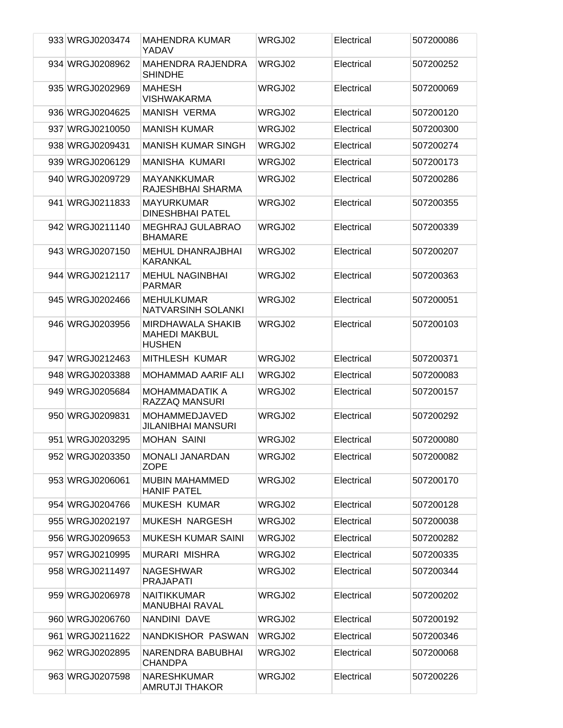| 933 WRGJ0203474 | <b>MAHENDRA KUMAR</b><br>YADAV                                    | WRGJ02 | Electrical | 507200086 |
|-----------------|-------------------------------------------------------------------|--------|------------|-----------|
| 934 WRGJ0208962 | <b>MAHENDRA RAJENDRA</b><br><b>SHINDHE</b>                        | WRGJ02 | Electrical | 507200252 |
| 935 WRGJ0202969 | <b>MAHESH</b><br><b>VISHWAKARMA</b>                               | WRGJ02 | Electrical | 507200069 |
| 936 WRGJ0204625 | <b>MANISH VERMA</b>                                               | WRGJ02 | Electrical | 507200120 |
| 937 WRGJ0210050 | <b>MANISH KUMAR</b>                                               | WRGJ02 | Electrical | 507200300 |
| 938 WRGJ0209431 | <b>MANISH KUMAR SINGH</b>                                         | WRGJ02 | Electrical | 507200274 |
| 939 WRGJ0206129 | <b>MANISHA KUMARI</b>                                             | WRGJ02 | Electrical | 507200173 |
| 940 WRGJ0209729 | <b>MAYANKKUMAR</b><br>RAJESHBHAI SHARMA                           | WRGJ02 | Electrical | 507200286 |
| 941 WRGJ0211833 | <b>MAYURKUMAR</b><br><b>DINESHBHAI PATEL</b>                      | WRGJ02 | Electrical | 507200355 |
| 942 WRGJ0211140 | <b>MEGHRAJ GULABRAO</b><br><b>BHAMARE</b>                         | WRGJ02 | Electrical | 507200339 |
| 943 WRGJ0207150 | <b>MEHUL DHANRAJBHAI</b><br><b>KARANKAL</b>                       | WRGJ02 | Electrical | 507200207 |
| 944 WRGJ0212117 | <b>MEHUL NAGINBHAI</b><br><b>PARMAR</b>                           | WRGJ02 | Electrical | 507200363 |
| 945 WRGJ0202466 | <b>MEHULKUMAR</b><br>NATVARSINH SOLANKI                           | WRGJ02 | Electrical | 507200051 |
| 946 WRGJ0203956 | <b>MIRDHAWALA SHAKIB</b><br><b>MAHEDI MAKBUL</b><br><b>HUSHEN</b> | WRGJ02 | Electrical | 507200103 |
| 947 WRGJ0212463 | <b>MITHLESH KUMAR</b>                                             | WRGJ02 | Electrical | 507200371 |
| 948 WRGJ0203388 | <b>MOHAMMAD AARIF ALI</b>                                         | WRGJ02 | Electrical | 507200083 |
| 949 WRGJ0205684 | <b>MOHAMMADATIK A</b><br>RAZZAQ MANSURI                           | WRGJ02 | Electrical | 507200157 |
| 950 WRGJ0209831 | <b>MOHAMMEDJAVED</b><br>JILANIBHAI MANSURI                        | WRGJ02 | Electrical | 507200292 |
| 951 WRGJ0203295 | <b>MOHAN SAINI</b>                                                | WRGJ02 | Electrical | 507200080 |
| 952 WRGJ0203350 | <b>MONALI JANARDAN</b><br><b>ZOPE</b>                             | WRGJ02 | Electrical | 507200082 |
| 953 WRGJ0206061 | <b>MUBIN MAHAMMED</b><br><b>HANIF PATEL</b>                       | WRGJ02 | Electrical | 507200170 |
| 954 WRGJ0204766 | <b>MUKESH KUMAR</b>                                               | WRGJ02 | Electrical | 507200128 |
| 955 WRGJ0202197 | <b>MUKESH NARGESH</b>                                             | WRGJ02 | Electrical | 507200038 |
| 956 WRGJ0209653 | <b>MUKESH KUMAR SAINI</b>                                         | WRGJ02 | Electrical | 507200282 |
| 957 WRGJ0210995 | MURARI MISHRA                                                     | WRGJ02 | Electrical | 507200335 |
| 958 WRGJ0211497 | <b>NAGESHWAR</b><br><b>PRAJAPATI</b>                              | WRGJ02 | Electrical | 507200344 |
| 959 WRGJ0206978 | <b>NAITIKKUMAR</b><br><b>MANUBHAI RAVAL</b>                       | WRGJ02 | Electrical | 507200202 |
| 960 WRGJ0206760 | NANDINI DAVE                                                      | WRGJ02 | Electrical | 507200192 |
| 961 WRGJ0211622 | NANDKISHOR PASWAN                                                 | WRGJ02 | Electrical | 507200346 |
| 962 WRGJ0202895 | NARENDRA BABUBHAI<br><b>CHANDPA</b>                               | WRGJ02 | Electrical | 507200068 |
| 963 WRGJ0207598 | <b>NARESHKUMAR</b><br><b>AMRUTJI THAKOR</b>                       | WRGJ02 | Electrical | 507200226 |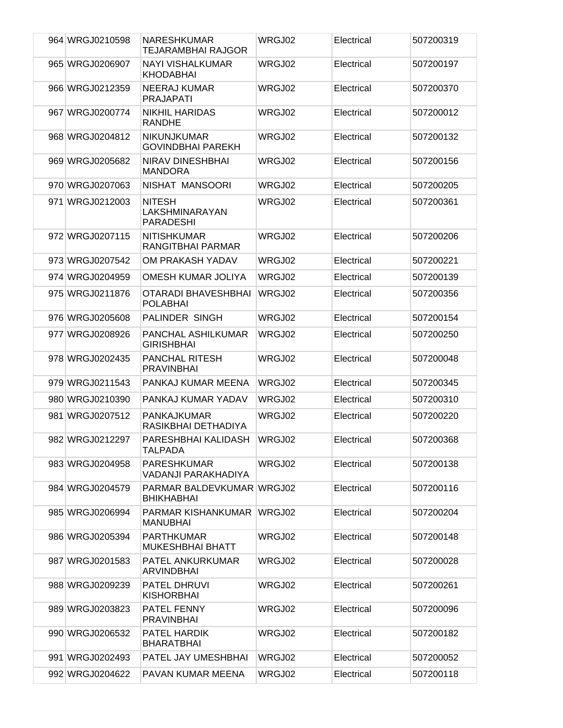| 964 WRGJ0210598 | <b>NARESHKUMAR</b><br>TEJARAMBHAI RAJGOR              | WRGJ02 | Electrical | 507200319 |
|-----------------|-------------------------------------------------------|--------|------------|-----------|
| 965 WRGJ0206907 | <b>NAYI VISHALKUMAR</b><br><b>KHODABHAI</b>           | WRGJ02 | Electrical | 507200197 |
| 966 WRGJ0212359 | <b>NEERAJ KUMAR</b><br><b>PRAJAPATI</b>               | WRGJ02 | Electrical | 507200370 |
| 967 WRGJ0200774 | <b>NIKHIL HARIDAS</b><br><b>RANDHE</b>                | WRGJ02 | Electrical | 507200012 |
| 968 WRGJ0204812 | <b>NIKUNJKUMAR</b><br><b>GOVINDBHAI PAREKH</b>        | WRGJ02 | Electrical | 507200132 |
| 969 WRGJ0205682 | NIRAV DINESHBHAI<br><b>MANDORA</b>                    | WRGJ02 | Electrical | 507200156 |
| 970 WRGJ0207063 | NISHAT MANSOORI                                       | WRGJ02 | Electrical | 507200205 |
| 971 WRGJ0212003 | <b>NITESH</b><br>LAKSHMINARAYAN<br><b>PARADESHI</b>   | WRGJ02 | Electrical | 507200361 |
| 972 WRGJ0207115 | <b>NITISHKUMAR</b><br>RANGITBHAI PARMAR               | WRGJ02 | Electrical | 507200206 |
| 973 WRGJ0207542 | OM PRAKASH YADAV                                      | WRGJ02 | Electrical | 507200221 |
| 974 WRGJ0204959 | OMESH KUMAR JOLIYA                                    | WRGJ02 | Electrical | 507200139 |
| 975 WRGJ0211876 | OTARADI BHAVESHBHAI<br><b>POLABHAI</b>                | WRGJ02 | Electrical | 507200356 |
| 976 WRGJ0205608 | PALINDER SINGH                                        | WRGJ02 | Electrical | 507200154 |
| 977 WRGJ0208926 | PANCHAL ASHILKUMAR<br><b>GIRISHBHAI</b>               | WRGJ02 | Electrical | 507200250 |
| 978 WRGJ0202435 | <b>PANCHAL RITESH</b><br><b>PRAVINBHAI</b>            | WRGJ02 | Electrical | 507200048 |
| 979 WRGJ0211543 | PANKAJ KUMAR MEENA                                    | WRGJ02 | Electrical | 507200345 |
| 980 WRGJ0210390 | PANKAJ KUMAR YADAV                                    | WRGJ02 | Electrical | 507200310 |
| 981 WRGJ0207512 | <b>PANKAJKUMAR</b><br>RASIKBHAI DETHADIYA             | WRGJ02 | Electrical | 507200220 |
| 982 WRGJ0212297 | PARESHBHAI KALIDASH<br><b>TALPADA</b>                 | WRGJ02 | Electrical | 507200368 |
| 983 WRGJ0204958 | <b>PARESHKUMAR</b><br>VADANJI PARAKHADIYA             | WRGJ02 | Electrical | 507200138 |
| 984 WRGJ0204579 | <b>PARMAR BALDEVKUMAR WRGJ02</b><br><b>BHIKHABHAI</b> |        | Electrical | 507200116 |
| 985 WRGJ0206994 | PARMAR KISHANKUMAR<br><b>MANUBHAI</b>                 | WRGJ02 | Electrical | 507200204 |
| 986 WRGJ0205394 | <b>PARTHKUMAR</b><br><b>MUKESHBHAI BHATT</b>          | WRGJ02 | Electrical | 507200148 |
| 987 WRGJ0201583 | PATEL ANKURKUMAR<br><b>ARVINDBHAI</b>                 | WRGJ02 | Electrical | 507200028 |
| 988 WRGJ0209239 | PATEL DHRUVI<br><b>KISHORBHAI</b>                     | WRGJ02 | Electrical | 507200261 |
| 989 WRGJ0203823 | <b>PATEL FENNY</b><br><b>PRAVINBHAI</b>               | WRGJ02 | Electrical | 507200096 |
| 990 WRGJ0206532 | PATEL HARDIK<br><b>BHARATBHAI</b>                     | WRGJ02 | Electrical | 507200182 |
| 991 WRGJ0202493 | PATEL JAY UMESHBHAI                                   | WRGJ02 | Electrical | 507200052 |
| 992 WRGJ0204622 | PAVAN KUMAR MEENA                                     | WRGJ02 | Electrical | 507200118 |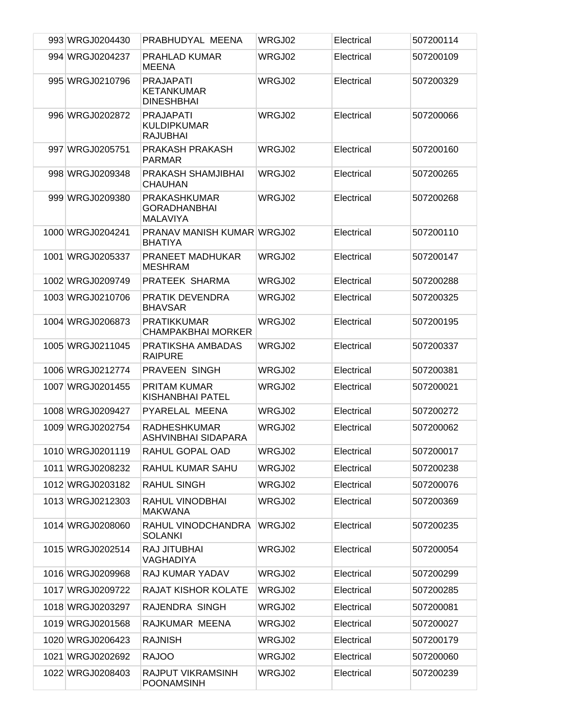| 993 WRGJ0204430  | PRABHUDYAL MEENA                                              | WRGJ02 | Electrical | 507200114 |
|------------------|---------------------------------------------------------------|--------|------------|-----------|
| 994 WRGJ0204237  | <b>PRAHLAD KUMAR</b><br><b>MEENA</b>                          | WRGJ02 | Electrical | 507200109 |
| 995 WRGJ0210796  | <b>PRAJAPATI</b><br><b>KETANKUMAR</b><br><b>DINESHBHAI</b>    | WRGJ02 | Electrical | 507200329 |
| 996 WRGJ0202872  | <b>PRAJAPATI</b><br><b>KULDIPKUMAR</b><br><b>RAJUBHAI</b>     | WRGJ02 | Electrical | 507200066 |
| 997 WRGJ0205751  | PRAKASH PRAKASH<br><b>PARMAR</b>                              | WRGJ02 | Electrical | 507200160 |
| 998 WRGJ0209348  | PRAKASH SHAMJIBHAI<br>CHAUHAN                                 | WRGJ02 | Electrical | 507200265 |
| 999 WRGJ0209380  | <b>PRAKASHKUMAR</b><br><b>GORADHANBHAI</b><br><b>MALAVIYA</b> | WRGJ02 | Electrical | 507200268 |
| 1000 WRGJ0204241 | PRANAV MANISH KUMAR WRGJ02<br><b>BHATIYA</b>                  |        | Electrical | 507200110 |
| 1001 WRGJ0205337 | PRANEET MADHUKAR<br><b>MESHRAM</b>                            | WRGJ02 | Electrical | 507200147 |
| 1002 WRGJ0209749 | PRATEEK SHARMA                                                | WRGJ02 | Electrical | 507200288 |
| 1003 WRGJ0210706 | <b>PRATIK DEVENDRA</b><br><b>BHAVSAR</b>                      | WRGJ02 | Electrical | 507200325 |
| 1004 WRGJ0206873 | <b>PRATIKKUMAR</b><br><b>CHAMPAKBHAI MORKER</b>               | WRGJ02 | Electrical | 507200195 |
| 1005 WRGJ0211045 | PRATIKSHA AMBADAS<br><b>RAIPURE</b>                           | WRGJ02 | Electrical | 507200337 |
| 1006 WRGJ0212774 | PRAVEEN SINGH                                                 | WRGJ02 | Electrical | 507200381 |
| 1007 WRGJ0201455 | <b>PRITAM KUMAR</b><br><b>KISHANBHAI PATEL</b>                | WRGJ02 | Electrical | 507200021 |
| 1008 WRGJ0209427 | PYARELAL MEENA                                                | WRGJ02 | Electrical | 507200272 |
| 1009 WRGJ0202754 | <b>RADHESHKUMAR</b><br>ASHVINBHAI SIDAPARA                    | WRGJ02 | Electrical | 507200062 |
| 1010 WRGJ0201119 | RAHUL GOPAL OAD                                               | WRGJ02 | Electrical | 507200017 |
| 1011 WRGJ0208232 | <b>RAHUL KUMAR SAHU</b>                                       | WRGJ02 | Electrical | 507200238 |
| 1012 WRGJ0203182 | <b>RAHUL SINGH</b>                                            | WRGJ02 | Electrical | 507200076 |
| 1013 WRGJ0212303 | RAHUL VINODBHAI<br><b>MAKWANA</b>                             | WRGJ02 | Electrical | 507200369 |
| 1014 WRGJ0208060 | RAHUL VINODCHANDRA<br><b>SOLANKI</b>                          | WRGJ02 | Electrical | 507200235 |
| 1015 WRGJ0202514 | <b>RAJ JITUBHAI</b><br>VAGHADIYA                              | WRGJ02 | Electrical | 507200054 |
| 1016 WRGJ0209968 | RAJ KUMAR YADAV                                               | WRGJ02 | Electrical | 507200299 |
| 1017 WRGJ0209722 | <b>RAJAT KISHOR KOLATE</b>                                    | WRGJ02 | Electrical | 507200285 |
| 1018 WRGJ0203297 | RAJENDRA SINGH                                                | WRGJ02 | Electrical | 507200081 |
| 1019 WRGJ0201568 | RAJKUMAR MEENA                                                | WRGJ02 | Electrical | 507200027 |
| 1020 WRGJ0206423 | <b>RAJNISH</b>                                                | WRGJ02 | Electrical | 507200179 |
| 1021 WRGJ0202692 | <b>RAJOO</b>                                                  | WRGJ02 | Electrical | 507200060 |
| 1022 WRGJ0208403 | RAJPUT VIKRAMSINH<br>POONAMSINH                               | WRGJ02 | Electrical | 507200239 |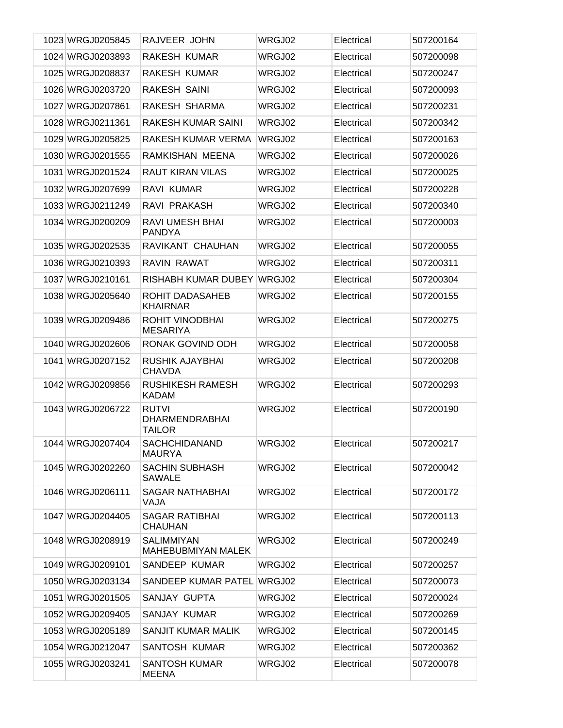| 1023 WRGJ0205845 | RAJVEER JOHN                                           | WRGJ02 | Electrical | 507200164 |
|------------------|--------------------------------------------------------|--------|------------|-----------|
| 1024 WRGJ0203893 | RAKESH KUMAR                                           | WRGJ02 | Electrical | 507200098 |
| 1025 WRGJ0208837 | RAKESH KUMAR                                           | WRGJ02 | Electrical | 507200247 |
| 1026 WRGJ0203720 | RAKESH SAINI                                           | WRGJ02 | Electrical | 507200093 |
| 1027 WRGJ0207861 | RAKESH SHARMA                                          | WRGJ02 | Electrical | 507200231 |
| 1028 WRGJ0211361 | RAKESH KUMAR SAINI                                     | WRGJ02 | Electrical | 507200342 |
| 1029 WRGJ0205825 | RAKESH KUMAR VERMA                                     | WRGJ02 | Electrical | 507200163 |
| 1030 WRGJ0201555 | RAMKISHAN MEENA                                        | WRGJ02 | Electrical | 507200026 |
| 1031 WRGJ0201524 | <b>RAUT KIRAN VILAS</b>                                | WRGJ02 | Electrical | 507200025 |
| 1032 WRGJ0207699 | RAVI KUMAR                                             | WRGJ02 | Electrical | 507200228 |
| 1033 WRGJ0211249 | RAVI PRAKASH                                           | WRGJ02 | Electrical | 507200340 |
| 1034 WRGJ0200209 | RAVI UMESH BHAI<br><b>PANDYA</b>                       | WRGJ02 | Electrical | 507200003 |
| 1035 WRGJ0202535 | RAVIKANT CHAUHAN                                       | WRGJ02 | Electrical | 507200055 |
| 1036 WRGJ0210393 | RAVIN RAWAT                                            | WRGJ02 | Electrical | 507200311 |
| 1037 WRGJ0210161 | RISHABH KUMAR DUBEY                                    | WRGJ02 | Electrical | 507200304 |
| 1038 WRGJ0205640 | ROHIT DADASAHEB<br><b>KHAIRNAR</b>                     | WRGJ02 | Electrical | 507200155 |
| 1039 WRGJ0209486 | ROHIT VINODBHAI<br><b>MESARIYA</b>                     | WRGJ02 | Electrical | 507200275 |
| 1040 WRGJ0202606 | RONAK GOVIND ODH                                       | WRGJ02 | Electrical | 507200058 |
| 1041 WRGJ0207152 | RUSHIK AJAYBHAI<br><b>CHAVDA</b>                       | WRGJ02 | Electrical | 507200208 |
| 1042 WRGJ0209856 | <b>RUSHIKESH RAMESH</b><br><b>KADAM</b>                | WRGJ02 | Electrical | 507200293 |
| 1043 WRGJ0206722 | <b>RUTVI</b><br><b>DHARMENDRABHAI</b><br><b>TAILOR</b> | WRGJ02 | Electrical | 507200190 |
| 1044 WRGJ0207404 | <b>SACHCHIDANAND</b><br><b>MAURYA</b>                  | WRGJ02 | Electrical | 507200217 |
| 1045 WRGJ0202260 | <b>SACHIN SUBHASH</b><br><b>SAWALE</b>                 | WRGJ02 | Electrical | 507200042 |
| 1046 WRGJ0206111 | SAGAR NATHABHAI<br>VAJA                                | WRGJ02 | Electrical | 507200172 |
| 1047 WRGJ0204405 | SAGAR RATIBHAI<br><b>CHAUHAN</b>                       | WRGJ02 | Electrical | 507200113 |
| 1048 WRGJ0208919 | <b>SALIMMIYAN</b><br><b>MAHEBUBMIYAN MALEK</b>         | WRGJ02 | Electrical | 507200249 |
| 1049 WRGJ0209101 | SANDEEP KUMAR                                          | WRGJ02 | Electrical | 507200257 |
| 1050 WRGJ0203134 | SANDEEP KUMAR PATEL                                    | WRGJ02 | Electrical | 507200073 |
| 1051 WRGJ0201505 | SANJAY GUPTA                                           | WRGJ02 | Electrical | 507200024 |
| 1052 WRGJ0209405 | SANJAY KUMAR                                           | WRGJ02 | Electrical | 507200269 |
| 1053 WRGJ0205189 | SANJIT KUMAR MALIK                                     | WRGJ02 | Electrical | 507200145 |
| 1054 WRGJ0212047 | SANTOSH KUMAR                                          | WRGJ02 | Electrical | 507200362 |
| 1055 WRGJ0203241 | <b>SANTOSH KUMAR</b><br><b>MEENA</b>                   | WRGJ02 | Electrical | 507200078 |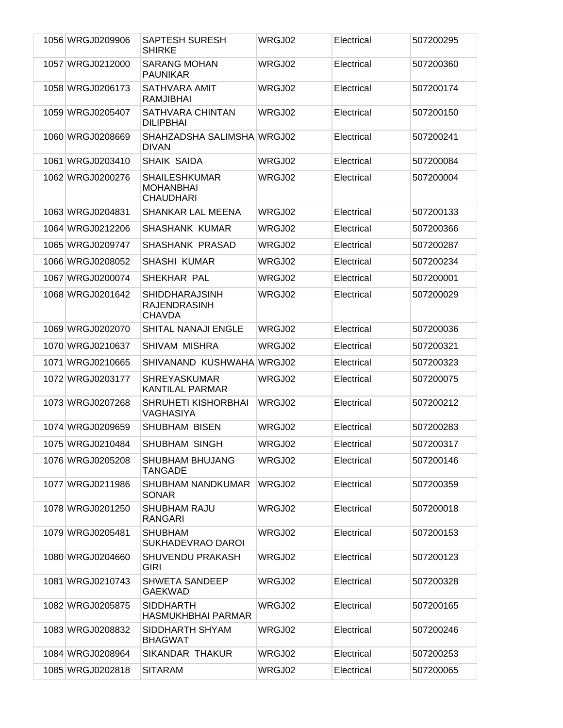| 1056 WRGJ0209906 | <b>SAPTESH SURESH</b><br><b>SHIRKE</b>                        | WRGJ02 | Electrical | 507200295 |
|------------------|---------------------------------------------------------------|--------|------------|-----------|
| 1057 WRGJ0212000 | <b>SARANG MOHAN</b><br><b>PAUNIKAR</b>                        | WRGJ02 | Electrical | 507200360 |
| 1058 WRGJ0206173 | SATHVARA AMIT<br><b>RAMJIBHAI</b>                             | WRGJ02 | Electrical | 507200174 |
| 1059 WRGJ0205407 | SATHVARA CHINTAN<br><b>DILIPBHAI</b>                          | WRGJ02 | Electrical | 507200150 |
| 1060 WRGJ0208669 | SHAHZADSHA SALIMSHA WRGJ02<br><b>DIVAN</b>                    |        | Electrical | 507200241 |
| 1061 WRGJ0203410 | <b>SHAIK SAIDA</b>                                            | WRGJ02 | Electrical | 507200084 |
| 1062 WRGJ0200276 | <b>SHAILESHKUMAR</b><br><b>MOHANBHAI</b><br><b>CHAUDHARI</b>  | WRGJ02 | Electrical | 507200004 |
| 1063 WRGJ0204831 | SHANKAR LAL MEENA                                             | WRGJ02 | Electrical | 507200133 |
| 1064 WRGJ0212206 | <b>SHASHANK KUMAR</b>                                         | WRGJ02 | Electrical | 507200366 |
| 1065 WRGJ0209747 | <b>SHASHANK PRASAD</b>                                        | WRGJ02 | Electrical | 507200287 |
| 1066 WRGJ0208052 | <b>SHASHI KUMAR</b>                                           | WRGJ02 | Electrical | 507200234 |
| 1067 WRGJ0200074 | SHEKHAR PAL                                                   | WRGJ02 | Electrical | 507200001 |
| 1068 WRGJ0201642 | <b>SHIDDHARAJSINH</b><br><b>RAJENDRASINH</b><br><b>CHAVDA</b> | WRGJ02 | Electrical | 507200029 |
| 1069 WRGJ0202070 | SHITAL NANAJI ENGLE                                           | WRGJ02 | Electrical | 507200036 |
| 1070 WRGJ0210637 | SHIVAM MISHRA                                                 | WRGJ02 | Electrical | 507200321 |
| 1071 WRGJ0210665 | SHIVANAND KUSHWAHA WRGJ02                                     |        | Electrical | 507200323 |
| 1072 WRGJ0203177 | <b>SHREYASKUMAR</b><br><b>KANTILAL PARMAR</b>                 | WRGJ02 | Electrical | 507200075 |
| 1073 WRGJ0207268 | <b>SHRUHETI KISHORBHAI</b><br>VAGHASIYA                       | WRGJ02 | Electrical | 507200212 |
| 1074 WRGJ0209659 | <b>SHUBHAM BISEN</b>                                          | WRGJ02 | Electrical | 507200283 |
| 1075 WRGJ0210484 | SHUBHAM SINGH                                                 | WRGJ02 | Electrical | 507200317 |
| 1076 WRGJ0205208 | SHUBHAM BHUJANG<br><b>TANGADE</b>                             | WRGJ02 | Electrical | 507200146 |
| 1077 WRGJ0211986 | SHUBHAM NANDKUMAR<br><b>SONAR</b>                             | WRGJ02 | Electrical | 507200359 |
| 1078 WRGJ0201250 | <b>SHUBHAM RAJU</b><br><b>RANGARI</b>                         | WRGJ02 | Electrical | 507200018 |
| 1079 WRGJ0205481 | <b>SHUBHAM</b><br>SUKHADEVRAO DAROI                           | WRGJ02 | Electrical | 507200153 |
| 1080 WRGJ0204660 | <b>SHUVENDU PRAKASH</b><br><b>GIRI</b>                        | WRGJ02 | Electrical | 507200123 |
| 1081 WRGJ0210743 | <b>SHWETA SANDEEP</b><br><b>GAEKWAD</b>                       | WRGJ02 | Electrical | 507200328 |
| 1082 WRGJ0205875 | <b>SIDDHARTH</b><br><b>HASMUKHBHAI PARMAR</b>                 | WRGJ02 | Electrical | 507200165 |
| 1083 WRGJ0208832 | SIDDHARTH SHYAM<br><b>BHAGWAT</b>                             | WRGJ02 | Electrical | 507200246 |
| 1084 WRGJ0208964 | SIKANDAR THAKUR                                               | WRGJ02 | Electrical | 507200253 |
| 1085 WRGJ0202818 | <b>SITARAM</b>                                                | WRGJ02 | Electrical | 507200065 |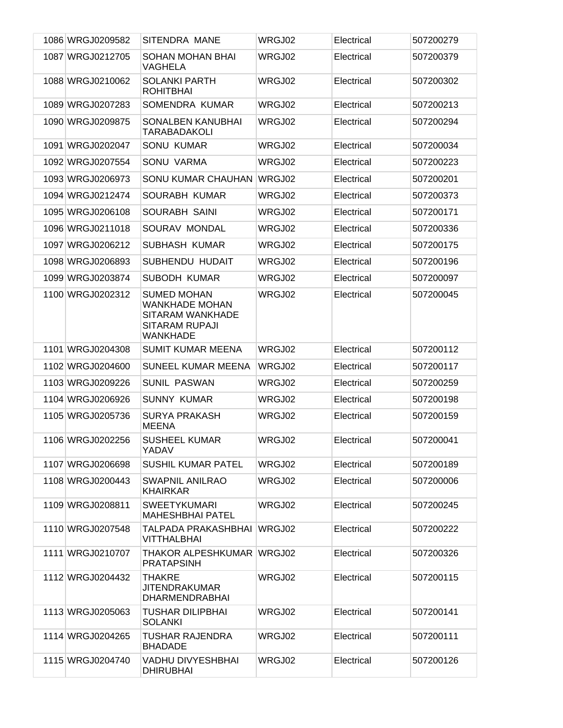| 1086 WRGJ0209582 | SITENDRA MANE                                                                                               | WRGJ02 | Electrical | 507200279 |
|------------------|-------------------------------------------------------------------------------------------------------------|--------|------------|-----------|
| 1087 WRGJ0212705 | SOHAN MOHAN BHAI<br>VAGHELA                                                                                 | WRGJ02 | Electrical | 507200379 |
| 1088 WRGJ0210062 | <b>SOLANKI PARTH</b><br><b>ROHITBHAI</b>                                                                    | WRGJ02 | Electrical | 507200302 |
| 1089 WRGJ0207283 | SOMENDRA KUMAR                                                                                              | WRGJ02 | Electrical | 507200213 |
| 1090 WRGJ0209875 | SONALBEN KANUBHAI<br><b>TARABADAKOLI</b>                                                                    | WRGJ02 | Electrical | 507200294 |
| 1091 WRGJ0202047 | <b>SONU KUMAR</b>                                                                                           | WRGJ02 | Electrical | 507200034 |
| 1092 WRGJ0207554 | SONU VARMA                                                                                                  | WRGJ02 | Electrical | 507200223 |
| 1093 WRGJ0206973 | SONU KUMAR CHAUHAN                                                                                          | WRGJ02 | Electrical | 507200201 |
| 1094 WRGJ0212474 | SOURABH KUMAR                                                                                               | WRGJ02 | Electrical | 507200373 |
| 1095 WRGJ0206108 | <b>SOURABH SAINI</b>                                                                                        | WRGJ02 | Electrical | 507200171 |
| 1096 WRGJ0211018 | SOURAV MONDAL                                                                                               | WRGJ02 | Electrical | 507200336 |
| 1097 WRGJ0206212 | <b>SUBHASH KUMAR</b>                                                                                        | WRGJ02 | Electrical | 507200175 |
| 1098 WRGJ0206893 | SUBHENDU HUDAIT                                                                                             | WRGJ02 | Electrical | 507200196 |
| 1099 WRGJ0203874 | <b>SUBODH KUMAR</b>                                                                                         | WRGJ02 | Electrical | 507200097 |
| 1100 WRGJ0202312 | <b>SUMED MOHAN</b><br><b>WANKHADE MOHAN</b><br>SITARAM WANKHADE<br><b>SITARAM RUPAJI</b><br><b>WANKHADE</b> | WRGJ02 | Electrical | 507200045 |
| 1101 WRGJ0204308 | <b>SUMIT KUMAR MEENA</b>                                                                                    | WRGJ02 | Electrical | 507200112 |
| 1102 WRGJ0204600 | <b>SUNEEL KUMAR MEENA</b>                                                                                   | WRGJ02 | Electrical | 507200117 |
| 1103 WRGJ0209226 | <b>SUNIL PASWAN</b>                                                                                         | WRGJ02 | Electrical | 507200259 |
| 1104 WRGJ0206926 | <b>SUNNY KUMAR</b>                                                                                          | WRGJ02 | Electrical | 507200198 |
| 1105 WRGJ0205736 | <b>SURYA PRAKASH</b><br><b>MEENA</b>                                                                        | WRGJ02 | Electrical | 507200159 |
| 1106 WRGJ0202256 | <b>SUSHEEL KUMAR</b><br>YADAV                                                                               | WRGJ02 | Electrical | 507200041 |
| 1107 WRGJ0206698 | <b>SUSHIL KUMAR PATEL</b>                                                                                   | WRGJ02 | Electrical | 507200189 |
| 1108 WRGJ0200443 | <b>SWAPNIL ANILRAO</b><br><b>KHAIRKAR</b>                                                                   | WRGJ02 | Electrical | 507200006 |
| 1109 WRGJ0208811 | <b>SWEETYKUMARI</b><br><b>MAHESHBHAI PATEL</b>                                                              | WRGJ02 | Electrical | 507200245 |
| 1110 WRGJ0207548 | TALPADA PRAKASHBHAI<br>VITTHALBHAI                                                                          | WRGJ02 | Electrical | 507200222 |
| 1111 WRGJ0210707 | THAKOR ALPESHKUMAR<br><b>PRATAPSINH</b>                                                                     | WRGJ02 | Electrical | 507200326 |
| 1112 WRGJ0204432 | THAKRE<br>JITENDRAKUMAR<br><b>DHARMENDRABHAI</b>                                                            | WRGJ02 | Electrical | 507200115 |
| 1113 WRGJ0205063 | <b>TUSHAR DILIPBHAI</b><br><b>SOLANKI</b>                                                                   | WRGJ02 | Electrical | 507200141 |
| 1114 WRGJ0204265 | TUSHAR RAJENDRA<br><b>BHADADE</b>                                                                           | WRGJ02 | Electrical | 507200111 |
| 1115 WRGJ0204740 | VADHU DIVYESHBHAI<br><b>DHIRUBHAI</b>                                                                       | WRGJ02 | Electrical | 507200126 |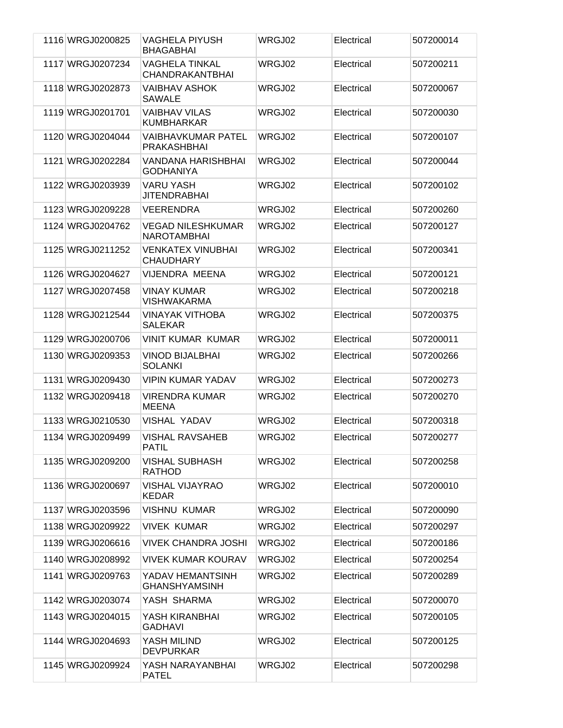| 1116 WRGJ0200825 | <b>VAGHELA PIYUSH</b><br><b>BHAGABHAI</b>       | WRGJ02 | Electrical | 507200014 |
|------------------|-------------------------------------------------|--------|------------|-----------|
| 1117 WRGJ0207234 | <b>VAGHELA TINKAL</b><br>CHANDRAKANTBHAI        | WRGJ02 | Electrical | 507200211 |
| 1118 WRGJ0202873 | <b>VAIBHAV ASHOK</b><br><b>SAWALE</b>           | WRGJ02 | Electrical | 507200067 |
| 1119 WRGJ0201701 | <b>VAIBHAV VILAS</b><br><b>KUMBHARKAR</b>       | WRGJ02 | Electrical | 507200030 |
| 1120 WRGJ0204044 | <b>VAIBHAVKUMAR PATEL</b><br><b>PRAKASHBHAI</b> | WRGJ02 | Electrical | 507200107 |
| 1121 WRGJ0202284 | <b>VANDANA HARISHBHAI</b><br><b>GODHANIYA</b>   | WRGJ02 | Electrical | 507200044 |
| 1122 WRGJ0203939 | <b>VARU YASH</b><br><b>JITENDRABHAI</b>         | WRGJ02 | Electrical | 507200102 |
| 1123 WRGJ0209228 | <b>VEERENDRA</b>                                | WRGJ02 | Electrical | 507200260 |
| 1124 WRGJ0204762 | <b>VEGAD NILESHKUMAR</b><br><b>NAROTAMBHAI</b>  | WRGJ02 | Electrical | 507200127 |
| 1125 WRGJ0211252 | <b>VENKATEX VINUBHAI</b><br><b>CHAUDHARY</b>    | WRGJ02 | Electrical | 507200341 |
| 1126 WRGJ0204627 | VIJENDRA MEENA                                  | WRGJ02 | Electrical | 507200121 |
| 1127 WRGJ0207458 | <b>VINAY KUMAR</b><br><b>VISHWAKARMA</b>        | WRGJ02 | Electrical | 507200218 |
| 1128 WRGJ0212544 | <b>VINAYAK VITHOBA</b><br><b>SALEKAR</b>        | WRGJ02 | Electrical | 507200375 |
| 1129 WRGJ0200706 | <b>VINIT KUMAR KUMAR</b>                        | WRGJ02 | Electrical | 507200011 |
| 1130 WRGJ0209353 | <b>VINOD BIJALBHAI</b><br><b>SOLANKI</b>        | WRGJ02 | Electrical | 507200266 |
| 1131 WRGJ0209430 | <b>VIPIN KUMAR YADAV</b>                        | WRGJ02 | Electrical | 507200273 |
| 1132 WRGJ0209418 | <b>VIRENDRA KUMAR</b><br><b>MEENA</b>           | WRGJ02 | Electrical | 507200270 |
| 1133 WRGJ0210530 | <b>VISHAL YADAV</b>                             | WRGJ02 | Electrical | 507200318 |
| 1134 WRGJ0209499 | VISHAL RAVSAHEB<br>PATIL                        | WRGJ02 | Electrical | 507200277 |
| 1135 WRGJ0209200 | <b>VISHAL SUBHASH</b><br><b>RATHOD</b>          | WRGJ02 | Electrical | 507200258 |
| 1136 WRGJ0200697 | <b>VISHAL VIJAYRAO</b><br><b>KEDAR</b>          | WRGJ02 | Electrical | 507200010 |
| 1137 WRGJ0203596 | <b>VISHNU KUMAR</b>                             | WRGJ02 | Electrical | 507200090 |
| 1138 WRGJ0209922 | <b>VIVEK KUMAR</b>                              | WRGJ02 | Electrical | 507200297 |
| 1139 WRGJ0206616 | <b>VIVEK CHANDRA JOSHI</b>                      | WRGJ02 | Electrical | 507200186 |
| 1140 WRGJ0208992 | <b>VIVEK KUMAR KOURAV</b>                       | WRGJ02 | Electrical | 507200254 |
| 1141 WRGJ0209763 | YADAV HEMANTSINH<br><b>GHANSHYAMSINH</b>        | WRGJ02 | Electrical | 507200289 |
| 1142 WRGJ0203074 | YASH SHARMA                                     | WRGJ02 | Electrical | 507200070 |
| 1143 WRGJ0204015 | YASH KIRANBHAI<br><b>GADHAVI</b>                | WRGJ02 | Electrical | 507200105 |
| 1144 WRGJ0204693 | YASH MILIND<br><b>DEVPURKAR</b>                 | WRGJ02 | Electrical | 507200125 |
| 1145 WRGJ0209924 | YASH NARAYANBHAI<br><b>PATEL</b>                | WRGJ02 | Electrical | 507200298 |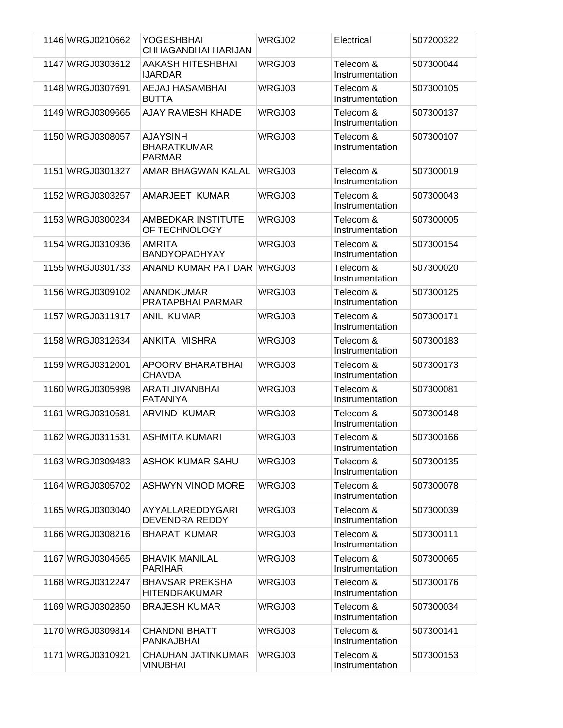| 1146 WRGJ0210662 | <b>YOGESHBHAI</b><br>CHHAGANBHAI HARIJAN               | WRGJ02 | Electrical                   | 507200322 |
|------------------|--------------------------------------------------------|--------|------------------------------|-----------|
| 1147 WRGJ0303612 | AAKASH HITESHBHAI<br><b>IJARDAR</b>                    | WRGJ03 | Telecom &<br>Instrumentation | 507300044 |
| 1148 WRGJ0307691 | <b>AEJAJ HASAMBHAI</b><br><b>BUTTA</b>                 | WRGJ03 | Telecom &<br>Instrumentation | 507300105 |
| 1149 WRGJ0309665 | AJAY RAMESH KHADE                                      | WRGJ03 | Telecom &<br>Instrumentation | 507300137 |
| 1150 WRGJ0308057 | <b>AJAYSINH</b><br><b>BHARATKUMAR</b><br><b>PARMAR</b> | WRGJ03 | Telecom &<br>Instrumentation | 507300107 |
| 1151 WRGJ0301327 | AMAR BHAGWAN KALAL                                     | WRGJ03 | Telecom &<br>Instrumentation | 507300019 |
| 1152 WRGJ0303257 | AMARJEET KUMAR                                         | WRGJ03 | Telecom &<br>Instrumentation | 507300043 |
| 1153 WRGJ0300234 | AMBEDKAR INSTITUTE<br>OF TECHNOLOGY                    | WRGJ03 | Telecom &<br>Instrumentation | 507300005 |
| 1154 WRGJ0310936 | <b>AMRITA</b><br><b>BANDYOPADHYAY</b>                  | WRGJ03 | Telecom &<br>Instrumentation | 507300154 |
| 1155 WRGJ0301733 | ANAND KUMAR PATIDAR                                    | WRGJ03 | Telecom &<br>Instrumentation | 507300020 |
| 1156 WRGJ0309102 | <b>ANANDKUMAR</b><br>PRATAPBHAI PARMAR                 | WRGJ03 | Telecom &<br>Instrumentation | 507300125 |
| 1157 WRGJ0311917 | <b>ANIL KUMAR</b>                                      | WRGJ03 | Telecom &<br>Instrumentation | 507300171 |
| 1158 WRGJ0312634 | ANKITA MISHRA                                          | WRGJ03 | Telecom &<br>Instrumentation | 507300183 |
| 1159 WRGJ0312001 | APOORV BHARATBHAI<br><b>CHAVDA</b>                     | WRGJ03 | Telecom &<br>Instrumentation | 507300173 |
| 1160 WRGJ0305998 | <b>ARATI JIVANBHAI</b><br><b>FATANIYA</b>              | WRGJ03 | Telecom &<br>Instrumentation | 507300081 |
| 1161 WRGJ0310581 | <b>ARVIND KUMAR</b>                                    | WRGJ03 | Telecom &<br>Instrumentation | 507300148 |
| 1162 WRGJ0311531 | <b>ASHMITA KUMARI</b>                                  | WRGJ03 | Telecom &<br>Instrumentation | 507300166 |
| 1163 WRGJ0309483 | <b>ASHOK KUMAR SAHU</b>                                | WRGJ03 | Telecom &<br>Instrumentation | 507300135 |
| 1164 WRGJ0305702 | <b>ASHWYN VINOD MORE</b>                               | WRGJ03 | Telecom &<br>Instrumentation | 507300078 |
| 1165 WRGJ0303040 | AYYALLAREDDYGARI<br><b>DEVENDRA REDDY</b>              | WRGJ03 | Telecom &<br>Instrumentation | 507300039 |
| 1166 WRGJ0308216 | <b>BHARAT KUMAR</b>                                    | WRGJ03 | Telecom &<br>Instrumentation | 507300111 |
| 1167 WRGJ0304565 | <b>BHAVIK MANILAL</b><br><b>PARIHAR</b>                | WRGJ03 | Telecom &<br>Instrumentation | 507300065 |
| 1168 WRGJ0312247 | <b>BHAVSAR PREKSHA</b><br><b>HITENDRAKUMAR</b>         | WRGJ03 | Telecom &<br>Instrumentation | 507300176 |
| 1169 WRGJ0302850 | <b>BRAJESH KUMAR</b>                                   | WRGJ03 | Telecom &<br>Instrumentation | 507300034 |
| 1170 WRGJ0309814 | <b>CHANDNI BHATT</b><br><b>PANKAJBHAI</b>              | WRGJ03 | Telecom &<br>Instrumentation | 507300141 |
| 1171 WRGJ0310921 | CHAUHAN JATINKUMAR<br><b>VINUBHAI</b>                  | WRGJ03 | Telecom &<br>Instrumentation | 507300153 |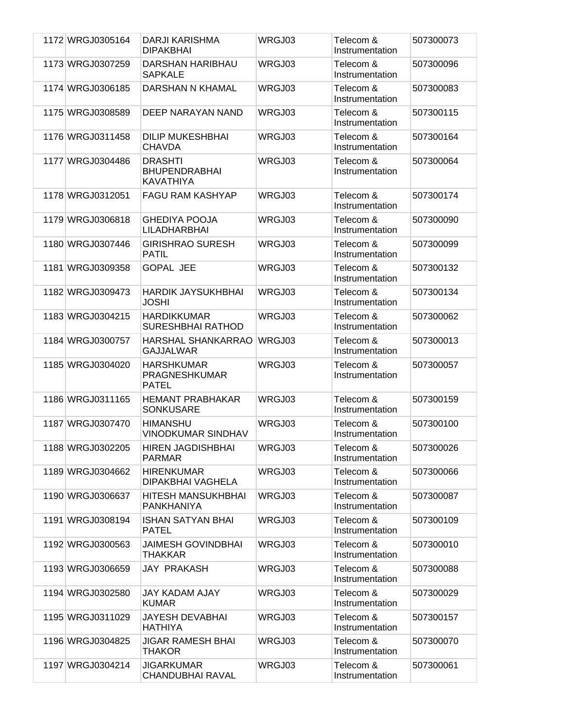| 1172 WRGJ0305164 | DARJI KARISHMA<br><b>DIPAKBHAI</b>                         | WRGJ03 | Telecom &<br>Instrumentation | 507300073 |
|------------------|------------------------------------------------------------|--------|------------------------------|-----------|
| 1173 WRGJ0307259 | DARSHAN HARIBHAU<br><b>SAPKALE</b>                         | WRGJ03 | Telecom &<br>Instrumentation | 507300096 |
| 1174 WRGJ0306185 | DARSHAN N KHAMAL                                           | WRGJ03 | Telecom &<br>Instrumentation | 507300083 |
| 1175 WRGJ0308589 | DEEP NARAYAN NAND                                          | WRGJ03 | Telecom &<br>Instrumentation | 507300115 |
| 1176 WRGJ0311458 | <b>DILIP MUKESHBHAI</b><br><b>CHAVDA</b>                   | WRGJ03 | Telecom &<br>Instrumentation | 507300164 |
| 1177 WRGJ0304486 | <b>DRASHTI</b><br><b>BHUPENDRABHAI</b><br><b>KAVATHIYA</b> | WRGJ03 | Telecom &<br>Instrumentation | 507300064 |
| 1178 WRGJ0312051 | <b>FAGU RAM KASHYAP</b>                                    | WRGJ03 | Telecom &<br>Instrumentation | 507300174 |
| 1179 WRGJ0306818 | <b>GHEDIYA POOJA</b><br><b>LILADHARBHAI</b>                | WRGJ03 | Telecom &<br>Instrumentation | 507300090 |
| 1180 WRGJ0307446 | <b>GIRISHRAO SURESH</b><br><b>PATIL</b>                    | WRGJ03 | Telecom &<br>Instrumentation | 507300099 |
| 1181 WRGJ0309358 | <b>GOPAL JEE</b>                                           | WRGJ03 | Telecom &<br>Instrumentation | 507300132 |
| 1182 WRGJ0309473 | <b>HARDIK JAYSUKHBHAI</b><br><b>JOSHI</b>                  | WRGJ03 | Telecom &<br>Instrumentation | 507300134 |
| 1183 WRGJ0304215 | <b>HARDIKKUMAR</b><br>SURESHBHAI RATHOD                    | WRGJ03 | Telecom &<br>Instrumentation | 507300062 |
| 1184 WRGJ0300757 | HARSHAL SHANKARRAO<br><b>GAJJALWAR</b>                     | WRGJ03 | Telecom &<br>Instrumentation | 507300013 |
| 1185 WRGJ0304020 | <b>HARSHKUMAR</b><br>PRAGNESHKUMAR<br><b>PATEL</b>         | WRGJ03 | Telecom &<br>Instrumentation | 507300057 |
| 1186 WRGJ0311165 | <b>HEMANT PRABHAKAR</b><br><b>SONKUSARE</b>                | WRGJ03 | Telecom &<br>Instrumentation | 507300159 |
| 1187 WRGJ0307470 | <b>HIMANSHU</b><br><b>VINODKUMAR SINDHAV</b>               | WRGJ03 | Telecom &<br>Instrumentation | 507300100 |
| 1188 WRGJ0302205 | HIREN JAGDISHBHAI<br><b>PARMAR</b>                         | WRGJ03 | Telecom &<br>Instrumentation | 507300026 |
| 1189 WRGJ0304662 | <b>HIRENKUMAR</b><br>DIPAKBHAI VAGHELA                     | WRGJ03 | Telecom &<br>Instrumentation | 507300066 |
| 1190 WRGJ0306637 | <b>HITESH MANSUKHBHAI</b><br>PANKHANIYA                    | WRGJ03 | Telecom &<br>Instrumentation | 507300087 |
| 1191 WRGJ0308194 | <b>ISHAN SATYAN BHAI</b><br>PATEL                          | WRGJ03 | Telecom &<br>Instrumentation | 507300109 |
| 1192 WRGJ0300563 | JAIMESH GOVINDBHAI<br>THAKKAR                              | WRGJ03 | Telecom &<br>Instrumentation | 507300010 |
| 1193 WRGJ0306659 | <b>JAY PRAKASH</b>                                         | WRGJ03 | Telecom &<br>Instrumentation | 507300088 |
| 1194 WRGJ0302580 | JAY KADAM AJAY<br><b>KUMAR</b>                             | WRGJ03 | Telecom &<br>Instrumentation | 507300029 |
| 1195 WRGJ0311029 | <b>JAYESH DEVABHAI</b><br><b>HATHIYA</b>                   | WRGJ03 | Telecom &<br>Instrumentation | 507300157 |
| 1196 WRGJ0304825 | JIGAR RAMESH BHAI<br><b>THAKOR</b>                         | WRGJ03 | Telecom &<br>Instrumentation | 507300070 |
| 1197 WRGJ0304214 | JIGARKUMAR<br>CHANDUBHAI RAVAL                             | WRGJ03 | Telecom &<br>Instrumentation | 507300061 |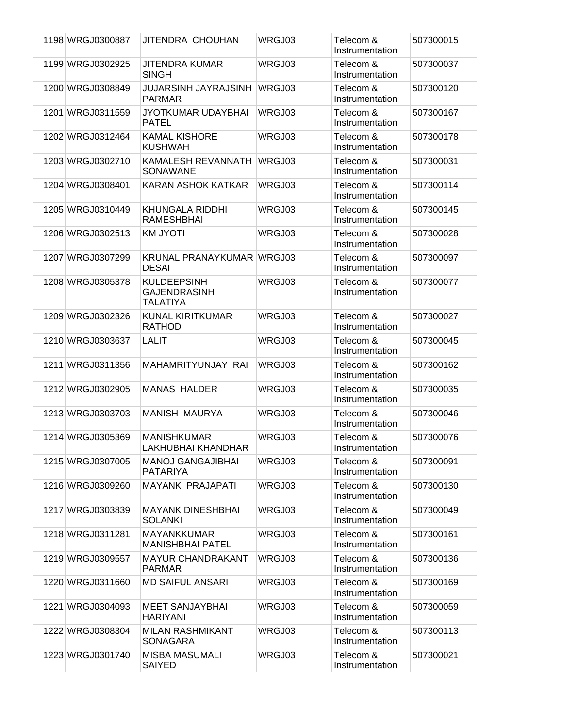| 1198 WRGJ0300887 | JITENDRA CHOUHAN                                             | WRGJ03 | Telecom &<br>Instrumentation | 507300015 |
|------------------|--------------------------------------------------------------|--------|------------------------------|-----------|
| 1199 WRGJ0302925 | JITENDRA KUMAR<br><b>SINGH</b>                               | WRGJ03 | Telecom &<br>Instrumentation | 507300037 |
| 1200 WRGJ0308849 | JUJARSINH JAYRAJSINH<br><b>PARMAR</b>                        | WRGJ03 | Telecom &<br>Instrumentation | 507300120 |
| 1201 WRGJ0311559 | JYOTKUMAR UDAYBHAI<br><b>PATEL</b>                           | WRGJ03 | Telecom &<br>Instrumentation | 507300167 |
| 1202 WRGJ0312464 | <b>KAMAL KISHORE</b><br><b>KUSHWAH</b>                       | WRGJ03 | Telecom &<br>Instrumentation | 507300178 |
| 1203 WRGJ0302710 | KAMALESH REVANNATH<br>SONAWANE                               | WRGJ03 | Telecom &<br>Instrumentation | 507300031 |
| 1204 WRGJ0308401 | <b>KARAN ASHOK KATKAR</b>                                    | WRGJ03 | Telecom &<br>Instrumentation | 507300114 |
| 1205 WRGJ0310449 | <b>KHUNGALA RIDDHI</b><br><b>RAMESHBHAI</b>                  | WRGJ03 | Telecom &<br>Instrumentation | 507300145 |
| 1206 WRGJ0302513 | <b>KM JYOTI</b>                                              | WRGJ03 | Telecom &<br>Instrumentation | 507300028 |
| 1207 WRGJ0307299 | KRUNAL PRANAYKUMAR WRGJ03<br><b>DESAI</b>                    |        | Telecom &<br>Instrumentation | 507300097 |
| 1208 WRGJ0305378 | <b>KULDEEPSINH</b><br><b>GAJENDRASINH</b><br><b>TALATIYA</b> | WRGJ03 | Telecom &<br>Instrumentation | 507300077 |
| 1209 WRGJ0302326 | <b>KUNAL KIRITKUMAR</b><br><b>RATHOD</b>                     | WRGJ03 | Telecom &<br>Instrumentation | 507300027 |
| 1210 WRGJ0303637 | <b>LALIT</b>                                                 | WRGJ03 | Telecom &<br>Instrumentation | 507300045 |
| 1211 WRGJ0311356 | MAHAMRITYUNJAY RAI                                           | WRGJ03 | Telecom &<br>Instrumentation | 507300162 |
| 1212 WRGJ0302905 | <b>MANAS HALDER</b>                                          | WRGJ03 | Telecom &<br>Instrumentation | 507300035 |
| 1213 WRGJ0303703 | <b>MANISH MAURYA</b>                                         | WRGJ03 | Telecom &<br>Instrumentation | 507300046 |
| 1214 WRGJ0305369 | <b>MANISHKUMAR</b><br>LAKHUBHAI KHANDHAR                     | WRGJ03 | Telecom &<br>Instrumentation | 507300076 |
| 1215 WRGJ0307005 | <b>MANOJ GANGAJIBHAI</b><br><b>PATARIYA</b>                  | WRGJ03 | Telecom &<br>Instrumentation | 507300091 |
| 1216 WRGJ0309260 | <b>MAYANK PRAJAPATI</b>                                      | WRGJ03 | Telecom &<br>Instrumentation | 507300130 |
| 1217 WRGJ0303839 | <b>MAYANK DINESHBHAI</b><br><b>SOLANKI</b>                   | WRGJ03 | Telecom &<br>Instrumentation | 507300049 |
| 1218 WRGJ0311281 | <b>MAYANKKUMAR</b><br><b>MANISHBHAI PATEL</b>                | WRGJ03 | Telecom &<br>Instrumentation | 507300161 |
| 1219 WRGJ0309557 | <b>MAYUR CHANDRAKANT</b><br><b>PARMAR</b>                    | WRGJ03 | Telecom &<br>Instrumentation | 507300136 |
| 1220 WRGJ0311660 | <b>MD SAIFUL ANSARI</b>                                      | WRGJ03 | Telecom &<br>Instrumentation | 507300169 |
| 1221 WRGJ0304093 | <b>MEET SANJAYBHAI</b><br><b>HARIYANI</b>                    | WRGJ03 | Telecom &<br>Instrumentation | 507300059 |
| 1222 WRGJ0308304 | <b>MILAN RASHMIKANT</b><br>SONAGARA                          | WRGJ03 | Telecom &<br>Instrumentation | 507300113 |
| 1223 WRGJ0301740 | <b>MISBA MASUMALI</b><br><b>SAIYED</b>                       | WRGJ03 | Telecom &<br>Instrumentation | 507300021 |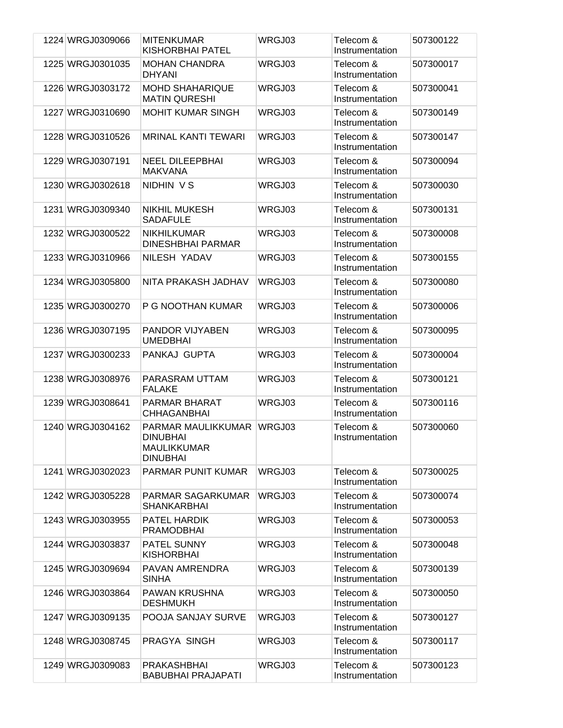| 1224 WRGJ0309066 | <b>MITENKUMAR</b><br>KISHORBHAI PATEL                                   | WRGJ03 | Telecom &<br>Instrumentation | 507300122 |
|------------------|-------------------------------------------------------------------------|--------|------------------------------|-----------|
| 1225 WRGJ0301035 | <b>MOHAN CHANDRA</b>                                                    | WRGJ03 | Telecom &                    | 507300017 |
|                  | <b>DHYANI</b>                                                           |        | Instrumentation              |           |
| 1226 WRGJ0303172 | <b>MOHD SHAHARIQUE</b><br><b>MATIN QURESHI</b>                          | WRGJ03 | Telecom &<br>Instrumentation | 507300041 |
| 1227 WRGJ0310690 | <b>MOHIT KUMAR SINGH</b>                                                | WRGJ03 | Telecom &<br>Instrumentation | 507300149 |
| 1228 WRGJ0310526 | <b>MRINAL KANTI TEWARI</b>                                              | WRGJ03 | Telecom &<br>Instrumentation | 507300147 |
| 1229 WRGJ0307191 | <b>NEEL DILEEPBHAI</b><br><b>MAKVANA</b>                                | WRGJ03 | Telecom &<br>Instrumentation | 507300094 |
| 1230 WRGJ0302618 | NIDHIN VS                                                               | WRGJ03 | Telecom &<br>Instrumentation | 507300030 |
| 1231 WRGJ0309340 | <b>NIKHIL MUKESH</b><br><b>SADAFULE</b>                                 | WRGJ03 | Telecom &<br>Instrumentation | 507300131 |
| 1232 WRGJ0300522 | <b>NIKHILKUMAR</b><br><b>DINESHBHAI PARMAR</b>                          | WRGJ03 | Telecom &<br>Instrumentation | 507300008 |
| 1233 WRGJ0310966 | NILESH YADAV                                                            | WRGJ03 | Telecom &<br>Instrumentation | 507300155 |
| 1234 WRGJ0305800 | NITA PRAKASH JADHAV                                                     | WRGJ03 | Telecom &<br>Instrumentation | 507300080 |
| 1235 WRGJ0300270 | P G NOOTHAN KUMAR                                                       | WRGJ03 | Telecom &<br>Instrumentation | 507300006 |
| 1236 WRGJ0307195 | <b>PANDOR VIJYABEN</b><br><b>UMEDBHAI</b>                               | WRGJ03 | Telecom &<br>Instrumentation | 507300095 |
| 1237 WRGJ0300233 | PANKAJ GUPTA                                                            | WRGJ03 | Telecom &<br>Instrumentation | 507300004 |
| 1238 WRGJ0308976 | PARASRAM UTTAM<br><b>FALAKE</b>                                         | WRGJ03 | Telecom &<br>Instrumentation | 507300121 |
| 1239 WRGJ0308641 | <b>PARMAR BHARAT</b><br><b>CHHAGANBHAI</b>                              | WRGJ03 | Telecom &<br>Instrumentation | 507300116 |
| 1240 WRGJ0304162 | PARMAR MAULIKKUMAR<br><b>DINUBHAI</b><br>MAULIKKUMAR<br><b>DINUBHAI</b> | WRGJ03 | Telecom &<br>Instrumentation | 507300060 |
| 1241 WRGJ0302023 | <b>PARMAR PUNIT KUMAR</b>                                               | WRGJ03 | Telecom &<br>Instrumentation | 507300025 |
| 1242 WRGJ0305228 | PARMAR SAGARKUMAR<br><b>SHANKARBHAI</b>                                 | WRGJ03 | Telecom &<br>Instrumentation | 507300074 |
| 1243 WRGJ0303955 | PATEL HARDIK<br><b>PRAMODBHAI</b>                                       | WRGJ03 | Telecom &<br>Instrumentation | 507300053 |
| 1244 WRGJ0303837 | PATEL SUNNY<br><b>KISHORBHAI</b>                                        | WRGJ03 | Telecom &<br>Instrumentation | 507300048 |
| 1245 WRGJ0309694 | PAVAN AMRENDRA<br><b>SINHA</b>                                          | WRGJ03 | Telecom &<br>Instrumentation | 507300139 |
| 1246 WRGJ0303864 | <b>PAWAN KRUSHNA</b><br><b>DESHMUKH</b>                                 | WRGJ03 | Telecom &<br>Instrumentation | 507300050 |
| 1247 WRGJ0309135 | POOJA SANJAY SURVE                                                      | WRGJ03 | Telecom &<br>Instrumentation | 507300127 |
| 1248 WRGJ0308745 | PRAGYA SINGH                                                            | WRGJ03 | Telecom &<br>Instrumentation | 507300117 |
| 1249 WRGJ0309083 | <b>PRAKASHBHAI</b><br><b>BABUBHAI PRAJAPATI</b>                         | WRGJ03 | Telecom &<br>Instrumentation | 507300123 |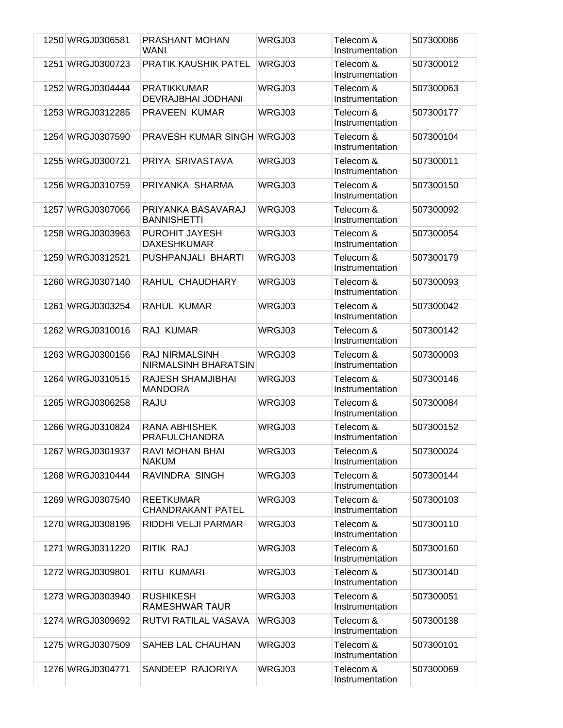| 1250 WRGJ0306581 | <b>PRASHANT MOHAN</b><br>WANI                        | WRGJ03 | Telecom &<br>Instrumentation | 507300086 |
|------------------|------------------------------------------------------|--------|------------------------------|-----------|
| 1251 WRGJ0300723 | PRATIK KAUSHIK PATEL                                 | WRGJ03 | Telecom &<br>Instrumentation | 507300012 |
| 1252 WRGJ0304444 | <b>PRATIKKUMAR</b><br>DEVRAJBHAI JODHANI             | WRGJ03 | Telecom &<br>Instrumentation | 507300063 |
| 1253 WRGJ0312285 | <b>PRAVEEN KUMAR</b>                                 | WRGJ03 | Telecom &<br>Instrumentation | 507300177 |
| 1254 WRGJ0307590 | <b>PRAVESH KUMAR SINGH WRGJ03</b>                    |        | Telecom &<br>Instrumentation | 507300104 |
| 1255 WRGJ0300721 | PRIYA SRIVASTAVA                                     | WRGJ03 | Telecom &<br>Instrumentation | 507300011 |
| 1256 WRGJ0310759 | PRIYANKA SHARMA                                      | WRGJ03 | Telecom &<br>Instrumentation | 507300150 |
| 1257 WRGJ0307066 | PRIYANKA BASAVARAJ<br><b>BANNISHETTI</b>             | WRGJ03 | Telecom &<br>Instrumentation | 507300092 |
| 1258 WRGJ0303963 | PUROHIT JAYESH<br><b>DAXESHKUMAR</b>                 | WRGJ03 | Telecom &<br>Instrumentation | 507300054 |
| 1259 WRGJ0312521 | PUSHPANJALI BHARTI                                   | WRGJ03 | Telecom &<br>Instrumentation | 507300179 |
| 1260 WRGJ0307140 | RAHUL CHAUDHARY                                      | WRGJ03 | Telecom &<br>Instrumentation | 507300093 |
| 1261 WRGJ0303254 | RAHUL KUMAR                                          | WRGJ03 | Telecom &<br>Instrumentation | 507300042 |
| 1262 WRGJ0310016 | RAJ KUMAR                                            | WRGJ03 | Telecom &<br>Instrumentation | 507300142 |
| 1263 WRGJ0300156 | <b>RAJ NIRMALSINH</b><br><b>NIRMALSINH BHARATSIN</b> | WRGJ03 | Telecom &<br>Instrumentation | 507300003 |
| 1264 WRGJ0310515 | RAJESH SHAMJIBHAI<br><b>MANDORA</b>                  | WRGJ03 | Telecom &<br>Instrumentation | 507300146 |
| 1265 WRGJ0306258 | RAJU                                                 | WRGJ03 | Telecom &<br>Instrumentation | 507300084 |
| 1266 WRGJ0310824 | RANA ABHISHEK<br>PRAFULCHANDRA                       | WRGJ03 | Telecom &<br>Instrumentation | 507300152 |
| 1267 WRGJ0301937 | RAVI MOHAN BHAI<br><b>NAKUM</b>                      | WRGJ03 | Telecom &<br>Instrumentation | 507300024 |
| 1268 WRGJ0310444 | RAVINDRA SINGH                                       | WRGJ03 | Telecom &<br>Instrumentation | 507300144 |
| 1269 WRGJ0307540 | <b>REETKUMAR</b><br><b>CHANDRAKANT PATEL</b>         | WRGJ03 | Telecom &<br>Instrumentation | 507300103 |
| 1270 WRGJ0308196 | RIDDHI VELJI PARMAR                                  | WRGJ03 | Telecom &<br>Instrumentation | 507300110 |
| 1271 WRGJ0311220 | RITIK RAJ                                            | WRGJ03 | Telecom &<br>Instrumentation | 507300160 |
| 1272 WRGJ0309801 | RITU KUMARI                                          | WRGJ03 | Telecom &<br>Instrumentation | 507300140 |
| 1273 WRGJ0303940 | <b>RUSHIKESH</b><br>RAMESHWAR TAUR                   | WRGJ03 | Telecom &<br>Instrumentation | 507300051 |
| 1274 WRGJ0309692 | RUTVI RATILAL VASAVA                                 | WRGJ03 | Telecom &<br>Instrumentation | 507300138 |
| 1275 WRGJ0307509 | SAHEB LAL CHAUHAN                                    | WRGJ03 | Telecom &<br>Instrumentation | 507300101 |
| 1276 WRGJ0304771 | SANDEEP RAJORIYA                                     | WRGJ03 | Telecom &<br>Instrumentation | 507300069 |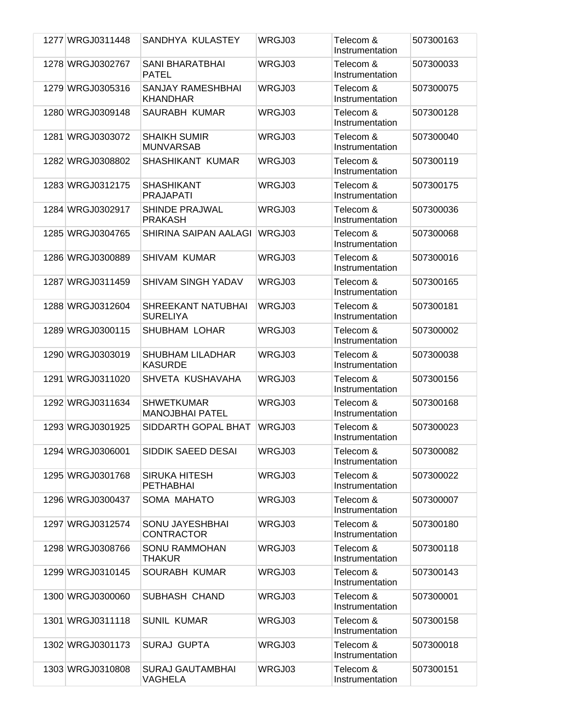| 1277 WRGJ0311448 | SANDHYA KULASTEY                            | WRGJ03 | Telecom &<br>Instrumentation | 507300163 |
|------------------|---------------------------------------------|--------|------------------------------|-----------|
| 1278 WRGJ0302767 | <b>SANI BHARATBHAI</b><br><b>PATEL</b>      | WRGJ03 | Telecom &<br>Instrumentation | 507300033 |
| 1279 WRGJ0305316 | SANJAY RAMESHBHAI<br><b>KHANDHAR</b>        | WRGJ03 | Telecom &<br>Instrumentation | 507300075 |
| 1280 WRGJ0309148 | SAURABH KUMAR                               | WRGJ03 | Telecom &<br>Instrumentation | 507300128 |
| 1281 WRGJ0303072 | <b>SHAIKH SUMIR</b><br><b>MUNVARSAB</b>     | WRGJ03 | Telecom &<br>Instrumentation | 507300040 |
| 1282 WRGJ0308802 | SHASHIKANT KUMAR                            | WRGJ03 | Telecom &<br>Instrumentation | 507300119 |
| 1283 WRGJ0312175 | <b>SHASHIKANT</b><br><b>PRAJAPATI</b>       | WRGJ03 | Telecom &<br>Instrumentation | 507300175 |
| 1284 WRGJ0302917 | <b>SHINDE PRAJWAL</b><br><b>PRAKASH</b>     | WRGJ03 | Telecom &<br>Instrumentation | 507300036 |
| 1285 WRGJ0304765 | SHIRINA SAIPAN AALAGI                       | WRGJ03 | Telecom &<br>Instrumentation | 507300068 |
| 1286 WRGJ0300889 | SHIVAM KUMAR                                | WRGJ03 | Telecom &<br>Instrumentation | 507300016 |
| 1287 WRGJ0311459 | <b>SHIVAM SINGH YADAV</b>                   | WRGJ03 | Telecom &<br>Instrumentation | 507300165 |
| 1288 WRGJ0312604 | SHREEKANT NATUBHAI<br><b>SURELIYA</b>       | WRGJ03 | Telecom &<br>Instrumentation | 507300181 |
| 1289 WRGJ0300115 | SHUBHAM LOHAR                               | WRGJ03 | Telecom &<br>Instrumentation | 507300002 |
| 1290 WRGJ0303019 | <b>SHUBHAM LILADHAR</b><br><b>KASURDE</b>   | WRGJ03 | Telecom &<br>Instrumentation | 507300038 |
| 1291 WRGJ0311020 | SHVETA KUSHAVAHA                            | WRGJ03 | Telecom &<br>Instrumentation | 507300156 |
| 1292 WRGJ0311634 | <b>SHWETKUMAR</b><br><b>MANOJBHAI PATEL</b> | WRGJ03 | Telecom &<br>Instrumentation | 507300168 |
| 1293 WRGJ0301925 | SIDDARTH GOPAL BHAT                         | WRGJ03 | Telecom &<br>Instrumentation | 507300023 |
| 1294 WRGJ0306001 | SIDDIK SAEED DESAI                          | WRGJ03 | Telecom &<br>Instrumentation | 507300082 |
| 1295 WRGJ0301768 | <b>SIRUKA HITESH</b><br>PETHABHAI           | WRGJ03 | Telecom &<br>Instrumentation | 507300022 |
| 1296 WRGJ0300437 | SOMA MAHATO                                 | WRGJ03 | Telecom &<br>Instrumentation | 507300007 |
| 1297 WRGJ0312574 | SONU JAYESHBHAI<br><b>CONTRACTOR</b>        | WRGJ03 | Telecom &<br>Instrumentation | 507300180 |
| 1298 WRGJ0308766 | <b>SONU RAMMOHAN</b><br><b>THAKUR</b>       | WRGJ03 | Telecom &<br>Instrumentation | 507300118 |
| 1299 WRGJ0310145 | SOURABH KUMAR                               | WRGJ03 | Telecom &<br>Instrumentation | 507300143 |
| 1300 WRGJ0300060 | SUBHASH CHAND                               | WRGJ03 | Telecom &<br>Instrumentation | 507300001 |
| 1301 WRGJ0311118 | <b>SUNIL KUMAR</b>                          | WRGJ03 | Telecom &<br>Instrumentation | 507300158 |
| 1302 WRGJ0301173 | <b>SURAJ GUPTA</b>                          | WRGJ03 | Telecom &<br>Instrumentation | 507300018 |
| 1303 WRGJ0310808 | <b>SURAJ GAUTAMBHAI</b><br>VAGHELA          | WRGJ03 | Telecom &<br>Instrumentation | 507300151 |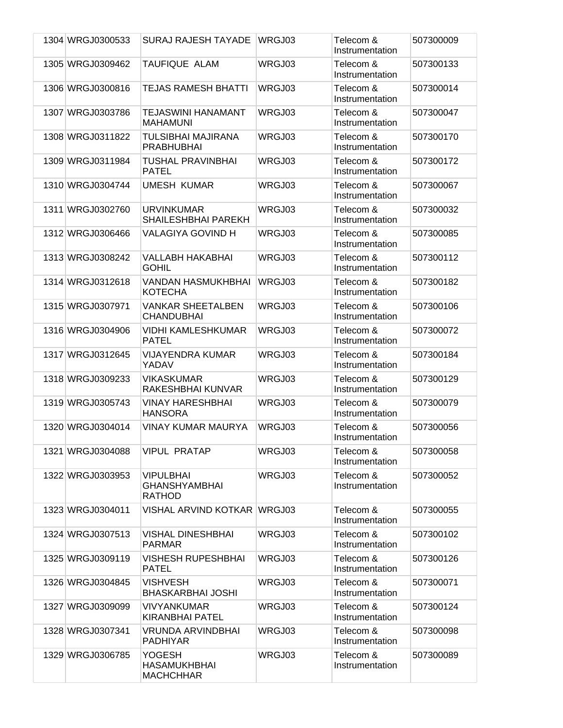| 1304 WRGJ0300533 | <b>SURAJ RAJESH TAYADE</b>                               | WRGJ03 | Telecom &<br>Instrumentation | 507300009 |
|------------------|----------------------------------------------------------|--------|------------------------------|-----------|
| 1305 WRGJ0309462 | TAUFIQUE ALAM                                            | WRGJ03 | Telecom &<br>Instrumentation | 507300133 |
| 1306 WRGJ0300816 | <b>TEJAS RAMESH BHATTI</b>                               | WRGJ03 | Telecom &<br>Instrumentation | 507300014 |
| 1307 WRGJ0303786 | <b>TEJASWINI HANAMANT</b><br><b>MAHAMUNI</b>             | WRGJ03 | Telecom &<br>Instrumentation | 507300047 |
| 1308 WRGJ0311822 | TULSIBHAI MAJIRANA<br><b>PRABHUBHAI</b>                  | WRGJ03 | Telecom &<br>Instrumentation | 507300170 |
| 1309 WRGJ0311984 | <b>TUSHAL PRAVINBHAI</b><br><b>PATEL</b>                 | WRGJ03 | Telecom &<br>Instrumentation | 507300172 |
| 1310 WRGJ0304744 | <b>UMESH KUMAR</b>                                       | WRGJ03 | Telecom &<br>Instrumentation | 507300067 |
| 1311 WRGJ0302760 | <b>URVINKUMAR</b><br>SHAILESHBHAI PAREKH                 | WRGJ03 | Telecom &<br>Instrumentation | 507300032 |
| 1312 WRGJ0306466 | VALAGIYA GOVIND H                                        | WRGJ03 | Telecom &<br>Instrumentation | 507300085 |
| 1313 WRGJ0308242 | <b>VALLABH HAKABHAI</b><br><b>GOHIL</b>                  | WRGJ03 | Telecom &<br>Instrumentation | 507300112 |
| 1314 WRGJ0312618 | VANDAN HASMUKHBHAI<br><b>KOTECHA</b>                     | WRGJ03 | Telecom &<br>Instrumentation | 507300182 |
| 1315 WRGJ0307971 | <b>VANKAR SHEETALBEN</b><br><b>CHANDUBHAI</b>            | WRGJ03 | Telecom &<br>Instrumentation | 507300106 |
| 1316 WRGJ0304906 | <b>VIDHI KAMLESHKUMAR</b><br><b>PATEL</b>                | WRGJ03 | Telecom &<br>Instrumentation | 507300072 |
| 1317 WRGJ0312645 | <b>VIJAYENDRA KUMAR</b><br>YADAV                         | WRGJ03 | Telecom &<br>Instrumentation | 507300184 |
| 1318 WRGJ0309233 | <b>VIKASKUMAR</b><br>RAKESHBHAI KUNVAR                   | WRGJ03 | Telecom &<br>Instrumentation | 507300129 |
| 1319 WRGJ0305743 | <b>VINAY HARESHBHAI</b><br><b>HANSORA</b>                | WRGJ03 | Telecom &<br>Instrumentation | 507300079 |
| 1320 WRGJ0304014 | <b>VINAY KUMAR MAURYA</b>                                | WRGJ03 | Telecom &<br>Instrumentation | 507300056 |
| 1321 WRGJ0304088 | <b>VIPUL PRATAP</b>                                      | WRGJ03 | Telecom &<br>Instrumentation | 507300058 |
| 1322 WRGJ0303953 | <b>VIPULBHAI</b><br><b>GHANSHYAMBHAI</b><br>RATHOD       | WRGJ03 | Telecom &<br>Instrumentation | 507300052 |
| 1323 WRGJ0304011 | VISHAL ARVIND KOTKAR WRGJ03                              |        | Telecom &<br>Instrumentation | 507300055 |
| 1324 WRGJ0307513 | <b>VISHAL DINESHBHAI</b><br><b>PARMAR</b>                | WRGJ03 | Telecom &<br>Instrumentation | 507300102 |
| 1325 WRGJ0309119 | <b>VISHESH RUPESHBHAI</b><br><b>PATEL</b>                | WRGJ03 | Telecom &<br>Instrumentation | 507300126 |
| 1326 WRGJ0304845 | <b>VISHVESH</b><br><b>BHASKARBHAI JOSHI</b>              | WRGJ03 | Telecom &<br>Instrumentation | 507300071 |
| 1327 WRGJ0309099 | VIVYANKUMAR<br><b>KIRANBHAI PATEL</b>                    | WRGJ03 | Telecom &<br>Instrumentation | 507300124 |
| 1328 WRGJ0307341 | VRUNDA ARVINDBHAI<br><b>PADHIYAR</b>                     | WRGJ03 | Telecom &<br>Instrumentation | 507300098 |
| 1329 WRGJ0306785 | <b>YOGESH</b><br><b>HASAMUKHBHAI</b><br><b>MACHCHHAR</b> | WRGJ03 | Telecom &<br>Instrumentation | 507300089 |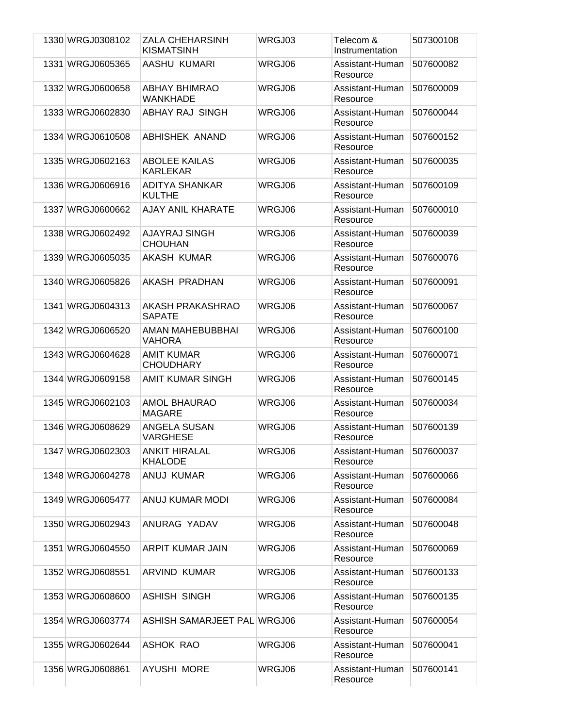| 1330 WRGJ0308102 | <b>ZALA CHEHARSINH</b><br><b>KISMATSINH</b> | WRGJ03 | Telecom &<br>Instrumentation | 507300108 |
|------------------|---------------------------------------------|--------|------------------------------|-----------|
| 1331 WRGJ0605365 | AASHU KUMARI                                | WRGJ06 | Assistant-Human<br>Resource  | 507600082 |
| 1332 WRGJ0600658 | <b>ABHAY BHIMRAO</b><br><b>WANKHADE</b>     | WRGJ06 | Assistant-Human<br>Resource  | 507600009 |
| 1333 WRGJ0602830 | ABHAY RAJ SINGH                             | WRGJ06 | Assistant-Human<br>Resource  | 507600044 |
| 1334 WRGJ0610508 | ABHISHEK ANAND                              | WRGJ06 | Assistant-Human<br>Resource  | 507600152 |
| 1335 WRGJ0602163 | <b>ABOLEE KAILAS</b><br><b>KARLEKAR</b>     | WRGJ06 | Assistant-Human<br>Resource  | 507600035 |
| 1336 WRGJ0606916 | <b>ADITYA SHANKAR</b><br><b>KULTHE</b>      | WRGJ06 | Assistant-Human<br>Resource  | 507600109 |
| 1337 WRGJ0600662 | AJAY ANIL KHARATE                           | WRGJ06 | Assistant-Human<br>Resource  | 507600010 |
| 1338 WRGJ0602492 | AJAYRAJ SINGH<br><b>CHOUHAN</b>             | WRGJ06 | Assistant-Human<br>Resource  | 507600039 |
| 1339 WRGJ0605035 | <b>AKASH KUMAR</b>                          | WRGJ06 | Assistant-Human<br>Resource  | 507600076 |
| 1340 WRGJ0605826 | AKASH PRADHAN                               | WRGJ06 | Assistant-Human<br>Resource  | 507600091 |
| 1341 WRGJ0604313 | AKASH PRAKASHRAO<br><b>SAPATE</b>           | WRGJ06 | Assistant-Human<br>Resource  | 507600067 |
| 1342 WRGJ0606520 | AMAN MAHEBUBBHAI<br><b>VAHORA</b>           | WRGJ06 | Assistant-Human<br>Resource  | 507600100 |
| 1343 WRGJ0604628 | <b>AMIT KUMAR</b><br><b>CHOUDHARY</b>       | WRGJ06 | Assistant-Human<br>Resource  | 507600071 |
| 1344 WRGJ0609158 | <b>AMIT KUMAR SINGH</b>                     | WRGJ06 | Assistant-Human<br>Resource  | 507600145 |
| 1345 WRGJ0602103 | <b>AMOL BHAURAO</b><br><b>MAGARE</b>        | WRGJ06 | Assistant-Human<br>Resource  | 507600034 |
| 1346 WRGJ0608629 | ANGELA SUSAN<br><b>VARGHESE</b>             | WRGJ06 | Assistant-Human<br>Resource  | 507600139 |
| 1347 WRGJ0602303 | <b>ANKIT HIRALAL</b><br><b>KHALODE</b>      | WRGJ06 | Assistant-Human<br>Resource  | 507600037 |
| 1348 WRGJ0604278 | ANUJ KUMAR                                  | WRGJ06 | Assistant-Human<br>Resource  | 507600066 |
| 1349 WRGJ0605477 | <b>ANUJ KUMAR MODI</b>                      | WRGJ06 | Assistant-Human<br>Resource  | 507600084 |
| 1350 WRGJ0602943 | ANURAG YADAV                                | WRGJ06 | Assistant-Human<br>Resource  | 507600048 |
| 1351 WRGJ0604550 | ARPIT KUMAR JAIN                            | WRGJ06 | Assistant-Human<br>Resource  | 507600069 |
| 1352 WRGJ0608551 | <b>ARVIND KUMAR</b>                         | WRGJ06 | Assistant-Human<br>Resource  | 507600133 |
| 1353 WRGJ0608600 | <b>ASHISH SINGH</b>                         | WRGJ06 | Assistant-Human<br>Resource  | 507600135 |
| 1354 WRGJ0603774 | ASHISH SAMARJEET PAL WRGJ06                 |        | Assistant-Human<br>Resource  | 507600054 |
| 1355 WRGJ0602644 | ASHOK RAO                                   | WRGJ06 | Assistant-Human<br>Resource  | 507600041 |
| 1356 WRGJ0608861 | AYUSHI MORE                                 | WRGJ06 | Assistant-Human<br>Resource  | 507600141 |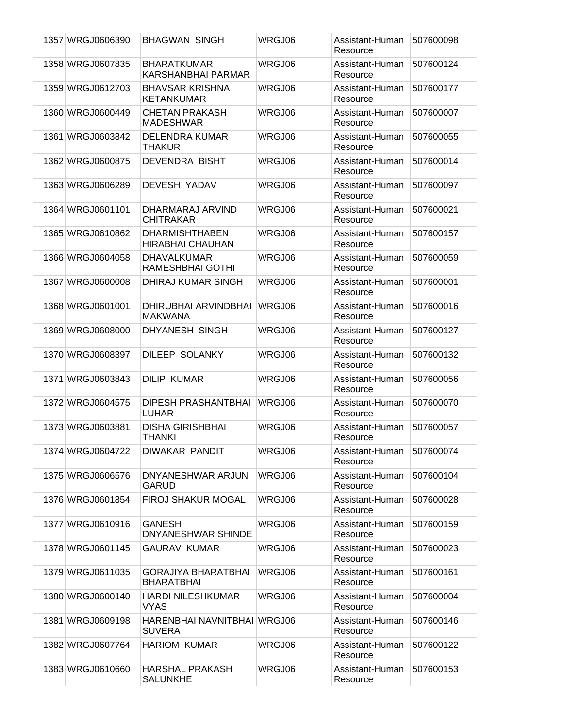| 1357 WRGJ0606390 | <b>BHAGWAN SINGH</b>                             | WRGJ06 | Assistant-Human<br>Resource | 507600098 |
|------------------|--------------------------------------------------|--------|-----------------------------|-----------|
| 1358 WRGJ0607835 | <b>BHARATKUMAR</b><br><b>KARSHANBHAI PARMAR</b>  | WRGJ06 | Assistant-Human<br>Resource | 507600124 |
| 1359 WRGJ0612703 | <b>BHAVSAR KRISHNA</b><br><b>KETANKUMAR</b>      | WRGJ06 | Assistant-Human<br>Resource | 507600177 |
| 1360 WRGJ0600449 | <b>CHETAN PRAKASH</b><br><b>MADESHWAR</b>        | WRGJ06 | Assistant-Human<br>Resource | 507600007 |
| 1361 WRGJ0603842 | <b>DELENDRA KUMAR</b><br><b>THAKUR</b>           | WRGJ06 | Assistant-Human<br>Resource | 507600055 |
| 1362 WRGJ0600875 | <b>DEVENDRA BISHT</b>                            | WRGJ06 | Assistant-Human<br>Resource | 507600014 |
| 1363 WRGJ0606289 | DEVESH YADAV                                     | WRGJ06 | Assistant-Human<br>Resource | 507600097 |
| 1364 WRGJ0601101 | DHARMARAJ ARVIND<br><b>CHITRAKAR</b>             | WRGJ06 | Assistant-Human<br>Resource | 507600021 |
| 1365 WRGJ0610862 | <b>DHARMISHTHABEN</b><br><b>HIRABHAI CHAUHAN</b> | WRGJ06 | Assistant-Human<br>Resource | 507600157 |
| 1366 WRGJ0604058 | <b>DHAVALKUMAR</b><br>RAMESHBHAI GOTHI           | WRGJ06 | Assistant-Human<br>Resource | 507600059 |
| 1367 WRGJ0600008 | DHIRAJ KUMAR SINGH                               | WRGJ06 | Assistant-Human<br>Resource | 507600001 |
| 1368 WRGJ0601001 | DHIRUBHAI ARVINDBHAI<br><b>MAKWANA</b>           | WRGJ06 | Assistant-Human<br>Resource | 507600016 |
| 1369 WRGJ0608000 | DHYANESH SINGH                                   | WRGJ06 | Assistant-Human<br>Resource | 507600127 |
| 1370 WRGJ0608397 | <b>DILEEP SOLANKY</b>                            | WRGJ06 | Assistant-Human<br>Resource | 507600132 |
| 1371 WRGJ0603843 | <b>DILIP KUMAR</b>                               | WRGJ06 | Assistant-Human<br>Resource | 507600056 |
| 1372 WRGJ0604575 | DIPESH PRASHANTBHAI<br><b>LUHAR</b>              | WRGJ06 | Assistant-Human<br>Resource | 507600070 |
| 1373 WRGJ0603881 | <b>DISHA GIRISHBHAI</b><br><b>THANKI</b>         | WRGJ06 | Assistant-Human<br>Resource | 507600057 |
| 1374 WRGJ0604722 | DIWAKAR PANDIT                                   | WRGJ06 | Assistant-Human<br>Resource | 507600074 |
| 1375 WRGJ0606576 | DNYANESHWAR ARJUN<br><b>GARUD</b>                | WRGJ06 | Assistant-Human<br>Resource | 507600104 |
| 1376 WRGJ0601854 | <b>FIROJ SHAKUR MOGAL</b>                        | WRGJ06 | Assistant-Human<br>Resource | 507600028 |
| 1377 WRGJ0610916 | GANESH<br>DNYANESHWAR SHINDE                     | WRGJ06 | Assistant-Human<br>Resource | 507600159 |
| 1378 WRGJ0601145 | GAURAV KUMAR                                     | WRGJ06 | Assistant-Human<br>Resource | 507600023 |
| 1379 WRGJ0611035 | <b>GORAJIYA BHARATBHAI</b><br><b>BHARATBHAI</b>  | WRGJ06 | Assistant-Human<br>Resource | 507600161 |
| 1380 WRGJ0600140 | <b>HARDI NILESHKUMAR</b><br><b>VYAS</b>          | WRGJ06 | Assistant-Human<br>Resource | 507600004 |
| 1381 WRGJ0609198 | HARENBHAI NAVNITBHAI WRGJ06<br><b>SUVERA</b>     |        | Assistant-Human<br>Resource | 507600146 |
| 1382 WRGJ0607764 | <b>HARIOM KUMAR</b>                              | WRGJ06 | Assistant-Human<br>Resource | 507600122 |
| 1383 WRGJ0610660 | <b>HARSHAL PRAKASH</b><br><b>SALUNKHE</b>        | WRGJ06 | Assistant-Human<br>Resource | 507600153 |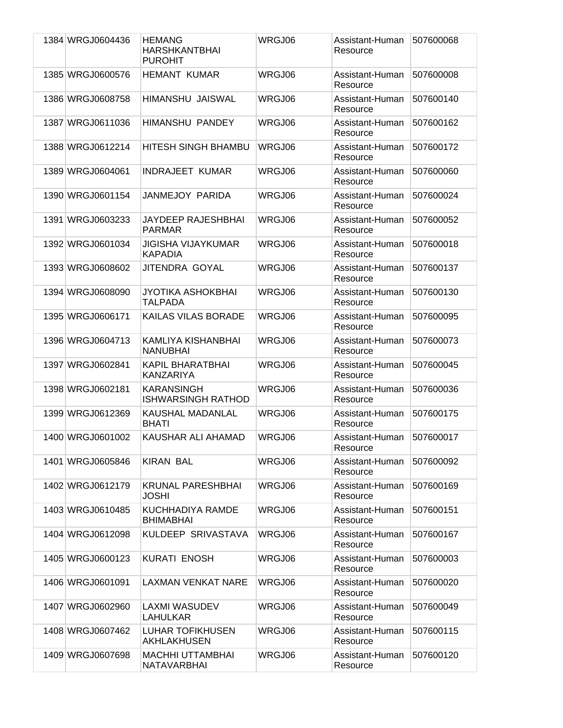| 1384 WRGJ0604436 | <b>HEMANG</b><br><b>HARSHKANTBHAI</b><br><b>PUROHIT</b> | WRGJ06 | Assistant-Human<br>Resource | 507600068 |
|------------------|---------------------------------------------------------|--------|-----------------------------|-----------|
| 1385 WRGJ0600576 | <b>HEMANT KUMAR</b>                                     | WRGJ06 | Assistant-Human<br>Resource | 507600008 |
| 1386 WRGJ0608758 | HIMANSHU JAISWAL                                        | WRGJ06 | Assistant-Human<br>Resource | 507600140 |
| 1387 WRGJ0611036 | <b>HIMANSHU PANDEY</b>                                  | WRGJ06 | Assistant-Human<br>Resource | 507600162 |
| 1388 WRGJ0612214 | <b>HITESH SINGH BHAMBU</b>                              | WRGJ06 | Assistant-Human<br>Resource | 507600172 |
| 1389 WRGJ0604061 | <b>INDRAJEET KUMAR</b>                                  | WRGJ06 | Assistant-Human<br>Resource | 507600060 |
| 1390 WRGJ0601154 | JANMEJOY PARIDA                                         | WRGJ06 | Assistant-Human<br>Resource | 507600024 |
| 1391 WRGJ0603233 | <b>JAYDEEP RAJESHBHAI</b><br><b>PARMAR</b>              | WRGJ06 | Assistant-Human<br>Resource | 507600052 |
| 1392 WRGJ0601034 | <b>JIGISHA VIJAYKUMAR</b><br><b>KAPADIA</b>             | WRGJ06 | Assistant-Human<br>Resource | 507600018 |
| 1393 WRGJ0608602 | JITENDRA GOYAL                                          | WRGJ06 | Assistant-Human<br>Resource | 507600137 |
| 1394 WRGJ0608090 | <b>JYOTIKA ASHOKBHAI</b><br>TALPADA                     | WRGJ06 | Assistant-Human<br>Resource | 507600130 |
| 1395 WRGJ0606171 | <b>KAILAS VILAS BORADE</b>                              | WRGJ06 | Assistant-Human<br>Resource | 507600095 |
| 1396 WRGJ0604713 | KAMLIYA KISHANBHAI<br><b>NANUBHAI</b>                   | WRGJ06 | Assistant-Human<br>Resource | 507600073 |
| 1397 WRGJ0602841 | <b>KAPIL BHARATBHAI</b><br><b>KANZARIYA</b>             | WRGJ06 | Assistant-Human<br>Resource | 507600045 |
| 1398 WRGJ0602181 | <b>KARANSINGH</b><br><b>ISHWARSINGH RATHOD</b>          | WRGJ06 | Assistant-Human<br>Resource | 507600036 |
| 1399 WRGJ0612369 | KAUSHAL MADANLAL<br><b>BHATI</b>                        | WRGJ06 | Assistant-Human<br>Resource | 507600175 |
| 1400 WRGJ0601002 | KAUSHAR ALI AHAMAD                                      | WRGJ06 | Assistant-Human<br>Resource | 507600017 |
| 1401 WRGJ0605846 | <b>KIRAN BAL</b>                                        | WRGJ06 | Assistant-Human<br>Resource | 507600092 |
| 1402 WRGJ0612179 | <b>KRUNAL PARESHBHAI</b><br>JOSHI                       | WRGJ06 | Assistant-Human<br>Resource | 507600169 |
| 1403 WRGJ0610485 | KUCHHADIYA RAMDE<br><b>BHIMABHAI</b>                    | WRGJ06 | Assistant-Human<br>Resource | 507600151 |
| 1404 WRGJ0612098 | KULDEEP SRIVASTAVA                                      | WRGJ06 | Assistant-Human<br>Resource | 507600167 |
| 1405 WRGJ0600123 | <b>KURATI ENOSH</b>                                     | WRGJ06 | Assistant-Human<br>Resource | 507600003 |
| 1406 WRGJ0601091 | <b>LAXMAN VENKAT NARE</b>                               | WRGJ06 | Assistant-Human<br>Resource | 507600020 |
| 1407 WRGJ0602960 | LAXMI WASUDEV<br>LAHULKAR                               | WRGJ06 | Assistant-Human<br>Resource | 507600049 |
| 1408 WRGJ0607462 | <b>LUHAR TOFIKHUSEN</b><br>AKHLAKHUSEN                  | WRGJ06 | Assistant-Human<br>Resource | 507600115 |
| 1409 WRGJ0607698 | <b>MACHHI UTTAMBHAI</b><br>NATAVARBHAI                  | WRGJ06 | Assistant-Human<br>Resource | 507600120 |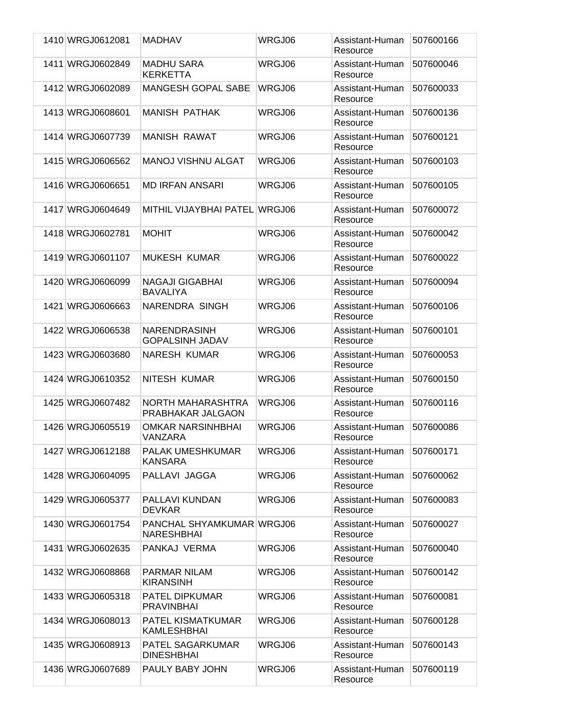| 1410 WRGJ0612081 | <b>MADHAV</b>                                         | WRGJ06 | Assistant-Human<br>Resource | 507600166 |
|------------------|-------------------------------------------------------|--------|-----------------------------|-----------|
| 1411 WRGJ0602849 | <b>MADHU SARA</b><br><b>KERKETTA</b>                  | WRGJ06 | Assistant-Human<br>Resource | 507600046 |
| 1412 WRGJ0602089 | <b>MANGESH GOPAL SABE</b>                             | WRGJ06 | Assistant-Human<br>Resource | 507600033 |
| 1413 WRGJ0608601 | <b>MANISH PATHAK</b>                                  | WRGJ06 | Assistant-Human<br>Resource | 507600136 |
| 1414 WRGJ0607739 | <b>MANISH RAWAT</b>                                   | WRGJ06 | Assistant-Human<br>Resource | 507600121 |
| 1415 WRGJ0606562 | <b>MANOJ VISHNU ALGAT</b>                             | WRGJ06 | Assistant-Human<br>Resource | 507600103 |
| 1416 WRGJ0606651 | <b>MD IRFAN ANSARI</b>                                | WRGJ06 | Assistant-Human<br>Resource | 507600105 |
| 1417 WRGJ0604649 | MITHIL VIJAYBHAI PATEL WRGJ06                         |        | Assistant-Human<br>Resource | 507600072 |
| 1418 WRGJ0602781 | <b>MOHIT</b>                                          | WRGJ06 | Assistant-Human<br>Resource | 507600042 |
| 1419 WRGJ0601107 | <b>MUKESH KUMAR</b>                                   | WRGJ06 | Assistant-Human<br>Resource | 507600022 |
| 1420 WRGJ0606099 | <b>NAGAJI GIGABHAI</b><br><b>BAVALIYA</b>             | WRGJ06 | Assistant-Human<br>Resource | 507600094 |
| 1421 WRGJ0606663 | NARENDRA SINGH                                        | WRGJ06 | Assistant-Human<br>Resource | 507600106 |
| 1422 WRGJ0606538 | <b>NARENDRASINH</b><br><b>GOPALSINH JADAV</b>         | WRGJ06 | Assistant-Human<br>Resource | 507600101 |
| 1423 WRGJ0603680 | <b>NARESH KUMAR</b>                                   | WRGJ06 | Assistant-Human<br>Resource | 507600053 |
| 1424 WRGJ0610352 | NITESH KUMAR                                          | WRGJ06 | Assistant-Human<br>Resource | 507600150 |
| 1425 WRGJ0607482 | NORTH MAHARASHTRA<br>PRABHAKAR JALGAON                | WRGJ06 | Assistant-Human<br>Resource | 507600116 |
| 1426 WRGJ0605519 | <b>OMKAR NARSINHBHAI</b><br>VANZARA                   | WRGJ06 | Assistant-Human<br>Resource | 507600086 |
| 1427 WRGJ0612188 | <b>PALAK UMESHKUMAR</b><br><b>KANSARA</b>             | WRGJ06 | Assistant-Human<br>Resource | 507600171 |
| 1428 WRGJ0604095 | PALLAVI JAGGA                                         | WRGJ06 | Assistant-Human<br>Resource | 507600062 |
| 1429 WRGJ0605377 | PALLAVI KUNDAN<br><b>DEVKAR</b>                       | WRGJ06 | Assistant-Human<br>Resource | 507600083 |
| 1430 WRGJ0601754 | <b>PANCHAL SHYAMKUMAR WRGJ06</b><br><b>NARESHBHAI</b> |        | Assistant-Human<br>Resource | 507600027 |
| 1431 WRGJ0602635 | PANKAJ VERMA                                          | WRGJ06 | Assistant-Human<br>Resource | 507600040 |
| 1432 WRGJ0608868 | PARMAR NILAM<br><b>KIRANSINH</b>                      | WRGJ06 | Assistant-Human<br>Resource | 507600142 |
| 1433 WRGJ0605318 | <b>PATEL DIPKUMAR</b><br><b>PRAVINBHAI</b>            | WRGJ06 | Assistant-Human<br>Resource | 507600081 |
| 1434 WRGJ0608013 | <b>PATEL KISMATKUMAR</b><br><b>KAMLESHBHAI</b>        | WRGJ06 | Assistant-Human<br>Resource | 507600128 |
| 1435 WRGJ0608913 | <b>PATEL SAGARKUMAR</b><br><b>DINESHBHAI</b>          | WRGJ06 | Assistant-Human<br>Resource | 507600143 |
| 1436 WRGJ0607689 | PAULY BABY JOHN                                       | WRGJ06 | Assistant-Human<br>Resource | 507600119 |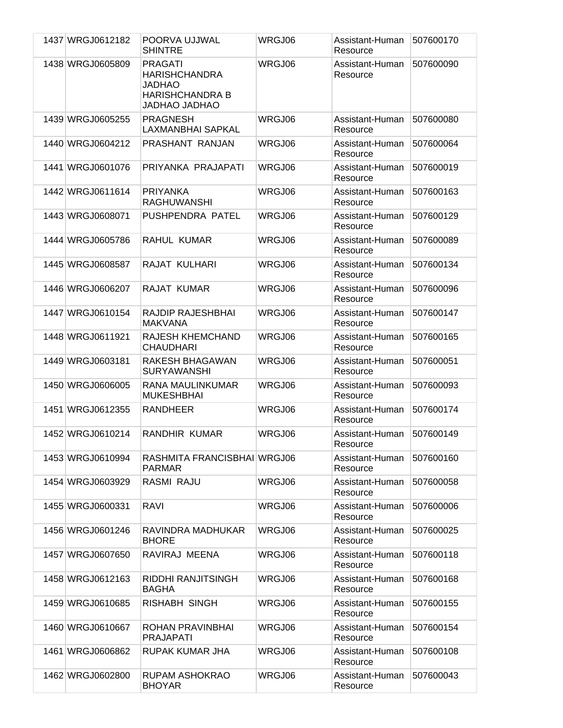| 1437 WRGJ0612182 | POORVA UJJWAL<br><b>SHINTRE</b>                                                                           | WRGJ06 | Assistant-Human<br>Resource | 507600170 |
|------------------|-----------------------------------------------------------------------------------------------------------|--------|-----------------------------|-----------|
| 1438 WRGJ0605809 | <b>PRAGATI</b><br><b>HARISHCHANDRA</b><br><b>JADHAO</b><br><b>HARISHCHANDRA B</b><br><b>OAHGAC OAHGAL</b> | WRGJ06 | Assistant-Human<br>Resource | 507600090 |
| 1439 WRGJ0605255 | <b>PRAGNESH</b><br><b>LAXMANBHAI SAPKAL</b>                                                               | WRGJ06 | Assistant-Human<br>Resource | 507600080 |
| 1440 WRGJ0604212 | PRASHANT RANJAN                                                                                           | WRGJ06 | Assistant-Human<br>Resource | 507600064 |
| 1441 WRGJ0601076 | PRIYANKA PRAJAPATI                                                                                        | WRGJ06 | Assistant-Human<br>Resource | 507600019 |
| 1442 WRGJ0611614 | <b>PRIYANKA</b><br><b>RAGHUWANSHI</b>                                                                     | WRGJ06 | Assistant-Human<br>Resource | 507600163 |
| 1443 WRGJ0608071 | PUSHPENDRA PATEL                                                                                          | WRGJ06 | Assistant-Human<br>Resource | 507600129 |
| 1444 WRGJ0605786 | RAHUL KUMAR                                                                                               | WRGJ06 | Assistant-Human<br>Resource | 507600089 |
| 1445 WRGJ0608587 | RAJAT KULHARI                                                                                             | WRGJ06 | Assistant-Human<br>Resource | 507600134 |
| 1446 WRGJ0606207 | <b>RAJAT KUMAR</b>                                                                                        | WRGJ06 | Assistant-Human<br>Resource | 507600096 |
| 1447 WRGJ0610154 | RAJDIP RAJESHBHAI<br><b>MAKVANA</b>                                                                       | WRGJ06 | Assistant-Human<br>Resource | 507600147 |
| 1448 WRGJ0611921 | <b>RAJESH KHEMCHAND</b><br><b>CHAUDHARI</b>                                                               | WRGJ06 | Assistant-Human<br>Resource | 507600165 |
| 1449 WRGJ0603181 | RAKESH BHAGAWAN<br><b>SURYAWANSHI</b>                                                                     | WRGJ06 | Assistant-Human<br>Resource | 507600051 |
| 1450 WRGJ0606005 | RANA MAULINKUMAR<br><b>MUKESHBHAI</b>                                                                     | WRGJ06 | Assistant-Human<br>Resource | 507600093 |
| 1451 WRGJ0612355 | <b>RANDHEER</b>                                                                                           | WRGJ06 | Assistant-Human<br>Resource | 507600174 |
| 1452 WRGJ0610214 | RANDHIR KUMAR                                                                                             | WRGJ06 | Assistant-Human<br>Resource | 507600149 |
| 1453 WRGJ0610994 | RASHMITA FRANCISBHAI WRGJ06<br><b>PARMAR</b>                                                              |        | Assistant-Human<br>Resource | 507600160 |
| 1454 WRGJ0603929 | RASMI RAJU                                                                                                | WRGJ06 | Assistant-Human<br>Resource | 507600058 |
| 1455 WRGJ0600331 | <b>RAVI</b>                                                                                               | WRGJ06 | Assistant-Human<br>Resource | 507600006 |
| 1456 WRGJ0601246 | RAVINDRA MADHUKAR<br><b>BHORE</b>                                                                         | WRGJ06 | Assistant-Human<br>Resource | 507600025 |
| 1457 WRGJ0607650 | RAVIRAJ MEENA                                                                                             | WRGJ06 | Assistant-Human<br>Resource | 507600118 |
| 1458 WRGJ0612163 | RIDDHI RANJITSINGH<br><b>BAGHA</b>                                                                        | WRGJ06 | Assistant-Human<br>Resource | 507600168 |
| 1459 WRGJ0610685 | RISHABH SINGH                                                                                             | WRGJ06 | Assistant-Human<br>Resource | 507600155 |
| 1460 WRGJ0610667 | ROHAN PRAVINBHAI<br><b>PRAJAPATI</b>                                                                      | WRGJ06 | Assistant-Human<br>Resource | 507600154 |
| 1461 WRGJ0606862 | RUPAK KUMAR JHA                                                                                           | WRGJ06 | Assistant-Human<br>Resource | 507600108 |
| 1462 WRGJ0602800 | RUPAM ASHOKRAO<br><b>BHOYAR</b>                                                                           | WRGJ06 | Assistant-Human<br>Resource | 507600043 |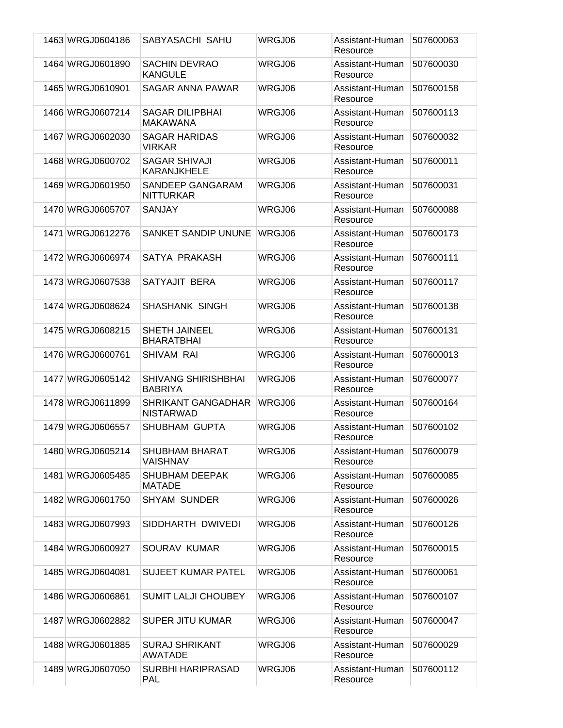| 1463 WRGJ0604186 | SABYASACHI SAHU                               | WRGJ06 | Assistant-Human<br>Resource | 507600063 |
|------------------|-----------------------------------------------|--------|-----------------------------|-----------|
| 1464 WRGJ0601890 | <b>SACHIN DEVRAO</b><br><b>KANGULE</b>        | WRGJ06 | Assistant-Human<br>Resource | 507600030 |
| 1465 WRGJ0610901 | SAGAR ANNA PAWAR                              | WRGJ06 | Assistant-Human<br>Resource | 507600158 |
| 1466 WRGJ0607214 | <b>SAGAR DILIPBHAI</b><br><b>MAKAWANA</b>     | WRGJ06 | Assistant-Human<br>Resource | 507600113 |
| 1467 WRGJ0602030 | <b>SAGAR HARIDAS</b><br><b>VIRKAR</b>         | WRGJ06 | Assistant-Human<br>Resource | 507600032 |
| 1468 WRGJ0600702 | <b>SAGAR SHIVAJI</b><br><b>KARANJKHELE</b>    | WRGJ06 | Assistant-Human<br>Resource | 507600011 |
| 1469 WRGJ0601950 | SANDEEP GANGARAM<br><b>NITTURKAR</b>          | WRGJ06 | Assistant-Human<br>Resource | 507600031 |
| 1470 WRGJ0605707 | <b>SANJAY</b>                                 | WRGJ06 | Assistant-Human<br>Resource | 507600088 |
| 1471 WRGJ0612276 | <b>SANKET SANDIP UNUNE</b>                    | WRGJ06 | Assistant-Human<br>Resource | 507600173 |
| 1472 WRGJ0606974 | SATYA PRAKASH                                 | WRGJ06 | Assistant-Human<br>Resource | 507600111 |
| 1473 WRGJ0607538 | SATYAJIT BERA                                 | WRGJ06 | Assistant-Human<br>Resource | 507600117 |
| 1474 WRGJ0608624 | <b>SHASHANK SINGH</b>                         | WRGJ06 | Assistant-Human<br>Resource | 507600138 |
| 1475 WRGJ0608215 | <b>SHETH JAINEEL</b><br><b>BHARATBHAI</b>     | WRGJ06 | Assistant-Human<br>Resource | 507600131 |
| 1476 WRGJ0600761 | <b>SHIVAM RAI</b>                             | WRGJ06 | Assistant-Human<br>Resource | 507600013 |
| 1477 WRGJ0605142 | <b>SHIVANG SHIRISHBHAI</b><br><b>BABRIYA</b>  | WRGJ06 | Assistant-Human<br>Resource | 507600077 |
| 1478 WRGJ0611899 | <b>SHRIKANT GANGADHAR</b><br><b>NISTARWAD</b> | WRGJ06 | Assistant-Human<br>Resource | 507600164 |
| 1479 WRGJ0606557 | SHUBHAM GUPTA                                 | WRGJ06 | Assistant-Human<br>Resource | 507600102 |
| 1480 WRGJ0605214 | <b>SHUBHAM BHARAT</b><br><b>VAISHNAV</b>      | WRGJ06 | Assistant-Human<br>Resource | 507600079 |
| 1481 WRGJ0605485 | <b>SHUBHAM DEEPAK</b><br><b>MATADE</b>        | WRGJ06 | Assistant-Human<br>Resource | 507600085 |
| 1482 WRGJ0601750 | <b>SHYAM SUNDER</b>                           | WRGJ06 | Assistant-Human<br>Resource | 507600026 |
| 1483 WRGJ0607993 | SIDDHARTH DWIVEDI                             | WRGJ06 | Assistant-Human<br>Resource | 507600126 |
| 1484 WRGJ0600927 | SOURAV KUMAR                                  | WRGJ06 | Assistant-Human<br>Resource | 507600015 |
| 1485 WRGJ0604081 | <b>SUJEET KUMAR PATEL</b>                     | WRGJ06 | Assistant-Human<br>Resource | 507600061 |
| 1486 WRGJ0606861 | <b>SUMIT LALJI CHOUBEY</b>                    | WRGJ06 | Assistant-Human<br>Resource | 507600107 |
| 1487 WRGJ0602882 | <b>SUPER JITU KUMAR</b>                       | WRGJ06 | Assistant-Human<br>Resource | 507600047 |
| 1488 WRGJ0601885 | <b>SURAJ SHRIKANT</b><br><b>AWATADE</b>       | WRGJ06 | Assistant-Human<br>Resource | 507600029 |
| 1489 WRGJ0607050 | SURBHI HARIPRASAD<br><b>PAL</b>               | WRGJ06 | Assistant-Human<br>Resource | 507600112 |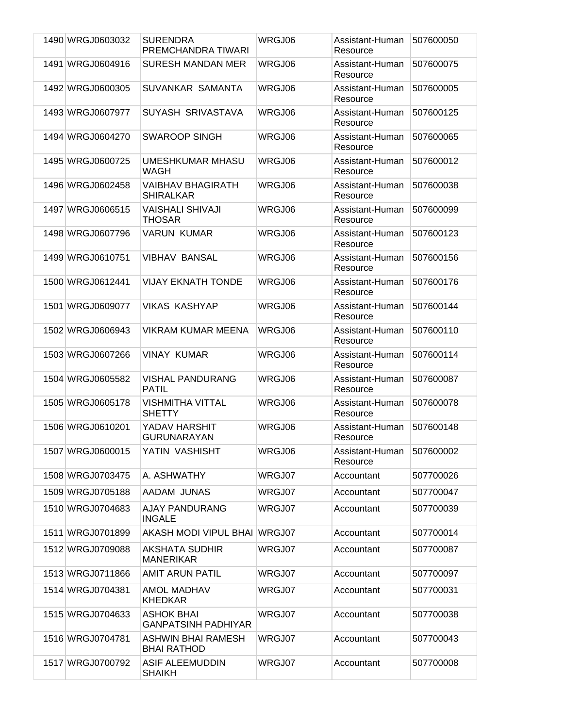| 1490 WRGJ0603032 | <b>SURENDRA</b><br>PREMCHANDRA TIWARI           | WRGJ06 | Assistant-Human<br>Resource | 507600050 |
|------------------|-------------------------------------------------|--------|-----------------------------|-----------|
| 1491 WRGJ0604916 | <b>SURESH MANDAN MER</b>                        | WRGJ06 | Assistant-Human<br>Resource | 507600075 |
| 1492 WRGJ0600305 | SUVANKAR SAMANTA                                | WRGJ06 | Assistant-Human<br>Resource | 507600005 |
| 1493 WRGJ0607977 | SUYASH SRIVASTAVA                               | WRGJ06 | Assistant-Human<br>Resource | 507600125 |
| 1494 WRGJ0604270 | <b>SWAROOP SINGH</b>                            | WRGJ06 | Assistant-Human<br>Resource | 507600065 |
| 1495 WRGJ0600725 | UMESHKUMAR MHASU<br>WAGH                        | WRGJ06 | Assistant-Human<br>Resource | 507600012 |
| 1496 WRGJ0602458 | <b>VAIBHAV BHAGIRATH</b><br><b>SHIRALKAR</b>    | WRGJ06 | Assistant-Human<br>Resource | 507600038 |
| 1497 WRGJ0606515 | <b>VAISHALI SHIVAJI</b><br><b>THOSAR</b>        | WRGJ06 | Assistant-Human<br>Resource | 507600099 |
| 1498 WRGJ0607796 | <b>VARUN KUMAR</b>                              | WRGJ06 | Assistant-Human<br>Resource | 507600123 |
| 1499 WRGJ0610751 | <b>VIBHAV BANSAL</b>                            | WRGJ06 | Assistant-Human<br>Resource | 507600156 |
| 1500 WRGJ0612441 | <b>VIJAY EKNATH TONDE</b>                       | WRGJ06 | Assistant-Human<br>Resource | 507600176 |
| 1501 WRGJ0609077 | <b>VIKAS KASHYAP</b>                            | WRGJ06 | Assistant-Human<br>Resource | 507600144 |
| 1502 WRGJ0606943 | <b>VIKRAM KUMAR MEENA</b>                       | WRGJ06 | Assistant-Human<br>Resource | 507600110 |
| 1503 WRGJ0607266 | <b>VINAY KUMAR</b>                              | WRGJ06 | Assistant-Human<br>Resource | 507600114 |
| 1504 WRGJ0605582 | <b>VISHAL PANDURANG</b><br><b>PATIL</b>         | WRGJ06 | Assistant-Human<br>Resource | 507600087 |
| 1505 WRGJ0605178 | <b>VISHMITHA VITTAL</b><br><b>SHETTY</b>        | WRGJ06 | Assistant-Human<br>Resource | 507600078 |
| 1506 WRGJ0610201 | YADAV HARSHIT<br><b>GURUNARAYAN</b>             | WRGJ06 | Assistant-Human<br>Resource | 507600148 |
| 1507 WRGJ0600015 | YATIN VASHISHT                                  | WRGJ06 | Assistant-Human<br>Resource | 507600002 |
| 1508 WRGJ0703475 | A. ASHWATHY                                     | WRGJ07 | Accountant                  | 507700026 |
| 1509 WRGJ0705188 | AADAM JUNAS                                     | WRGJ07 | Accountant                  | 507700047 |
| 1510 WRGJ0704683 | AJAY PANDURANG<br><b>INGALE</b>                 | WRGJ07 | Accountant                  | 507700039 |
| 1511 WRGJ0701899 | AKASH MODI VIPUL BHAI WRGJ07                    |        | Accountant                  | 507700014 |
| 1512 WRGJ0709088 | <b>AKSHATA SUDHIR</b><br><b>MANERIKAR</b>       | WRGJ07 | Accountant                  | 507700087 |
| 1513 WRGJ0711866 | <b>AMIT ARUN PATIL</b>                          | WRGJ07 | Accountant                  | 507700097 |
| 1514 WRGJ0704381 | <b>AMOL MADHAV</b><br><b>KHEDKAR</b>            | WRGJ07 | Accountant                  | 507700031 |
| 1515 WRGJ0704633 | <b>ASHOK BHAI</b><br><b>GANPATSINH PADHIYAR</b> | WRGJ07 | Accountant                  | 507700038 |
| 1516 WRGJ0704781 | ASHWIN BHAI RAMESH<br><b>BHAI RATHOD</b>        | WRGJ07 | Accountant                  | 507700043 |
| 1517 WRGJ0700792 | <b>ASIF ALEEMUDDIN</b><br><b>SHAIKH</b>         | WRGJ07 | Accountant                  | 507700008 |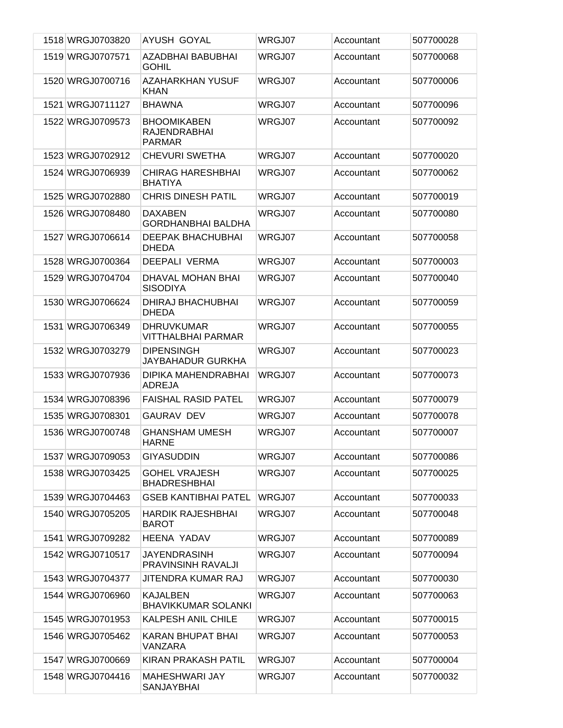| 1518 WRGJ0703820 | AYUSH GOYAL                                                | WRGJ07 | Accountant | 507700028 |
|------------------|------------------------------------------------------------|--------|------------|-----------|
| 1519 WRGJ0707571 | AZADBHAI BABUBHAI<br><b>GOHIL</b>                          | WRGJ07 | Accountant | 507700068 |
| 1520 WRGJ0700716 | AZAHARKHAN YUSUF<br><b>KHAN</b>                            | WRGJ07 | Accountant | 507700006 |
| 1521 WRGJ0711127 | <b>BHAWNA</b>                                              | WRGJ07 | Accountant | 507700096 |
| 1522 WRGJ0709573 | <b>BHOOMIKABEN</b><br><b>RAJENDRABHAI</b><br><b>PARMAR</b> | WRGJ07 | Accountant | 507700092 |
| 1523 WRGJ0702912 | <b>CHEVURI SWETHA</b>                                      | WRGJ07 | Accountant | 507700020 |
| 1524 WRGJ0706939 | <b>CHIRAG HARESHBHAI</b><br><b>BHATIYA</b>                 | WRGJ07 | Accountant | 507700062 |
| 1525 WRGJ0702880 | <b>CHRIS DINESH PATIL</b>                                  | WRGJ07 | Accountant | 507700019 |
| 1526 WRGJ0708480 | <b>DAXABEN</b><br><b>GORDHANBHAI BALDHA</b>                | WRGJ07 | Accountant | 507700080 |
| 1527 WRGJ0706614 | <b>DEEPAK BHACHUBHAI</b><br><b>DHEDA</b>                   | WRGJ07 | Accountant | 507700058 |
| 1528 WRGJ0700364 | <b>DEEPALI VERMA</b>                                       | WRGJ07 | Accountant | 507700003 |
| 1529 WRGJ0704704 | DHAVAL MOHAN BHAI<br><b>SISODIYA</b>                       | WRGJ07 | Accountant | 507700040 |
| 1530 WRGJ0706624 | DHIRAJ BHACHUBHAI<br><b>DHEDA</b>                          | WRGJ07 | Accountant | 507700059 |
| 1531 WRGJ0706349 | <b>DHRUVKUMAR</b><br>VITTHALBHAI PARMAR                    | WRGJ07 | Accountant | 507700055 |
| 1532 WRGJ0703279 | <b>DIPENSINGH</b><br>JAYBAHADUR GURKHA                     | WRGJ07 | Accountant | 507700023 |
| 1533 WRGJ0707936 | DIPIKA MAHENDRABHAI<br>ADREJA                              | WRGJ07 | Accountant | 507700073 |
| 1534 WRGJ0708396 | <b>FAISHAL RASID PATEL</b>                                 | WRGJ07 | Accountant | 507700079 |
| 1535 WRGJ0708301 | <b>GAURAV DEV</b>                                          | WRGJ07 | Accountant | 507700078 |
| 1536 WRGJ0700748 | <b>GHANSHAM UMESH</b><br><b>HARNE</b>                      | WRGJ07 | Accountant | 507700007 |
| 1537 WRGJ0709053 | <b>GIYASUDDIN</b>                                          | WRGJ07 | Accountant | 507700086 |
| 1538 WRGJ0703425 | <b>GOHEL VRAJESH</b><br><b>BHADRESHBHAI</b>                | WRGJ07 | Accountant | 507700025 |
| 1539 WRGJ0704463 | <b>GSEB KANTIBHAI PATEL</b>                                | WRGJ07 | Accountant | 507700033 |
| 1540 WRGJ0705205 | <b>HARDIK RAJESHBHAI</b><br><b>BAROT</b>                   | WRGJ07 | Accountant | 507700048 |
| 1541 WRGJ0709282 | <b>HEENA YADAV</b>                                         | WRGJ07 | Accountant | 507700089 |
| 1542 WRGJ0710517 | JAYENDRASINH<br>PRAVINSINH RAVALJI                         | WRGJ07 | Accountant | 507700094 |
| 1543 WRGJ0704377 | JITENDRA KUMAR RAJ                                         | WRGJ07 | Accountant | 507700030 |
| 1544 WRGJ0706960 | KAJALBEN<br><b>BHAVIKKUMAR SOLANKI</b>                     | WRGJ07 | Accountant | 507700063 |
| 1545 WRGJ0701953 | KALPESH ANIL CHILE                                         | WRGJ07 | Accountant | 507700015 |
| 1546 WRGJ0705462 | KARAN BHUPAT BHAI<br>VANZARA                               | WRGJ07 | Accountant | 507700053 |
| 1547 WRGJ0700669 | KIRAN PRAKASH PATIL                                        | WRGJ07 | Accountant | 507700004 |
| 1548 WRGJ0704416 | <b>MAHESHWARI JAY</b><br>SANJAYBHAI                        | WRGJ07 | Accountant | 507700032 |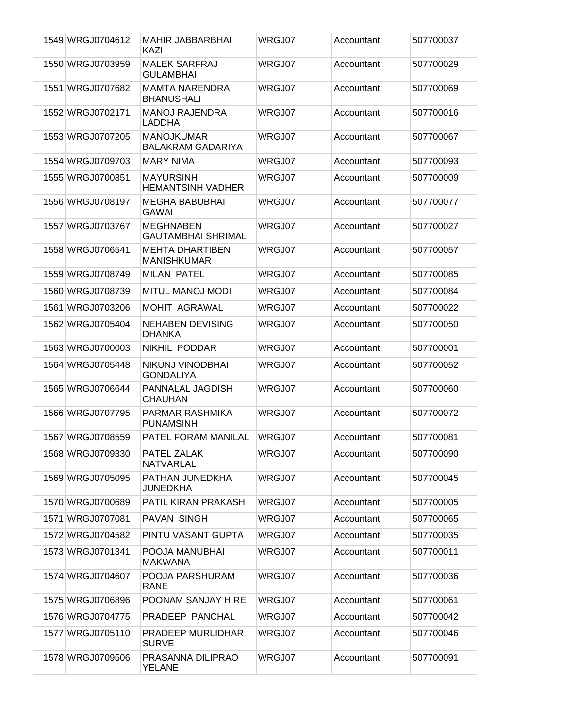| 1549 WRGJ0704612 | <b>MAHIR JABBARBHAI</b><br>KAZI                | WRGJ07 | Accountant | 507700037 |
|------------------|------------------------------------------------|--------|------------|-----------|
| 1550 WRGJ0703959 | <b>MALEK SARFRAJ</b><br><b>GULAMBHAI</b>       | WRGJ07 | Accountant | 507700029 |
| 1551 WRGJ0707682 | <b>MAMTA NARENDRA</b><br><b>BHANUSHALI</b>     | WRGJ07 | Accountant | 507700069 |
| 1552 WRGJ0702171 | <b>MANOJ RAJENDRA</b><br>LADDHA                | WRGJ07 | Accountant | 507700016 |
| 1553 WRGJ0707205 | <b>MANOJKUMAR</b><br><b>BALAKRAM GADARIYA</b>  | WRGJ07 | Accountant | 507700067 |
| 1554 WRGJ0709703 | <b>MARY NIMA</b>                               | WRGJ07 | Accountant | 507700093 |
| 1555 WRGJ0700851 | <b>MAYURSINH</b><br><b>HEMANTSINH VADHER</b>   | WRGJ07 | Accountant | 507700009 |
| 1556 WRGJ0708197 | <b>MEGHA BABUBHAI</b><br><b>GAWAI</b>          | WRGJ07 | Accountant | 507700077 |
| 1557 WRGJ0703767 | <b>MEGHNABEN</b><br><b>GAUTAMBHAI SHRIMALI</b> | WRGJ07 | Accountant | 507700027 |
| 1558 WRGJ0706541 | <b>MEHTA DHARTIBEN</b><br><b>MANISHKUMAR</b>   | WRGJ07 | Accountant | 507700057 |
| 1559 WRGJ0708749 | <b>MILAN PATEL</b>                             | WRGJ07 | Accountant | 507700085 |
| 1560 WRGJ0708739 | <b>MITUL MANOJ MODI</b>                        | WRGJ07 | Accountant | 507700084 |
| 1561 WRGJ0703206 | <b>MOHIT AGRAWAL</b>                           | WRGJ07 | Accountant | 507700022 |
| 1562 WRGJ0705404 | <b>NEHABEN DEVISING</b><br><b>DHANKA</b>       | WRGJ07 | Accountant | 507700050 |
| 1563 WRGJ0700003 | NIKHIL PODDAR                                  | WRGJ07 | Accountant | 507700001 |
| 1564 WRGJ0705448 | NIKUNJ VINODBHAI<br><b>GONDALIYA</b>           | WRGJ07 | Accountant | 507700052 |
| 1565 WRGJ0706644 | PANNALAL JAGDISH<br><b>CHAUHAN</b>             | WRGJ07 | Accountant | 507700060 |
| 1566 WRGJ0707795 | PARMAR RASHMIKA<br><b>PUNAMSINH</b>            | WRGJ07 | Accountant | 507700072 |
| 1567 WRGJ0708559 | PATEL FORAM MANILAL                            | WRGJ07 | Accountant | 507700081 |
| 1568 WRGJ0709330 | PATEL ZALAK<br>NATVARLAL                       | WRGJ07 | Accountant | 507700090 |
| 1569 WRGJ0705095 | PATHAN JUNEDKHA<br>JUNEDKHA                    | WRGJ07 | Accountant | 507700045 |
| 1570 WRGJ0700689 | PATIL KIRAN PRAKASH                            | WRGJ07 | Accountant | 507700005 |
| 1571 WRGJ0707081 | PAVAN SINGH                                    | WRGJ07 | Accountant | 507700065 |
| 1572 WRGJ0704582 | PINTU VASANT GUPTA                             | WRGJ07 | Accountant | 507700035 |
| 1573 WRGJ0701341 | POOJA MANUBHAI<br><b>MAKWANA</b>               | WRGJ07 | Accountant | 507700011 |
| 1574 WRGJ0704607 | POOJA PARSHURAM<br><b>RANE</b>                 | WRGJ07 | Accountant | 507700036 |
| 1575 WRGJ0706896 | POONAM SANJAY HIRE                             | WRGJ07 | Accountant | 507700061 |
| 1576 WRGJ0704775 | PRADEEP PANCHAL                                | WRGJ07 | Accountant | 507700042 |
| 1577 WRGJ0705110 | PRADEEP MURLIDHAR<br><b>SURVE</b>              | WRGJ07 | Accountant | 507700046 |
| 1578 WRGJ0709506 | PRASANNA DILIPRAO<br>YELANE                    | WRGJ07 | Accountant | 507700091 |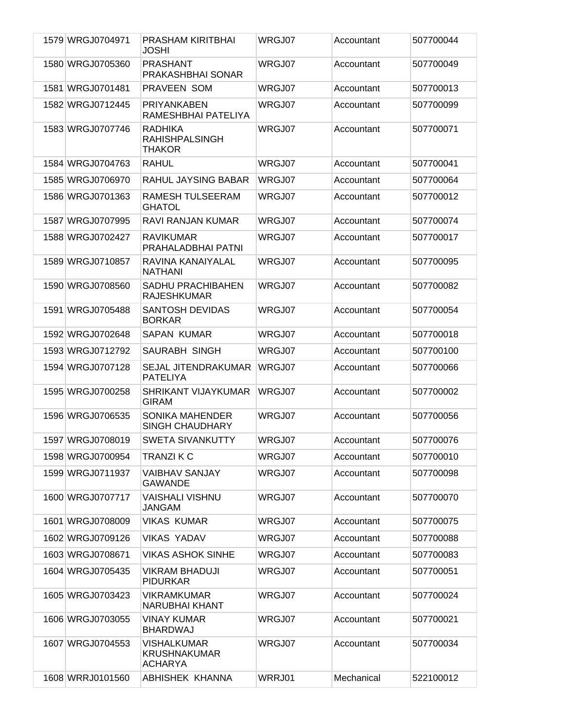| 1579 WRGJ0704971 | PRASHAM KIRITBHAI<br><b>JOSHI</b>                           | WRGJ07 | Accountant | 507700044 |
|------------------|-------------------------------------------------------------|--------|------------|-----------|
| 1580 WRGJ0705360 | <b>PRASHANT</b><br>PRAKASHBHAI SONAR                        | WRGJ07 | Accountant | 507700049 |
| 1581 WRGJ0701481 | PRAVEEN SOM                                                 | WRGJ07 | Accountant | 507700013 |
| 1582 WRGJ0712445 | <b>PRIYANKABEN</b><br>RAMESHBHAI PATELIYA                   | WRGJ07 | Accountant | 507700099 |
| 1583 WRGJ0707746 | <b>RADHIKA</b><br><b>RAHISHPALSINGH</b><br><b>THAKOR</b>    | WRGJ07 | Accountant | 507700071 |
| 1584 WRGJ0704763 | <b>RAHUL</b>                                                | WRGJ07 | Accountant | 507700041 |
| 1585 WRGJ0706970 | RAHUL JAYSING BABAR                                         | WRGJ07 | Accountant | 507700064 |
| 1586 WRGJ0701363 | RAMESH TULSEERAM<br><b>GHATOL</b>                           | WRGJ07 | Accountant | 507700012 |
| 1587 WRGJ0707995 | RAVI RANJAN KUMAR                                           | WRGJ07 | Accountant | 507700074 |
| 1588 WRGJ0702427 | <b>RAVIKUMAR</b><br>PRAHALADBHAI PATNI                      | WRGJ07 | Accountant | 507700017 |
| 1589 WRGJ0710857 | RAVINA KANAIYALAL<br><b>NATHANI</b>                         | WRGJ07 | Accountant | 507700095 |
| 1590 WRGJ0708560 | <b>SADHU PRACHIBAHEN</b><br><b>RAJESHKUMAR</b>              | WRGJ07 | Accountant | 507700082 |
| 1591 WRGJ0705488 | <b>SANTOSH DEVIDAS</b><br><b>BORKAR</b>                     | WRGJ07 | Accountant | 507700054 |
| 1592 WRGJ0702648 | <b>SAPAN KUMAR</b>                                          | WRGJ07 | Accountant | 507700018 |
| 1593 WRGJ0712792 | <b>SAURABH SINGH</b>                                        | WRGJ07 | Accountant | 507700100 |
| 1594 WRGJ0707128 | SEJAL JITENDRAKUMAR<br><b>PATELIYA</b>                      | WRGJ07 | Accountant | 507700066 |
| 1595 WRGJ0700258 | SHRIKANT VIJAYKUMAR<br><b>GIRAM</b>                         | WRGJ07 | Accountant | 507700002 |
| 1596 WRGJ0706535 | <b>SONIKA MAHENDER</b><br><b>SINGH CHAUDHARY</b>            | WRGJ07 | Accountant | 507700056 |
| 1597 WRGJ0708019 | <b>SWETA SIVANKUTTY</b>                                     | WRGJ07 | Accountant | 507700076 |
| 1598 WRGJ0700954 | <b>TRANZIKC</b>                                             | WRGJ07 | Accountant | 507700010 |
| 1599 WRGJ0711937 | <b>VAIBHAV SANJAY</b><br>GAWANDE                            | WRGJ07 | Accountant | 507700098 |
| 1600 WRGJ0707717 | <b>VAISHALI VISHNU</b><br>JANGAM                            | WRGJ07 | Accountant | 507700070 |
| 1601 WRGJ0708009 | <b>VIKAS KUMAR</b>                                          | WRGJ07 | Accountant | 507700075 |
| 1602 WRGJ0709126 | <b>VIKAS YADAV</b>                                          | WRGJ07 | Accountant | 507700088 |
| 1603 WRGJ0708671 | <b>VIKAS ASHOK SINHE</b>                                    | WRGJ07 | Accountant | 507700083 |
| 1604 WRGJ0705435 | <b>VIKRAM BHADUJI</b><br><b>PIDURKAR</b>                    | WRGJ07 | Accountant | 507700051 |
| 1605 WRGJ0703423 | <b>VIKRAMKUMAR</b><br><b>NARUBHAI KHANT</b>                 | WRGJ07 | Accountant | 507700024 |
| 1606 WRGJ0703055 | <b>VINAY KUMAR</b><br><b>BHARDWAJ</b>                       | WRGJ07 | Accountant | 507700021 |
| 1607 WRGJ0704553 | <b>VISHALKUMAR</b><br><b>KRUSHNAKUMAR</b><br><b>ACHARYA</b> | WRGJ07 | Accountant | 507700034 |
| 1608 WRRJ0101560 | ABHISHEK KHANNA                                             | WRRJ01 | Mechanical | 522100012 |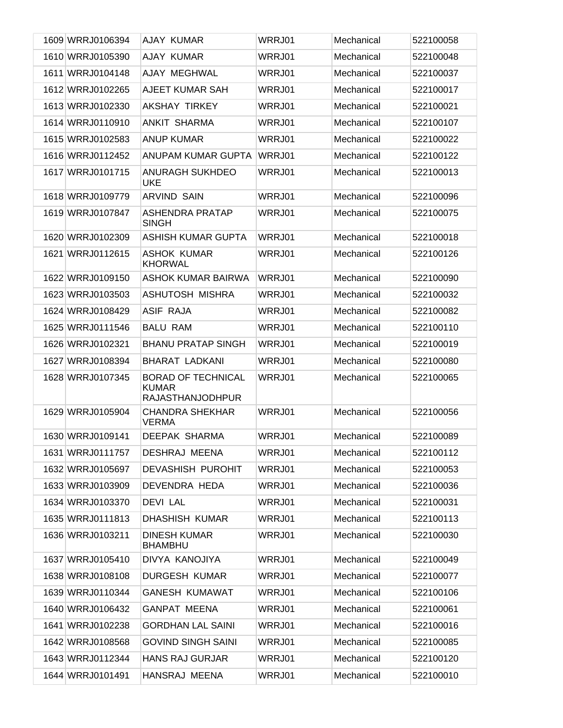| 1609 WRRJ0106394 | AJAY KUMAR                                                           | WRRJ01 | Mechanical | 522100058 |
|------------------|----------------------------------------------------------------------|--------|------------|-----------|
| 1610 WRRJ0105390 | AJAY KUMAR                                                           | WRRJ01 | Mechanical | 522100048 |
| 1611 WRRJ0104148 | AJAY MEGHWAL                                                         | WRRJ01 | Mechanical | 522100037 |
| 1612 WRRJ0102265 | AJEET KUMAR SAH                                                      | WRRJ01 | Mechanical | 522100017 |
| 1613 WRRJ0102330 | <b>AKSHAY TIRKEY</b>                                                 | WRRJ01 | Mechanical | 522100021 |
| 1614 WRRJ0110910 | <b>ANKIT SHARMA</b>                                                  | WRRJ01 | Mechanical | 522100107 |
| 1615 WRRJ0102583 | <b>ANUP KUMAR</b>                                                    | WRRJ01 | Mechanical | 522100022 |
| 1616 WRRJ0112452 | ANUPAM KUMAR GUPTA                                                   | WRRJ01 | Mechanical | 522100122 |
| 1617 WRRJ0101715 | <b>ANURAGH SUKHDEO</b><br><b>UKE</b>                                 | WRRJ01 | Mechanical | 522100013 |
| 1618 WRRJ0109779 | <b>ARVIND SAIN</b>                                                   | WRRJ01 | Mechanical | 522100096 |
| 1619 WRRJ0107847 | ASHENDRA PRATAP<br><b>SINGH</b>                                      | WRRJ01 | Mechanical | 522100075 |
| 1620 WRRJ0102309 | ASHISH KUMAR GUPTA                                                   | WRRJ01 | Mechanical | 522100018 |
| 1621 WRRJ0112615 | <b>ASHOK KUMAR</b><br><b>KHORWAL</b>                                 | WRRJ01 | Mechanical | 522100126 |
| 1622 WRRJ0109150 | ASHOK KUMAR BAIRWA                                                   | WRRJ01 | Mechanical | 522100090 |
| 1623 WRRJ0103503 | ASHUTOSH MISHRA                                                      | WRRJ01 | Mechanical | 522100032 |
| 1624 WRRJ0108429 | <b>ASIF RAJA</b>                                                     | WRRJ01 | Mechanical | 522100082 |
| 1625 WRRJ0111546 | <b>BALU RAM</b>                                                      | WRRJ01 | Mechanical | 522100110 |
| 1626 WRRJ0102321 | <b>BHANU PRATAP SINGH</b>                                            | WRRJ01 | Mechanical | 522100019 |
| 1627 WRRJ0108394 | <b>BHARAT LADKANI</b>                                                | WRRJ01 | Mechanical | 522100080 |
| 1628 WRRJ0107345 | <b>BORAD OF TECHNICAL</b><br><b>KUMAR</b><br><b>RAJASTHANJODHPUR</b> | WRRJ01 | Mechanical | 522100065 |
| 1629 WRRJ0105904 | <b>CHANDRA SHEKHAR</b><br><b>VERMA</b>                               | WRRJ01 | Mechanical | 522100056 |
| 1630 WRRJ0109141 | <b>DEEPAK SHARMA</b>                                                 | WRRJ01 | Mechanical | 522100089 |
| 1631 WRRJ0111757 | <b>DESHRAJ MEENA</b>                                                 | WRRJ01 | Mechanical | 522100112 |
| 1632 WRRJ0105697 | <b>DEVASHISH PUROHIT</b>                                             | WRRJ01 | Mechanical | 522100053 |
| 1633 WRRJ0103909 | DEVENDRA HEDA                                                        | WRRJ01 | Mechanical | 522100036 |
| 1634 WRRJ0103370 | <b>DEVI LAL</b>                                                      | WRRJ01 | Mechanical | 522100031 |
| 1635 WRRJ0111813 | DHASHISH KUMAR                                                       | WRRJ01 | Mechanical | 522100113 |
| 1636 WRRJ0103211 | <b>DINESH KUMAR</b><br><b>BHAMBHU</b>                                | WRRJ01 | Mechanical | 522100030 |
| 1637 WRRJ0105410 | DIVYA KANOJIYA                                                       | WRRJ01 | Mechanical | 522100049 |
| 1638 WRRJ0108108 | <b>DURGESH KUMAR</b>                                                 | WRRJ01 | Mechanical | 522100077 |
| 1639 WRRJ0110344 | <b>GANESH KUMAWAT</b>                                                | WRRJ01 | Mechanical | 522100106 |
| 1640 WRRJ0106432 | <b>GANPAT MEENA</b>                                                  | WRRJ01 | Mechanical | 522100061 |
| 1641 WRRJ0102238 | <b>GORDHAN LAL SAINI</b>                                             | WRRJ01 | Mechanical | 522100016 |
| 1642 WRRJ0108568 | <b>GOVIND SINGH SAINI</b>                                            | WRRJ01 | Mechanical | 522100085 |
| 1643 WRRJ0112344 | <b>HANS RAJ GURJAR</b>                                               | WRRJ01 | Mechanical | 522100120 |
| 1644 WRRJ0101491 | HANSRAJ MEENA                                                        | WRRJ01 | Mechanical | 522100010 |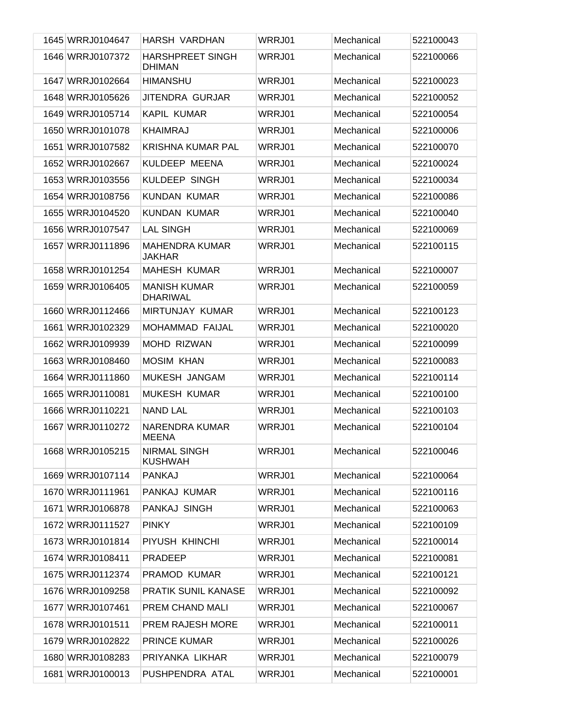| 1645 WRRJ0104647 | HARSH VARDHAN                            | WRRJ01 | Mechanical | 522100043 |
|------------------|------------------------------------------|--------|------------|-----------|
| 1646 WRRJ0107372 | <b>HARSHPREET SINGH</b><br><b>DHIMAN</b> | WRRJ01 | Mechanical | 522100066 |
| 1647 WRRJ0102664 | <b>HIMANSHU</b>                          | WRRJ01 | Mechanical | 522100023 |
| 1648 WRRJ0105626 | JITENDRA GURJAR                          | WRRJ01 | Mechanical | 522100052 |
| 1649 WRRJ0105714 | KAPIL KUMAR                              | WRRJ01 | Mechanical | 522100054 |
| 1650 WRRJ0101078 | <b>KHAIMRAJ</b>                          | WRRJ01 | Mechanical | 522100006 |
| 1651 WRRJ0107582 | <b>KRISHNA KUMAR PAL</b>                 | WRRJ01 | Mechanical | 522100070 |
| 1652 WRRJ0102667 | KULDEEP MEENA                            | WRRJ01 | Mechanical | 522100024 |
| 1653 WRRJ0103556 | <b>KULDEEP SINGH</b>                     | WRRJ01 | Mechanical | 522100034 |
| 1654 WRRJ0108756 | <b>KUNDAN KUMAR</b>                      | WRRJ01 | Mechanical | 522100086 |
| 1655 WRRJ0104520 | <b>KUNDAN KUMAR</b>                      | WRRJ01 | Mechanical | 522100040 |
| 1656 WRRJ0107547 | <b>LAL SINGH</b>                         | WRRJ01 | Mechanical | 522100069 |
| 1657 WRRJ0111896 | <b>MAHENDRA KUMAR</b><br><b>JAKHAR</b>   | WRRJ01 | Mechanical | 522100115 |
| 1658 WRRJ0101254 | <b>MAHESH KUMAR</b>                      | WRRJ01 | Mechanical | 522100007 |
| 1659 WRRJ0106405 | <b>MANISH KUMAR</b><br><b>DHARIWAL</b>   | WRRJ01 | Mechanical | 522100059 |
| 1660 WRRJ0112466 | MIRTUNJAY KUMAR                          | WRRJ01 | Mechanical | 522100123 |
| 1661 WRRJ0102329 | MOHAMMAD FAIJAL                          | WRRJ01 | Mechanical | 522100020 |
| 1662 WRRJ0109939 | <b>MOHD RIZWAN</b>                       | WRRJ01 | Mechanical | 522100099 |
| 1663 WRRJ0108460 | <b>MOSIM KHAN</b>                        | WRRJ01 | Mechanical | 522100083 |
| 1664 WRRJ0111860 | MUKESH JANGAM                            | WRRJ01 | Mechanical | 522100114 |
| 1665 WRRJ0110081 | <b>MUKESH KUMAR</b>                      | WRRJ01 | Mechanical | 522100100 |
| 1666 WRRJ0110221 | <b>NAND LAL</b>                          | WRRJ01 | Mechanical | 522100103 |
| 1667 WRRJ0110272 | NARENDRA KUMAR<br><b>MEENA</b>           | WRRJ01 | Mechanical | 522100104 |
| 1668 WRRJ0105215 | <b>NIRMAL SINGH</b><br><b>KUSHWAH</b>    | WRRJ01 | Mechanical | 522100046 |
| 1669 WRRJ0107114 | <b>PANKAJ</b>                            | WRRJ01 | Mechanical | 522100064 |
| 1670 WRRJ0111961 | PANKAJ KUMAR                             | WRRJ01 | Mechanical | 522100116 |
| 1671 WRRJ0106878 | PANKAJ SINGH                             | WRRJ01 | Mechanical | 522100063 |
| 1672 WRRJ0111527 | <b>PINKY</b>                             | WRRJ01 | Mechanical | 522100109 |
| 1673 WRRJ0101814 | PIYUSH KHINCHI                           | WRRJ01 | Mechanical | 522100014 |
| 1674 WRRJ0108411 | <b>PRADEEP</b>                           | WRRJ01 | Mechanical | 522100081 |
| 1675 WRRJ0112374 | PRAMOD KUMAR                             | WRRJ01 | Mechanical | 522100121 |
| 1676 WRRJ0109258 | PRATIK SUNIL KANASE                      | WRRJ01 | Mechanical | 522100092 |
| 1677 WRRJ0107461 | PREM CHAND MALI                          | WRRJ01 | Mechanical | 522100067 |
| 1678 WRRJ0101511 | <b>PREM RAJESH MORE</b>                  | WRRJ01 | Mechanical | 522100011 |
| 1679 WRRJ0102822 | <b>PRINCE KUMAR</b>                      | WRRJ01 | Mechanical | 522100026 |
| 1680 WRRJ0108283 | PRIYANKA LIKHAR                          | WRRJ01 | Mechanical | 522100079 |
| 1681 WRRJ0100013 | PUSHPENDRA ATAL                          | WRRJ01 | Mechanical | 522100001 |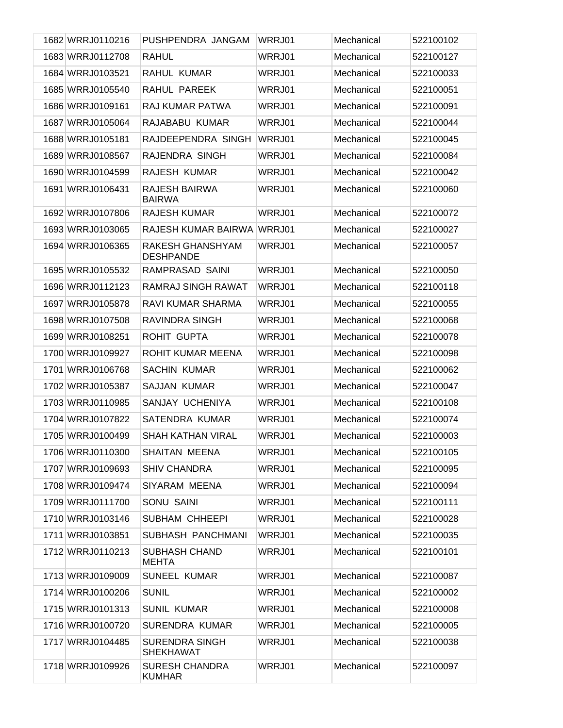| 1682 WRRJ0110216 | PUSHPENDRA JANGAM                         | WRRJ01 | Mechanical | 522100102 |
|------------------|-------------------------------------------|--------|------------|-----------|
| 1683 WRRJ0112708 | <b>RAHUL</b>                              | WRRJ01 | Mechanical | 522100127 |
| 1684 WRRJ0103521 | RAHUL KUMAR                               | WRRJ01 | Mechanical | 522100033 |
| 1685 WRRJ0105540 | RAHUL PAREEK                              | WRRJ01 | Mechanical | 522100051 |
| 1686 WRRJ0109161 | <b>RAJ KUMAR PATWA</b>                    | WRRJ01 | Mechanical | 522100091 |
| 1687 WRRJ0105064 | RAJABABU KUMAR                            | WRRJ01 | Mechanical | 522100044 |
| 1688 WRRJ0105181 | RAJDEEPENDRA SINGH                        | WRRJ01 | Mechanical | 522100045 |
| 1689 WRRJ0108567 | RAJENDRA SINGH                            | WRRJ01 | Mechanical | 522100084 |
| 1690 WRRJ0104599 | RAJESH KUMAR                              | WRRJ01 | Mechanical | 522100042 |
| 1691 WRRJ0106431 | <b>RAJESH BAIRWA</b><br><b>BAIRWA</b>     | WRRJ01 | Mechanical | 522100060 |
| 1692 WRRJ0107806 | <b>RAJESH KUMAR</b>                       | WRRJ01 | Mechanical | 522100072 |
| 1693 WRRJ0103065 | RAJESH KUMAR BAIRWA WRRJ01                |        | Mechanical | 522100027 |
| 1694 WRRJ0106365 | RAKESH GHANSHYAM<br><b>DESHPANDE</b>      | WRRJ01 | Mechanical | 522100057 |
| 1695 WRRJ0105532 | RAMPRASAD SAINI                           | WRRJ01 | Mechanical | 522100050 |
| 1696 WRRJ0112123 | <b>RAMRAJ SINGH RAWAT</b>                 | WRRJ01 | Mechanical | 522100118 |
| 1697 WRRJ0105878 | RAVI KUMAR SHARMA                         | WRRJ01 | Mechanical | 522100055 |
| 1698 WRRJ0107508 | RAVINDRA SINGH                            | WRRJ01 | Mechanical | 522100068 |
| 1699 WRRJ0108251 | <b>ROHIT GUPTA</b>                        | WRRJ01 | Mechanical | 522100078 |
| 1700 WRRJ0109927 | ROHIT KUMAR MEENA                         | WRRJ01 | Mechanical | 522100098 |
| 1701 WRRJ0106768 | <b>SACHIN KUMAR</b>                       | WRRJ01 | Mechanical | 522100062 |
| 1702 WRRJ0105387 | <b>SAJJAN KUMAR</b>                       | WRRJ01 | Mechanical | 522100047 |
| 1703 WRRJ0110985 | SANJAY UCHENIYA                           | WRRJ01 | Mechanical | 522100108 |
| 1704 WRRJ0107822 | SATENDRA KUMAR                            | WRRJ01 | Mechanical | 522100074 |
| 1705 WRRJ0100499 | <b>SHAH KATHAN VIRAL</b>                  | WRRJ01 | Mechanical | 522100003 |
| 1706 WRRJ0110300 | SHAITAN MEENA                             | WRRJ01 | Mechanical | 522100105 |
| 1707 WRRJ0109693 | <b>SHIV CHANDRA</b>                       | WRRJ01 | Mechanical | 522100095 |
| 1708 WRRJ0109474 | SIYARAM MEENA                             | WRRJ01 | Mechanical | 522100094 |
| 1709 WRRJ0111700 | SONU SAINI                                | WRRJ01 | Mechanical | 522100111 |
| 1710 WRRJ0103146 | SUBHAM CHHEEPI                            | WRRJ01 | Mechanical | 522100028 |
| 1711 WRRJ0103851 | SUBHASH PANCHMANI                         | WRRJ01 | Mechanical | 522100035 |
| 1712 WRRJ0110213 | SUBHASH CHAND<br><b>MEHTA</b>             | WRRJ01 | Mechanical | 522100101 |
| 1713 WRRJ0109009 | <b>SUNEEL KUMAR</b>                       | WRRJ01 | Mechanical | 522100087 |
| 1714 WRRJ0100206 | <b>SUNIL</b>                              | WRRJ01 | Mechanical | 522100002 |
| 1715 WRRJ0101313 | <b>SUNIL KUMAR</b>                        | WRRJ01 | Mechanical | 522100008 |
| 1716 WRRJ0100720 | <b>SURENDRA KUMAR</b>                     | WRRJ01 | Mechanical | 522100005 |
| 1717 WRRJ0104485 | <b>SURENDRA SINGH</b><br><b>SHEKHAWAT</b> | WRRJ01 | Mechanical | 522100038 |
| 1718 WRRJ0109926 | <b>SURESH CHANDRA</b><br><b>KUMHAR</b>    | WRRJ01 | Mechanical | 522100097 |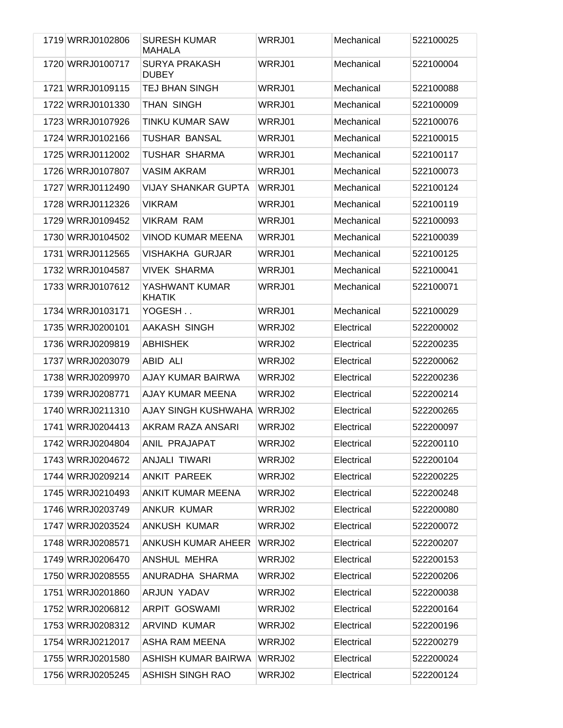| 1719 WRRJ0102806 | <b>SURESH KUMAR</b><br><b>MAHALA</b> | WRRJ01 | Mechanical | 522100025 |
|------------------|--------------------------------------|--------|------------|-----------|
| 1720 WRRJ0100717 | <b>SURYA PRAKASH</b><br><b>DUBEY</b> | WRRJ01 | Mechanical | 522100004 |
| 1721 WRRJ0109115 | <b>TEJ BHAN SINGH</b>                | WRRJ01 | Mechanical | 522100088 |
| 1722 WRRJ0101330 | THAN SINGH                           | WRRJ01 | Mechanical | 522100009 |
| 1723 WRRJ0107926 | <b>TINKU KUMAR SAW</b>               | WRRJ01 | Mechanical | 522100076 |
| 1724 WRRJ0102166 | <b>TUSHAR BANSAL</b>                 | WRRJ01 | Mechanical | 522100015 |
| 1725 WRRJ0112002 | <b>TUSHAR SHARMA</b>                 | WRRJ01 | Mechanical | 522100117 |
| 1726 WRRJ0107807 | <b>VASIM AKRAM</b>                   | WRRJ01 | Mechanical | 522100073 |
| 1727 WRRJ0112490 | <b>VIJAY SHANKAR GUPTA</b>           | WRRJ01 | Mechanical | 522100124 |
| 1728 WRRJ0112326 | <b>VIKRAM</b>                        | WRRJ01 | Mechanical | 522100119 |
| 1729 WRRJ0109452 | <b>VIKRAM RAM</b>                    | WRRJ01 | Mechanical | 522100093 |
| 1730 WRRJ0104502 | <b>VINOD KUMAR MEENA</b>             | WRRJ01 | Mechanical | 522100039 |
| 1731 WRRJ0112565 | VISHAKHA GURJAR                      | WRRJ01 | Mechanical | 522100125 |
| 1732 WRRJ0104587 | <b>VIVEK SHARMA</b>                  | WRRJ01 | Mechanical | 522100041 |
| 1733 WRRJ0107612 | YASHWANT KUMAR<br><b>KHATIK</b>      | WRRJ01 | Mechanical | 522100071 |
| 1734 WRRJ0103171 | YOGESH                               | WRRJ01 | Mechanical | 522100029 |
| 1735 WRRJ0200101 | AAKASH SINGH                         | WRRJ02 | Electrical | 522200002 |
| 1736 WRRJ0209819 | <b>ABHISHEK</b>                      | WRRJ02 | Electrical | 522200235 |
| 1737 WRRJ0203079 | ABID ALI                             | WRRJ02 | Electrical | 522200062 |
| 1738 WRRJ0209970 | AJAY KUMAR BAIRWA                    | WRRJ02 | Electrical | 522200236 |
| 1739 WRRJ0208771 | AJAY KUMAR MEENA                     | WRRJ02 | Electrical | 522200214 |
| 1740 WRRJ0211310 | AJAY SINGH KUSHWAHA                  | WRRJ02 | Electrical | 522200265 |
| 1741 WRRJ0204413 | AKRAM RAZA ANSARI                    | WRRJ02 | Electrical | 522200097 |
| 1742 WRRJ0204804 | ANIL PRAJAPAT                        | WRRJ02 | Electrical | 522200110 |
| 1743 WRRJ0204672 | ANJALI TIWARI                        | WRRJ02 | Electrical | 522200104 |
| 1744 WRRJ0209214 | ANKIT PAREEK                         | WRRJ02 | Electrical | 522200225 |
| 1745 WRRJ0210493 | ANKIT KUMAR MEENA                    | WRRJ02 | Electrical | 522200248 |
| 1746 WRRJ0203749 | ANKUR KUMAR                          | WRRJ02 | Electrical | 522200080 |
| 1747 WRRJ0203524 | <b>ANKUSH KUMAR</b>                  | WRRJ02 | Electrical | 522200072 |
| 1748 WRRJ0208571 | <b>ANKUSH KUMAR AHEER</b>            | WRRJ02 | Electrical | 522200207 |
| 1749 WRRJ0206470 | ANSHUL MEHRA                         | WRRJ02 | Electrical | 522200153 |
| 1750 WRRJ0208555 | ANURADHA SHARMA                      | WRRJ02 | Electrical | 522200206 |
| 1751 WRRJ0201860 | ARJUN YADAV                          | WRRJ02 | Electrical | 522200038 |
| 1752 WRRJ0206812 | <b>ARPIT GOSWAMI</b>                 | WRRJ02 | Electrical | 522200164 |
| 1753 WRRJ0208312 | <b>ARVIND KUMAR</b>                  | WRRJ02 | Electrical | 522200196 |
| 1754 WRRJ0212017 | ASHA RAM MEENA                       | WRRJ02 | Electrical | 522200279 |
| 1755 WRRJ0201580 | ASHISH KUMAR BAIRWA                  | WRRJ02 | Electrical | 522200024 |
| 1756 WRRJ0205245 | <b>ASHISH SINGH RAO</b>              | WRRJ02 | Electrical | 522200124 |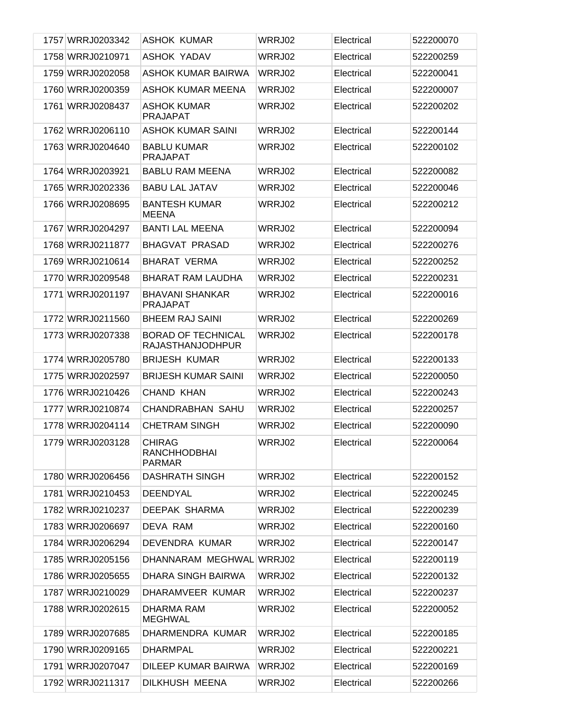| 1757 WRRJ0203342 | <b>ASHOK KUMAR</b>                                    | WRRJ02 | Electrical | 522200070 |
|------------------|-------------------------------------------------------|--------|------------|-----------|
| 1758 WRRJ0210971 | <b>ASHOK YADAV</b>                                    | WRRJ02 | Electrical | 522200259 |
| 1759 WRRJ0202058 | ASHOK KUMAR BAIRWA                                    | WRRJ02 | Electrical | 522200041 |
| 1760 WRRJ0200359 | ASHOK KUMAR MEENA                                     | WRRJ02 | Electrical | 522200007 |
| 1761 WRRJ0208437 | <b>ASHOK KUMAR</b><br><b>PRAJAPAT</b>                 | WRRJ02 | Electrical | 522200202 |
| 1762 WRRJ0206110 | <b>ASHOK KUMAR SAINI</b>                              | WRRJ02 | Electrical | 522200144 |
| 1763 WRRJ0204640 | <b>BABLU KUMAR</b><br><b>PRAJAPAT</b>                 | WRRJ02 | Electrical | 522200102 |
| 1764 WRRJ0203921 | <b>BABLU RAM MEENA</b>                                | WRRJ02 | Electrical | 522200082 |
| 1765 WRRJ0202336 | <b>BABU LAL JATAV</b>                                 | WRRJ02 | Electrical | 522200046 |
| 1766 WRRJ0208695 | <b>BANTESH KUMAR</b><br><b>MEENA</b>                  | WRRJ02 | Electrical | 522200212 |
| 1767 WRRJ0204297 | <b>BANTI LAL MEENA</b>                                | WRRJ02 | Electrical | 522200094 |
| 1768 WRRJ0211877 | <b>BHAGVAT PRASAD</b>                                 | WRRJ02 | Electrical | 522200276 |
| 1769 WRRJ0210614 | <b>BHARAT VERMA</b>                                   | WRRJ02 | Electrical | 522200252 |
| 1770 WRRJ0209548 | <b>BHARAT RAM LAUDHA</b>                              | WRRJ02 | Electrical | 522200231 |
| 1771 WRRJ0201197 | <b>BHAVANI SHANKAR</b><br><b>PRAJAPAT</b>             | WRRJ02 | Electrical | 522200016 |
| 1772 WRRJ0211560 | <b>BHEEM RAJ SAINI</b>                                | WRRJ02 | Electrical | 522200269 |
| 1773 WRRJ0207338 | <b>BORAD OF TECHNICAL</b><br><b>RAJASTHANJODHPUR</b>  | WRRJ02 | Electrical | 522200178 |
| 1774 WRRJ0205780 | <b>BRIJESH KUMAR</b>                                  | WRRJ02 | Electrical | 522200133 |
| 1775 WRRJ0202597 | <b>BRIJESH KUMAR SAINI</b>                            | WRRJ02 | Electrical | 522200050 |
| 1776 WRRJ0210426 | <b>CHAND KHAN</b>                                     | WRRJ02 | Electrical | 522200243 |
| 1777 WRRJ0210874 | <b>CHANDRABHAN SAHU</b>                               | WRRJ02 | Electrical | 522200257 |
| 1778 WRRJ0204114 | <b>CHETRAM SINGH</b>                                  | WRRJ02 | Electrical | 522200090 |
| 1779 WRRJ0203128 | <b>CHIRAG</b><br><b>RANCHHODBHAI</b><br><b>PARMAR</b> | WRRJ02 | Electrical | 522200064 |
| 1780 WRRJ0206456 | <b>DASHRATH SINGH</b>                                 | WRRJ02 | Electrical | 522200152 |
| 1781 WRRJ0210453 | <b>DEENDYAL</b>                                       | WRRJ02 | Electrical | 522200245 |
| 1782 WRRJ0210237 | DEEPAK SHARMA                                         | WRRJ02 | Electrical | 522200239 |
| 1783 WRRJ0206697 | DEVA RAM                                              | WRRJ02 | Electrical | 522200160 |
| 1784 WRRJ0206294 | DEVENDRA KUMAR                                        | WRRJ02 | Electrical | 522200147 |
| 1785 WRRJ0205156 | DHANNARAM MEGHWAL                                     | WRRJ02 | Electrical | 522200119 |
| 1786 WRRJ0205655 | DHARA SINGH BAIRWA                                    | WRRJ02 | Electrical | 522200132 |
| 1787 WRRJ0210029 | DHARAMVEER KUMAR                                      | WRRJ02 | Electrical | 522200237 |
| 1788 WRRJ0202615 | DHARMA RAM<br><b>MEGHWAL</b>                          | WRRJ02 | Electrical | 522200052 |
| 1789 WRRJ0207685 | DHARMENDRA KUMAR                                      | WRRJ02 | Electrical | 522200185 |
| 1790 WRRJ0209165 | <b>DHARMPAL</b>                                       | WRRJ02 | Electrical | 522200221 |
| 1791 WRRJ0207047 | DILEEP KUMAR BAIRWA                                   | WRRJ02 | Electrical | 522200169 |
| 1792 WRRJ0211317 | DILKHUSH MEENA                                        | WRRJ02 | Electrical | 522200266 |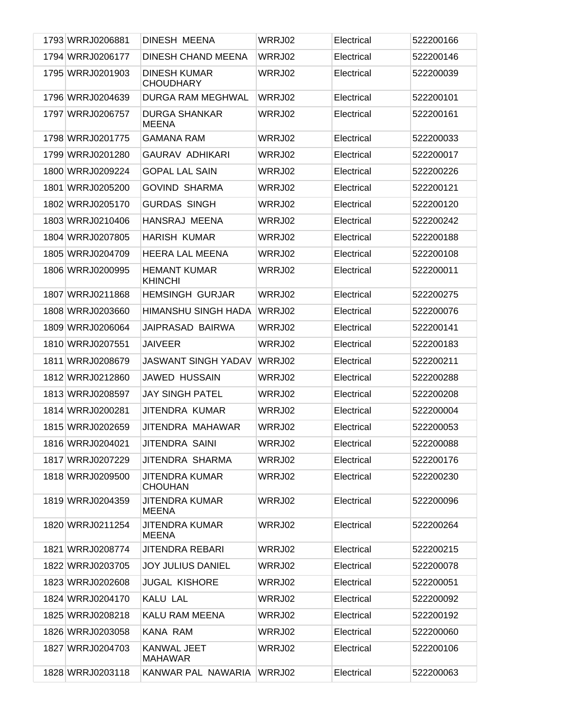| 1793 WRRJ0206881 | DINESH MEENA                            | WRRJ02 | Electrical | 522200166 |
|------------------|-----------------------------------------|--------|------------|-----------|
| 1794 WRRJ0206177 | DINESH CHAND MEENA                      | WRRJ02 | Electrical | 522200146 |
| 1795 WRRJ0201903 | <b>DINESH KUMAR</b><br><b>CHOUDHARY</b> | WRRJ02 | Electrical | 522200039 |
| 1796 WRRJ0204639 | DURGA RAM MEGHWAL                       | WRRJ02 | Electrical | 522200101 |
| 1797 WRRJ0206757 | <b>DURGA SHANKAR</b><br><b>MEENA</b>    | WRRJ02 | Electrical | 522200161 |
| 1798 WRRJ0201775 | <b>GAMANA RAM</b>                       | WRRJ02 | Electrical | 522200033 |
| 1799 WRRJ0201280 | <b>GAURAV ADHIKARI</b>                  | WRRJ02 | Electrical | 522200017 |
| 1800 WRRJ0209224 | <b>GOPAL LAL SAIN</b>                   | WRRJ02 | Electrical | 522200226 |
| 1801 WRRJ0205200 | <b>GOVIND SHARMA</b>                    | WRRJ02 | Electrical | 522200121 |
| 1802 WRRJ0205170 | <b>GURDAS SINGH</b>                     | WRRJ02 | Electrical | 522200120 |
| 1803 WRRJ0210406 | HANSRAJ MEENA                           | WRRJ02 | Electrical | 522200242 |
| 1804 WRRJ0207805 | <b>HARISH KUMAR</b>                     | WRRJ02 | Electrical | 522200188 |
| 1805 WRRJ0204709 | <b>HEERA LAL MEENA</b>                  | WRRJ02 | Electrical | 522200108 |
| 1806 WRRJ0200995 | <b>HEMANT KUMAR</b><br><b>KHINCHI</b>   | WRRJ02 | Electrical | 522200011 |
| 1807 WRRJ0211868 | <b>HEMSINGH GURJAR</b>                  | WRRJ02 | Electrical | 522200275 |
| 1808 WRRJ0203660 | HIMANSHU SINGH HADA                     | WRRJ02 | Electrical | 522200076 |
| 1809 WRRJ0206064 | JAIPRASAD BAIRWA                        | WRRJ02 | Electrical | 522200141 |
| 1810 WRRJ0207551 | <b>JAIVEER</b>                          | WRRJ02 | Electrical | 522200183 |
| 1811 WRRJ0208679 | <b>JASWANT SINGH YADAV</b>              | WRRJ02 | Electrical | 522200211 |
| 1812 WRRJ0212860 | <b>JAWED HUSSAIN</b>                    | WRRJ02 | Electrical | 522200288 |
| 1813 WRRJ0208597 | <b>JAY SINGH PATEL</b>                  | WRRJ02 | Electrical | 522200208 |
| 1814 WRRJ0200281 | JITENDRA KUMAR                          | WRRJ02 | Electrical | 522200004 |
| 1815 WRRJ0202659 | JITENDRA MAHAWAR                        | WRRJ02 | Electrical | 522200053 |
| 1816 WRRJ0204021 | JITENDRA SAINI                          | WRRJ02 | Electrical | 522200088 |
| 1817 WRRJ0207229 | JITENDRA SHARMA                         | WRRJ02 | Electrical | 522200176 |
| 1818 WRRJ0209500 | <b>JITENDRA KUMAR</b><br><b>CHOUHAN</b> | WRRJ02 | Electrical | 522200230 |
| 1819 WRRJ0204359 | <b>JITENDRA KUMAR</b><br><b>MEENA</b>   | WRRJ02 | Electrical | 522200096 |
| 1820 WRRJ0211254 | <b>JITENDRA KUMAR</b><br>MEENA          | WRRJ02 | Electrical | 522200264 |
| 1821 WRRJ0208774 | <b>JITENDRA REBARI</b>                  | WRRJ02 | Electrical | 522200215 |
| 1822 WRRJ0203705 | <b>JOY JULIUS DANIEL</b>                | WRRJ02 | Electrical | 522200078 |
| 1823 WRRJ0202608 | <b>JUGAL KISHORE</b>                    | WRRJ02 | Electrical | 522200051 |
| 1824 WRRJ0204170 | KALU LAL                                | WRRJ02 | Electrical | 522200092 |
| 1825 WRRJ0208218 | KALU RAM MEENA                          | WRRJ02 | Electrical | 522200192 |
| 1826 WRRJ0203058 | KANA RAM                                | WRRJ02 | Electrical | 522200060 |
| 1827 WRRJ0204703 | KANWAL JEET<br><b>MAHAWAR</b>           | WRRJ02 | Electrical | 522200106 |
| 1828 WRRJ0203118 | KANWAR PAL NAWARIA                      | WRRJ02 | Electrical | 522200063 |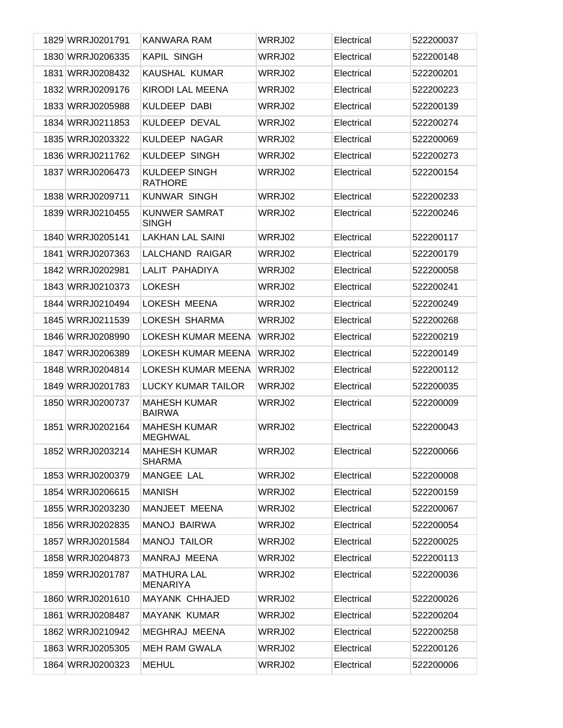| 1829 WRRJ0201791 | KANWARA RAM                            | WRRJ02 | Electrical | 522200037 |
|------------------|----------------------------------------|--------|------------|-----------|
| 1830 WRRJ0206335 | <b>KAPIL SINGH</b>                     | WRRJ02 | Electrical | 522200148 |
| 1831 WRRJ0208432 | KAUSHAL KUMAR                          | WRRJ02 | Electrical | 522200201 |
| 1832 WRRJ0209176 | KIRODI LAL MEENA                       | WRRJ02 | Electrical | 522200223 |
| 1833 WRRJ0205988 | <b>KULDEEP DABI</b>                    | WRRJ02 | Electrical | 522200139 |
| 1834 WRRJ0211853 | KULDEEP DEVAL                          | WRRJ02 | Electrical | 522200274 |
| 1835 WRRJ0203322 | KULDEEP NAGAR                          | WRRJ02 | Electrical | 522200069 |
| 1836 WRRJ0211762 | KULDEEP SINGH                          | WRRJ02 | Electrical | 522200273 |
| 1837 WRRJ0206473 | <b>KULDEEP SINGH</b><br><b>RATHORE</b> | WRRJ02 | Electrical | 522200154 |
| 1838 WRRJ0209711 | <b>KUNWAR SINGH</b>                    | WRRJ02 | Electrical | 522200233 |
| 1839 WRRJ0210455 | <b>KUNWER SAMRAT</b><br><b>SINGH</b>   | WRRJ02 | Electrical | 522200246 |
| 1840 WRRJ0205141 | <b>LAKHAN LAL SAINI</b>                | WRRJ02 | Electrical | 522200117 |
| 1841 WRRJ0207363 | LALCHAND RAIGAR                        | WRRJ02 | Electrical | 522200179 |
| 1842 WRRJ0202981 | LALIT PAHADIYA                         | WRRJ02 | Electrical | 522200058 |
| 1843 WRRJ0210373 | <b>LOKESH</b>                          | WRRJ02 | Electrical | 522200241 |
| 1844 WRRJ0210494 | LOKESH MEENA                           | WRRJ02 | Electrical | 522200249 |
| 1845 WRRJ0211539 | LOKESH SHARMA                          | WRRJ02 | Electrical | 522200268 |
| 1846 WRRJ0208990 | LOKESH KUMAR MEENA                     | WRRJ02 | Electrical | 522200219 |
| 1847 WRRJ0206389 | LOKESH KUMAR MEENA                     | WRRJ02 | Electrical | 522200149 |
| 1848 WRRJ0204814 | LOKESH KUMAR MEENA                     | WRRJ02 | Electrical | 522200112 |
| 1849 WRRJ0201783 | LUCKY KUMAR TAILOR                     | WRRJ02 | Electrical | 522200035 |
| 1850 WRRJ0200737 | <b>MAHESH KUMAR</b><br><b>BAIRWA</b>   | WRRJ02 | Electrical | 522200009 |
| 1851 WRRJ0202164 | <b>MAHESH KUMAR</b><br><b>MEGHWAL</b>  | WRRJ02 | Electrical | 522200043 |
| 1852 WRRJ0203214 | <b>MAHESH KUMAR</b><br><b>SHARMA</b>   | WRRJ02 | Electrical | 522200066 |
| 1853 WRRJ0200379 | MANGEE LAL                             | WRRJ02 | Electrical | 522200008 |
| 1854 WRRJ0206615 | <b>MANISH</b>                          | WRRJ02 | Electrical | 522200159 |
| 1855 WRRJ0203230 | MANJEET MEENA                          | WRRJ02 | Electrical | 522200067 |
| 1856 WRRJ0202835 | <b>MANOJ BAIRWA</b>                    | WRRJ02 | Electrical | 522200054 |
| 1857 WRRJ0201584 | <b>MANOJ TAILOR</b>                    | WRRJ02 | Electrical | 522200025 |
| 1858 WRRJ0204873 | MANRAJ MEENA                           | WRRJ02 | Electrical | 522200113 |
| 1859 WRRJ0201787 | <b>MATHURA LAL</b><br><b>MENARIYA</b>  | WRRJ02 | Electrical | 522200036 |
| 1860 WRRJ0201610 | MAYANK CHHAJED                         | WRRJ02 | Electrical | 522200026 |
| 1861 WRRJ0208487 | <b>MAYANK KUMAR</b>                    | WRRJ02 | Electrical | 522200204 |
| 1862 WRRJ0210942 | <b>MEGHRAJ MEENA</b>                   | WRRJ02 | Electrical | 522200258 |
| 1863 WRRJ0205305 | <b>MEH RAM GWALA</b>                   | WRRJ02 | Electrical | 522200126 |
| 1864 WRRJ0200323 | <b>MEHUL</b>                           | WRRJ02 | Electrical | 522200006 |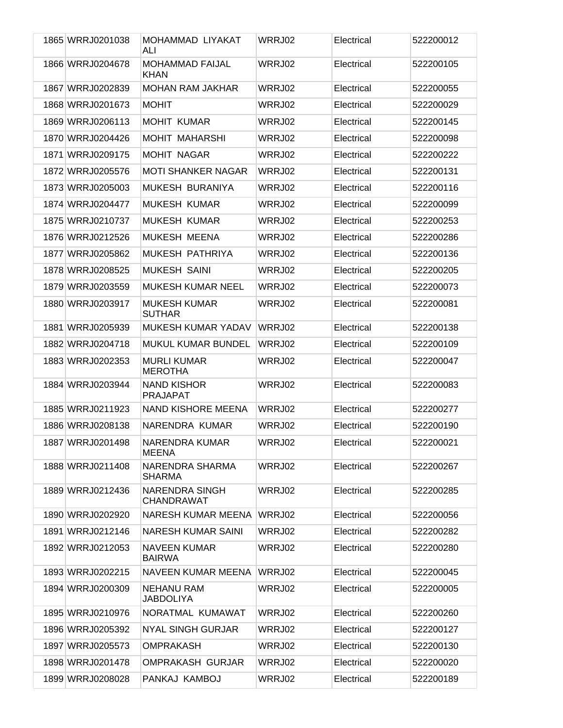| 1865 WRRJ0201038 | MOHAMMAD LIYAKAT<br>ALI               | WRRJ02 | Electrical | 522200012 |
|------------------|---------------------------------------|--------|------------|-----------|
| 1866 WRRJ0204678 | <b>MOHAMMAD FAIJAL</b><br><b>KHAN</b> | WRRJ02 | Electrical | 522200105 |
| 1867 WRRJ0202839 | <b>MOHAN RAM JAKHAR</b>               | WRRJ02 | Electrical | 522200055 |
| 1868 WRRJ0201673 | <b>MOHIT</b>                          | WRRJ02 | Electrical | 522200029 |
| 1869 WRRJ0206113 | <b>MOHIT KUMAR</b>                    | WRRJ02 | Electrical | 522200145 |
| 1870 WRRJ0204426 | <b>MOHIT MAHARSHI</b>                 | WRRJ02 | Electrical | 522200098 |
| 1871 WRRJ0209175 | <b>MOHIT NAGAR</b>                    | WRRJ02 | Electrical | 522200222 |
| 1872 WRRJ0205576 | <b>MOTI SHANKER NAGAR</b>             | WRRJ02 | Electrical | 522200131 |
| 1873 WRRJ0205003 | MUKESH BURANIYA                       | WRRJ02 | Electrical | 522200116 |
| 1874 WRRJ0204477 | <b>MUKESH KUMAR</b>                   | WRRJ02 | Electrical | 522200099 |
| 1875 WRRJ0210737 | <b>MUKESH KUMAR</b>                   | WRRJ02 | Electrical | 522200253 |
| 1876 WRRJ0212526 | MUKESH MEENA                          | WRRJ02 | Electrical | 522200286 |
| 1877 WRRJ0205862 | MUKESH PATHRIYA                       | WRRJ02 | Electrical | 522200136 |
| 1878 WRRJ0208525 | <b>MUKESH SAINI</b>                   | WRRJ02 | Electrical | 522200205 |
| 1879 WRRJ0203559 | <b>MUKESH KUMAR NEEL</b>              | WRRJ02 | Electrical | 522200073 |
| 1880 WRRJ0203917 | <b>MUKESH KUMAR</b><br><b>SUTHAR</b>  | WRRJ02 | Electrical | 522200081 |
| 1881 WRRJ0205939 | <b>MUKESH KUMAR YADAV</b>             | WRRJ02 | Electrical | 522200138 |
| 1882 WRRJ0204718 | <b>MUKUL KUMAR BUNDEL</b>             | WRRJ02 | Electrical | 522200109 |
| 1883 WRRJ0202353 | <b>MURLI KUMAR</b><br><b>MEROTHA</b>  | WRRJ02 | Electrical | 522200047 |
| 1884 WRRJ0203944 | <b>NAND KISHOR</b><br><b>PRAJAPAT</b> | WRRJ02 | Electrical | 522200083 |
| 1885 WRRJ0211923 | NAND KISHORE MEENA                    | WRRJ02 | Electrical | 522200277 |
| 1886 WRRJ0208138 | NARENDRA KUMAR                        | WRRJ02 | Electrical | 522200190 |
| 1887 WRRJ0201498 | NARENDRA KUMAR<br>MEENA               | WRRJ02 | Electrical | 522200021 |
| 1888 WRRJ0211408 | NARENDRA SHARMA<br><b>SHARMA</b>      | WRRJ02 | Electrical | 522200267 |
| 1889 WRRJ0212436 | <b>NARENDRA SINGH</b><br>CHANDRAWAT   | WRRJ02 | Electrical | 522200285 |
| 1890 WRRJ0202920 | NARESH KUMAR MEENA                    | WRRJ02 | Electrical | 522200056 |
| 1891 WRRJ0212146 | <b>NARESH KUMAR SAINI</b>             | WRRJ02 | Electrical | 522200282 |
| 1892 WRRJ0212053 | <b>NAVEEN KUMAR</b><br><b>BAIRWA</b>  | WRRJ02 | Electrical | 522200280 |
| 1893 WRRJ0202215 | NAVEEN KUMAR MEENA                    | WRRJ02 | Electrical | 522200045 |
| 1894 WRRJ0200309 | <b>NEHANU RAM</b><br><b>JABDOLIYA</b> | WRRJ02 | Electrical | 522200005 |
| 1895 WRRJ0210976 | NORATMAL KUMAWAT                      | WRRJ02 | Electrical | 522200260 |
| 1896 WRRJ0205392 | <b>NYAL SINGH GURJAR</b>              | WRRJ02 | Electrical | 522200127 |
| 1897 WRRJ0205573 | <b>OMPRAKASH</b>                      | WRRJ02 | Electrical | 522200130 |
| 1898 WRRJ0201478 | <b>OMPRAKASH GURJAR</b>               | WRRJ02 | Electrical | 522200020 |
| 1899 WRRJ0208028 | PANKAJ KAMBOJ                         | WRRJ02 | Electrical | 522200189 |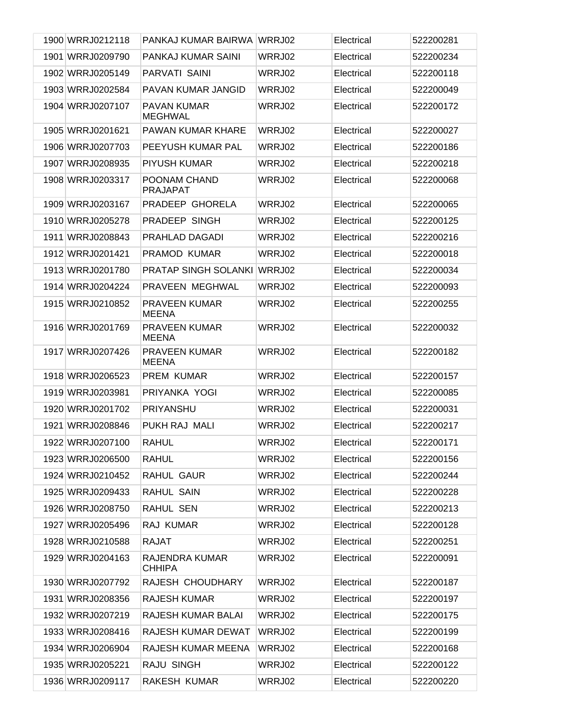| 1900 WRRJ0212118 | PANKAJ KUMAR BAIRWA                  | WRRJ02 | Electrical | 522200281 |
|------------------|--------------------------------------|--------|------------|-----------|
| 1901 WRRJ0209790 | PANKAJ KUMAR SAINI                   | WRRJ02 | Electrical | 522200234 |
| 1902 WRRJ0205149 | PARVATI SAINI                        | WRRJ02 | Electrical | 522200118 |
| 1903 WRRJ0202584 | PAVAN KUMAR JANGID                   | WRRJ02 | Electrical | 522200049 |
| 1904 WRRJ0207107 | <b>PAVAN KUMAR</b><br><b>MEGHWAL</b> | WRRJ02 | Electrical | 522200172 |
| 1905 WRRJ0201621 | <b>PAWAN KUMAR KHARE</b>             | WRRJ02 | Electrical | 522200027 |
| 1906 WRRJ0207703 | PEEYUSH KUMAR PAL                    | WRRJ02 | Electrical | 522200186 |
| 1907 WRRJ0208935 | PIYUSH KUMAR                         | WRRJ02 | Electrical | 522200218 |
| 1908 WRRJ0203317 | POONAM CHAND<br><b>PRAJAPAT</b>      | WRRJ02 | Electrical | 522200068 |
| 1909 WRRJ0203167 | PRADEEP GHORELA                      | WRRJ02 | Electrical | 522200065 |
| 1910 WRRJ0205278 | PRADEEP SINGH                        | WRRJ02 | Electrical | 522200125 |
| 1911 WRRJ0208843 | PRAHLAD DAGADI                       | WRRJ02 | Electrical | 522200216 |
| 1912 WRRJ0201421 | PRAMOD KUMAR                         | WRRJ02 | Electrical | 522200018 |
| 1913 WRRJ0201780 | <b>PRATAP SINGH SOLANKI</b>          | WRRJ02 | Electrical | 522200034 |
| 1914 WRRJ0204224 | PRAVEEN MEGHWAL                      | WRRJ02 | Electrical | 522200093 |
| 1915 WRRJ0210852 | <b>PRAVEEN KUMAR</b><br><b>MEENA</b> | WRRJ02 | Electrical | 522200255 |
| 1916 WRRJ0201769 | <b>PRAVEEN KUMAR</b><br><b>MEENA</b> | WRRJ02 | Electrical | 522200032 |
| 1917 WRRJ0207426 | <b>PRAVEEN KUMAR</b><br><b>MEENA</b> | WRRJ02 | Electrical | 522200182 |
| 1918 WRRJ0206523 | <b>PREM KUMAR</b>                    | WRRJ02 | Electrical | 522200157 |
| 1919 WRRJ0203981 | PRIYANKA YOGI                        | WRRJ02 | Electrical | 522200085 |
| 1920 WRRJ0201702 | PRIYANSHU                            | WRRJ02 | Electrical | 522200031 |
| 1921 WRRJ0208846 | PUKH RAJ MALI                        | WRRJ02 | Electrical | 522200217 |
| 1922 WRRJ0207100 | <b>RAHUL</b>                         | WRRJ02 | Electrical | 522200171 |
| 1923 WRRJ0206500 | <b>RAHUL</b>                         | WRRJ02 | Electrical | 522200156 |
| 1924 WRRJ0210452 | RAHUL GAUR                           | WRRJ02 | Electrical | 522200244 |
| 1925 WRRJ0209433 | RAHUL SAIN                           | WRRJ02 | Electrical | 522200228 |
| 1926 WRRJ0208750 | RAHUL SEN                            | WRRJ02 | Electrical | 522200213 |
| 1927 WRRJ0205496 | RAJ KUMAR                            | WRRJ02 | Electrical | 522200128 |
| 1928 WRRJ0210588 | RAJAT                                | WRRJ02 | Electrical | 522200251 |
| 1929 WRRJ0204163 | RAJENDRA KUMAR<br><b>CHHIPA</b>      | WRRJ02 | Electrical | 522200091 |
| 1930 WRRJ0207792 | RAJESH CHOUDHARY                     | WRRJ02 | Electrical | 522200187 |
| 1931 WRRJ0208356 | <b>RAJESH KUMAR</b>                  | WRRJ02 | Electrical | 522200197 |
| 1932 WRRJ0207219 | RAJESH KUMAR BALAI                   | WRRJ02 | Electrical | 522200175 |
| 1933 WRRJ0208416 | RAJESH KUMAR DEWAT                   | WRRJ02 | Electrical | 522200199 |
| 1934 WRRJ0206904 | RAJESH KUMAR MEENA                   | WRRJ02 | Electrical | 522200168 |
| 1935 WRRJ0205221 | RAJU SINGH                           | WRRJ02 | Electrical | 522200122 |
| 1936 WRRJ0209117 | RAKESH KUMAR                         | WRRJ02 | Electrical | 522200220 |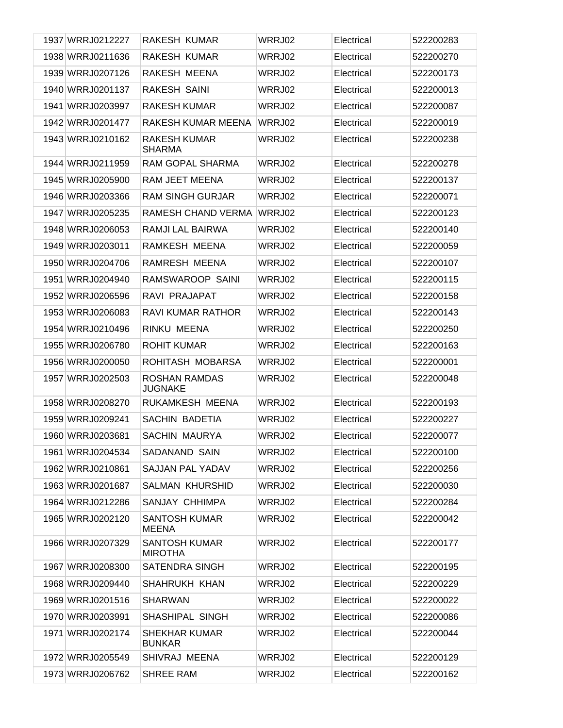| 1937 WRRJ0212227 | RAKESH KUMAR                           | WRRJ02 | Electrical | 522200283 |
|------------------|----------------------------------------|--------|------------|-----------|
| 1938 WRRJ0211636 | <b>RAKESH KUMAR</b>                    | WRRJ02 | Electrical | 522200270 |
| 1939 WRRJ0207126 | RAKESH MEENA                           | WRRJ02 | Electrical | 522200173 |
| 1940 WRRJ0201137 | <b>RAKESH SAINI</b>                    | WRRJ02 | Electrical | 522200013 |
| 1941 WRRJ0203997 | <b>RAKESH KUMAR</b>                    | WRRJ02 | Electrical | 522200087 |
| 1942 WRRJ0201477 | RAKESH KUMAR MEENA                     | WRRJ02 | Electrical | 522200019 |
| 1943 WRRJ0210162 | <b>RAKESH KUMAR</b><br><b>SHARMA</b>   | WRRJ02 | Electrical | 522200238 |
| 1944 WRRJ0211959 | RAM GOPAL SHARMA                       | WRRJ02 | Electrical | 522200278 |
| 1945 WRRJ0205900 | RAM JEET MEENA                         | WRRJ02 | Electrical | 522200137 |
| 1946 WRRJ0203366 | <b>RAM SINGH GURJAR</b>                | WRRJ02 | Electrical | 522200071 |
| 1947 WRRJ0205235 | RAMESH CHAND VERMA                     | WRRJ02 | Electrical | 522200123 |
| 1948 WRRJ0206053 | RAMJI LAL BAIRWA                       | WRRJ02 | Electrical | 522200140 |
| 1949 WRRJ0203011 | RAMKESH MEENA                          | WRRJ02 | Electrical | 522200059 |
| 1950 WRRJ0204706 | RAMRESH MEENA                          | WRRJ02 | Electrical | 522200107 |
| 1951 WRRJ0204940 | RAMSWAROOP SAINI                       | WRRJ02 | Electrical | 522200115 |
| 1952 WRRJ0206596 | RAVI PRAJAPAT                          | WRRJ02 | Electrical | 522200158 |
| 1953 WRRJ0206083 | <b>RAVI KUMAR RATHOR</b>               | WRRJ02 | Electrical | 522200143 |
| 1954 WRRJ0210496 | RINKU MEENA                            | WRRJ02 | Electrical | 522200250 |
| 1955 WRRJ0206780 | <b>ROHIT KUMAR</b>                     | WRRJ02 | Electrical | 522200163 |
| 1956 WRRJ0200050 | ROHITASH MOBARSA                       | WRRJ02 | Electrical | 522200001 |
| 1957 WRRJ0202503 | <b>ROSHAN RAMDAS</b><br><b>JUGNAKE</b> | WRRJ02 | Electrical | 522200048 |
| 1958 WRRJ0208270 | RUKAMKESH MEENA                        | WRRJ02 | Electrical | 522200193 |
| 1959 WRRJ0209241 | <b>SACHIN BADETIA</b>                  | WRRJ02 | Electrical | 522200227 |
| 1960 WRRJ0203681 | <b>SACHIN MAURYA</b>                   | WRRJ02 | Electrical | 522200077 |
| 1961 WRRJ0204534 | SADANAND SAIN                          | WRRJ02 | Electrical | 522200100 |
| 1962 WRRJ0210861 | SAJJAN PAL YADAV                       | WRRJ02 | Electrical | 522200256 |
| 1963 WRRJ0201687 | SALMAN KHURSHID                        | WRRJ02 | Electrical | 522200030 |
| 1964 WRRJ0212286 | SANJAY CHHIMPA                         | WRRJ02 | Electrical | 522200284 |
| 1965 WRRJ0202120 | <b>SANTOSH KUMAR</b><br><b>MEENA</b>   | WRRJ02 | Electrical | 522200042 |
| 1966 WRRJ0207329 | <b>SANTOSH KUMAR</b><br><b>MIROTHA</b> | WRRJ02 | Electrical | 522200177 |
| 1967 WRRJ0208300 | <b>SATENDRA SINGH</b>                  | WRRJ02 | Electrical | 522200195 |
| 1968 WRRJ0209440 | SHAHRUKH KHAN                          | WRRJ02 | Electrical | 522200229 |
| 1969 WRRJ0201516 | <b>SHARWAN</b>                         | WRRJ02 | Electrical | 522200022 |
| 1970 WRRJ0203991 | SHASHIPAL SINGH                        | WRRJ02 | Electrical | 522200086 |
| 1971 WRRJ0202174 | <b>SHEKHAR KUMAR</b><br><b>BUNKAR</b>  | WRRJ02 | Electrical | 522200044 |
| 1972 WRRJ0205549 | SHIVRAJ MEENA                          | WRRJ02 | Electrical | 522200129 |
| 1973 WRRJ0206762 | <b>SHREE RAM</b>                       | WRRJ02 | Electrical | 522200162 |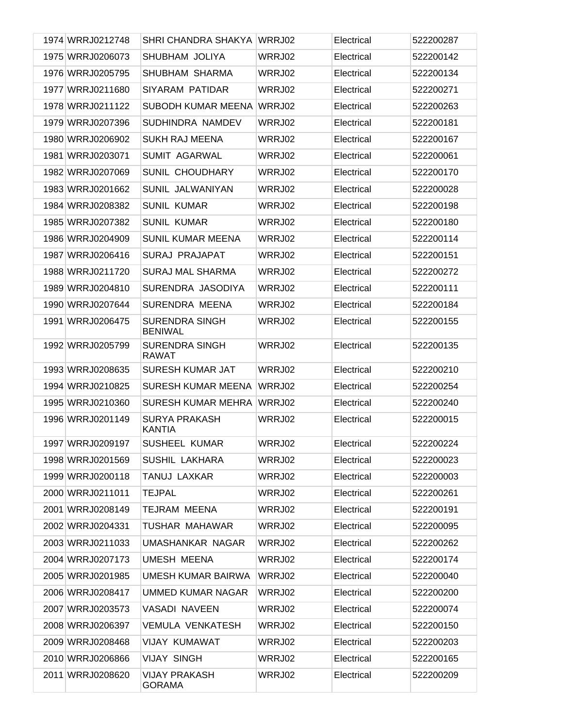| 1974 WRRJ0212748 | SHRI CHANDRA SHAKYA                     | WRRJ02 | Electrical | 522200287 |
|------------------|-----------------------------------------|--------|------------|-----------|
| 1975 WRRJ0206073 | SHUBHAM JOLIYA                          | WRRJ02 | Electrical | 522200142 |
| 1976 WRRJ0205795 | SHUBHAM SHARMA                          | WRRJ02 | Electrical | 522200134 |
| 1977 WRRJ0211680 | SIYARAM PATIDAR                         | WRRJ02 | Electrical | 522200271 |
| 1978 WRRJ0211122 | SUBODH KUMAR MEENA                      | WRRJ02 | Electrical | 522200263 |
| 1979 WRRJ0207396 | SUDHINDRA NAMDEV                        | WRRJ02 | Electrical | 522200181 |
| 1980 WRRJ0206902 | <b>SUKH RAJ MEENA</b>                   | WRRJ02 | Electrical | 522200167 |
| 1981 WRRJ0203071 | <b>SUMIT AGARWAL</b>                    | WRRJ02 | Electrical | 522200061 |
| 1982 WRRJ0207069 | <b>SUNIL CHOUDHARY</b>                  | WRRJ02 | Electrical | 522200170 |
| 1983 WRRJ0201662 | SUNIL JALWANIYAN                        | WRRJ02 | Electrical | 522200028 |
| 1984 WRRJ0208382 | <b>SUNIL KUMAR</b>                      | WRRJ02 | Electrical | 522200198 |
| 1985 WRRJ0207382 | <b>SUNIL KUMAR</b>                      | WRRJ02 | Electrical | 522200180 |
| 1986 WRRJ0204909 | <b>SUNIL KUMAR MEENA</b>                | WRRJ02 | Electrical | 522200114 |
| 1987 WRRJ0206416 | <b>SURAJ PRAJAPAT</b>                   | WRRJ02 | Electrical | 522200151 |
| 1988 WRRJ0211720 | <b>SURAJ MAL SHARMA</b>                 | WRRJ02 | Electrical | 522200272 |
| 1989 WRRJ0204810 | SURENDRA JASODIYA                       | WRRJ02 | Electrical | 522200111 |
| 1990 WRRJ0207644 | <b>SURENDRA MEENA</b>                   | WRRJ02 | Electrical | 522200184 |
| 1991 WRRJ0206475 | <b>SURENDRA SINGH</b><br><b>BENIWAL</b> | WRRJ02 | Electrical | 522200155 |
| 1992 WRRJ0205799 | <b>SURENDRA SINGH</b><br><b>RAWAT</b>   | WRRJ02 | Electrical | 522200135 |
| 1993 WRRJ0208635 | SURESH KUMAR JAT                        | WRRJ02 | Electrical | 522200210 |
| 1994 WRRJ0210825 | <b>SURESH KUMAR MEENA</b>               | WRRJ02 | Electrical | 522200254 |
| 1995 WRRJ0210360 | <b>SURESH KUMAR MEHRA</b>               | WRRJ02 | Electrical | 522200240 |
| 1996 WRRJ0201149 | <b>SURYA PRAKASH</b><br><b>KANTIA</b>   | WRRJ02 | Electrical | 522200015 |
| 1997 WRRJ0209197 | SUSHEEL KUMAR                           | WRRJ02 | Electrical | 522200224 |
| 1998 WRRJ0201569 | SUSHIL LAKHARA                          | WRRJ02 | Electrical | 522200023 |
| 1999 WRRJ0200118 | TANUJ LAXKAR                            | WRRJ02 | Electrical | 522200003 |
| 2000 WRRJ0211011 | <b>TEJPAL</b>                           | WRRJ02 | Electrical | 522200261 |
| 2001 WRRJ0208149 | TEJRAM MEENA                            | WRRJ02 | Electrical | 522200191 |
| 2002 WRRJ0204331 | TUSHAR MAHAWAR                          | WRRJ02 | Electrical | 522200095 |
| 2003 WRRJ0211033 | UMASHANKAR NAGAR                        | WRRJ02 | Electrical | 522200262 |
| 2004 WRRJ0207173 | <b>UMESH MEENA</b>                      | WRRJ02 | Electrical | 522200174 |
| 2005 WRRJ0201985 | UMESH KUMAR BAIRWA                      | WRRJ02 | Electrical | 522200040 |
| 2006 WRRJ0208417 | UMMED KUMAR NAGAR                       | WRRJ02 | Electrical | 522200200 |
| 2007 WRRJ0203573 | <b>VASADI NAVEEN</b>                    | WRRJ02 | Electrical | 522200074 |
| 2008 WRRJ0206397 | VEMULA VENKATESH                        | WRRJ02 | Electrical | 522200150 |
| 2009 WRRJ0208468 | VIJAY KUMAWAT                           | WRRJ02 | Electrical | 522200203 |
| 2010 WRRJ0206866 | <b>VIJAY SINGH</b>                      | WRRJ02 | Electrical | 522200165 |
| 2011 WRRJ0208620 | <b>VIJAY PRAKASH</b><br><b>GORAMA</b>   | WRRJ02 | Electrical | 522200209 |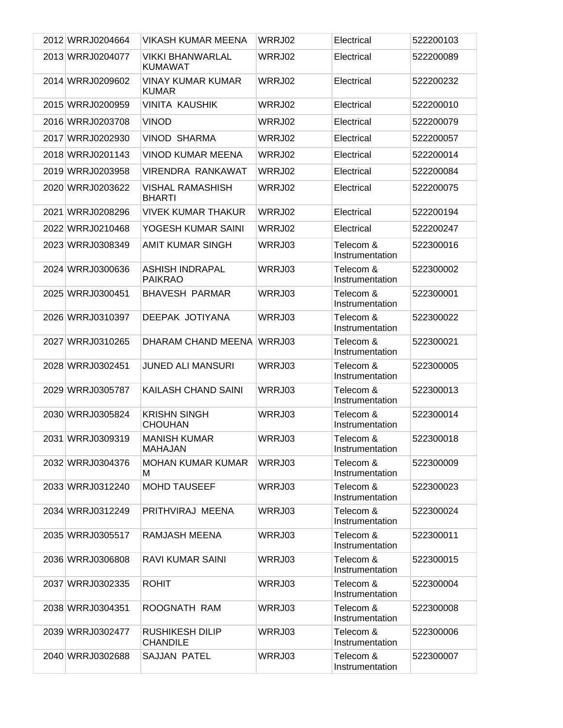| 2012 WRRJ0204664 | <b>VIKASH KUMAR MEENA</b>                 | WRRJ02 | Electrical                   | 522200103 |
|------------------|-------------------------------------------|--------|------------------------------|-----------|
| 2013 WRRJ0204077 | <b>VIKKI BHANWARLAL</b><br><b>KUMAWAT</b> | WRRJ02 | Electrical                   | 522200089 |
| 2014 WRRJ0209602 | <b>VINAY KUMAR KUMAR</b><br><b>KUMAR</b>  | WRRJ02 | Electrical                   | 522200232 |
| 2015 WRRJ0200959 | <b>VINITA KAUSHIK</b>                     | WRRJ02 | Electrical                   | 522200010 |
| 2016 WRRJ0203708 | <b>VINOD</b>                              | WRRJ02 | Electrical                   | 522200079 |
| 2017 WRRJ0202930 | <b>VINOD SHARMA</b>                       | WRRJ02 | Electrical                   | 522200057 |
| 2018 WRRJ0201143 | <b>VINOD KUMAR MEENA</b>                  | WRRJ02 | Electrical                   | 522200014 |
| 2019 WRRJ0203958 | <b>VIRENDRA RANKAWAT</b>                  | WRRJ02 | Electrical                   | 522200084 |
| 2020 WRRJ0203622 | <b>VISHAL RAMASHISH</b><br><b>BHARTI</b>  | WRRJ02 | Electrical                   | 522200075 |
| 2021 WRRJ0208296 | <b>VIVEK KUMAR THAKUR</b>                 | WRRJ02 | Electrical                   | 522200194 |
| 2022 WRRJ0210468 | YOGESH KUMAR SAINI                        | WRRJ02 | Electrical                   | 522200247 |
| 2023 WRRJ0308349 | <b>AMIT KUMAR SINGH</b>                   | WRRJ03 | Telecom &<br>Instrumentation | 522300016 |
| 2024 WRRJ0300636 | <b>ASHISH INDRAPAL</b><br><b>PAIKRAO</b>  | WRRJ03 | Telecom &<br>Instrumentation | 522300002 |
| 2025 WRRJ0300451 | <b>BHAVESH PARMAR</b>                     | WRRJ03 | Telecom &<br>Instrumentation | 522300001 |
| 2026 WRRJ0310397 | DEEPAK JOTIYANA                           | WRRJ03 | Telecom &<br>Instrumentation | 522300022 |
| 2027 WRRJ0310265 | DHARAM CHAND MEENA                        | WRRJ03 | Telecom &<br>Instrumentation | 522300021 |
| 2028 WRRJ0302451 | <b>JUNED ALI MANSURI</b>                  | WRRJ03 | Telecom &<br>Instrumentation | 522300005 |
| 2029 WRRJ0305787 | KAILASH CHAND SAINI                       | WRRJ03 | Telecom &<br>Instrumentation | 522300013 |
| 2030 WRRJ0305824 | <b>KRISHN SINGH</b><br><b>CHOUHAN</b>     | WRRJ03 | Telecom &<br>Instrumentation | 522300014 |
| 2031 WRRJ0309319 | <b>MANISH KUMAR</b><br>MAHAJAN            | WRRJ03 | Telecom &<br>Instrumentation | 522300018 |
| 2032 WRRJ0304376 | <b>MOHAN KUMAR KUMAR</b><br>м             | WRRJ03 | Telecom &<br>Instrumentation | 522300009 |
| 2033 WRRJ0312240 | <b>MOHD TAUSEEF</b>                       | WRRJ03 | Telecom &<br>Instrumentation | 522300023 |
| 2034 WRRJ0312249 | PRITHVIRAJ MEENA                          | WRRJ03 | Telecom &<br>Instrumentation | 522300024 |
| 2035 WRRJ0305517 | RAMJASH MEENA                             | WRRJ03 | Telecom &<br>Instrumentation | 522300011 |
| 2036 WRRJ0306808 | RAVI KUMAR SAINI                          | WRRJ03 | Telecom &<br>Instrumentation | 522300015 |
| 2037 WRRJ0302335 | <b>ROHIT</b>                              | WRRJ03 | Telecom &<br>Instrumentation | 522300004 |
| 2038 WRRJ0304351 | ROOGNATH RAM                              | WRRJ03 | Telecom &<br>Instrumentation | 522300008 |
| 2039 WRRJ0302477 | <b>RUSHIKESH DILIP</b><br><b>CHANDILE</b> | WRRJ03 | Telecom &<br>Instrumentation | 522300006 |
| 2040 WRRJ0302688 | SAJJAN PATEL                              | WRRJ03 | Telecom &<br>Instrumentation | 522300007 |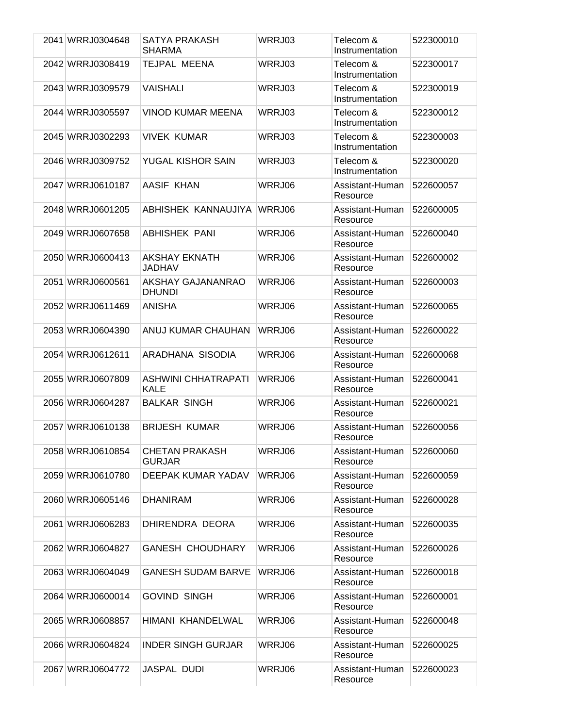| 2041 WRRJ0304648 | SATYA PRAKASH<br><b>SHARMA</b>            | WRRJ03 | Telecom &<br>Instrumentation | 522300010 |
|------------------|-------------------------------------------|--------|------------------------------|-----------|
| 2042 WRRJ0308419 | TEJPAL MEENA                              | WRRJ03 | Telecom &<br>Instrumentation | 522300017 |
| 2043 WRRJ0309579 | <b>VAISHALI</b>                           | WRRJ03 | Telecom &<br>Instrumentation | 522300019 |
| 2044 WRRJ0305597 | <b>VINOD KUMAR MEENA</b>                  | WRRJ03 | Telecom &<br>Instrumentation | 522300012 |
| 2045 WRRJ0302293 | <b>VIVEK KUMAR</b>                        | WRRJ03 | Telecom &<br>Instrumentation | 522300003 |
| 2046 WRRJ0309752 | YUGAL KISHOR SAIN                         | WRRJ03 | Telecom &<br>Instrumentation | 522300020 |
| 2047 WRRJ0610187 | AASIF KHAN                                | WRRJ06 | Assistant-Human<br>Resource  | 522600057 |
| 2048 WRRJ0601205 | ABHISHEK KANNAUJIYA                       | WRRJ06 | Assistant-Human<br>Resource  | 522600005 |
| 2049 WRRJ0607658 | <b>ABHISHEK PANI</b>                      | WRRJ06 | Assistant-Human<br>Resource  | 522600040 |
| 2050 WRRJ0600413 | <b>AKSHAY EKNATH</b><br><b>JADHAV</b>     | WRRJ06 | Assistant-Human<br>Resource  | 522600002 |
| 2051 WRRJ0600561 | AKSHAY GAJANANRAO<br><b>DHUNDI</b>        | WRRJ06 | Assistant-Human<br>Resource  | 522600003 |
| 2052 WRRJ0611469 | <b>ANISHA</b>                             | WRRJ06 | Assistant-Human<br>Resource  | 522600065 |
| 2053 WRRJ0604390 | ANUJ KUMAR CHAUHAN                        | WRRJ06 | Assistant-Human<br>Resource  | 522600022 |
| 2054 WRRJ0612611 | ARADHANA SISODIA                          | WRRJ06 | Assistant-Human<br>Resource  | 522600068 |
| 2055 WRRJ0607809 | <b>ASHWINI CHHATRAPATI</b><br><b>KALE</b> | WRRJ06 | Assistant-Human<br>Resource  | 522600041 |
| 2056 WRRJ0604287 | <b>BALKAR SINGH</b>                       | WRRJ06 | Assistant-Human<br>Resource  | 522600021 |
| 2057 WRRJ0610138 | <b>BRIJESH KUMAR</b>                      | WRRJ06 | Assistant-Human<br>Resource  | 522600056 |
| 2058 WRRJ0610854 | <b>CHETAN PRAKASH</b><br><b>GURJAR</b>    | WRRJ06 | Assistant-Human<br>Resource  | 522600060 |
| 2059 WRRJ0610780 | DEEPAK KUMAR YADAV                        | WRRJ06 | Assistant-Human<br>Resource  | 522600059 |
| 2060 WRRJ0605146 | <b>DHANIRAM</b>                           | WRRJ06 | Assistant-Human<br>Resource  | 522600028 |
| 2061 WRRJ0606283 | DHIRENDRA DEORA                           | WRRJ06 | Assistant-Human<br>Resource  | 522600035 |
| 2062 WRRJ0604827 | <b>GANESH CHOUDHARY</b>                   | WRRJ06 | Assistant-Human<br>Resource  | 522600026 |
| 2063 WRRJ0604049 | <b>GANESH SUDAM BARVE</b>                 | WRRJ06 | Assistant-Human<br>Resource  | 522600018 |
| 2064 WRRJ0600014 | <b>GOVIND SINGH</b>                       | WRRJ06 | Assistant-Human<br>Resource  | 522600001 |
| 2065 WRRJ0608857 | HIMANI KHANDELWAL                         | WRRJ06 | Assistant-Human<br>Resource  | 522600048 |
| 2066 WRRJ0604824 | <b>INDER SINGH GURJAR</b>                 | WRRJ06 | Assistant-Human<br>Resource  | 522600025 |
| 2067 WRRJ0604772 | <b>JASPAL DUDI</b>                        | WRRJ06 | Assistant-Human<br>Resource  | 522600023 |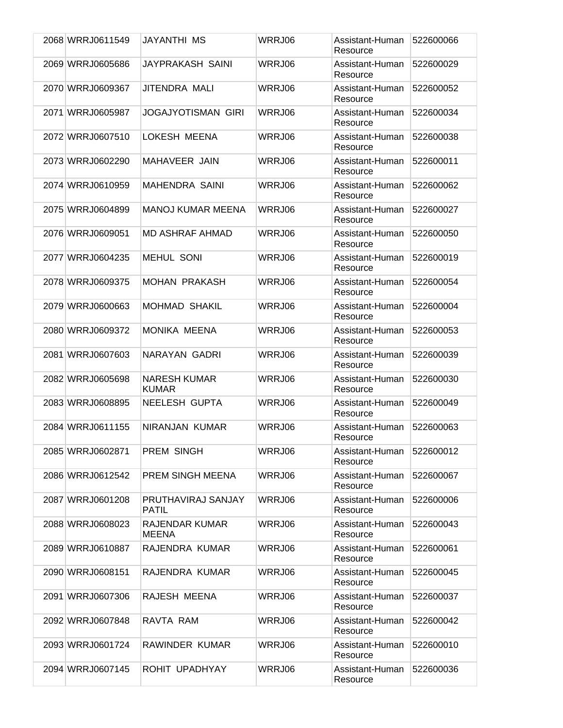| 2068 WRRJ0611549 | JAYANTHI MS                         | WRRJ06 | Assistant-Human             | 522600066 |
|------------------|-------------------------------------|--------|-----------------------------|-----------|
| 2069 WRRJ0605686 | JAYPRAKASH SAINI                    | WRRJ06 | Resource<br>Assistant-Human | 522600029 |
|                  |                                     |        | Resource                    |           |
| 2070 WRRJ0609367 | JITENDRA MALI                       | WRRJ06 | Assistant-Human<br>Resource | 522600052 |
| 2071 WRRJ0605987 | <b>JOGAJYOTISMAN GIRI</b>           | WRRJ06 | Assistant-Human<br>Resource | 522600034 |
| 2072 WRRJ0607510 | LOKESH MEENA                        | WRRJ06 | Assistant-Human<br>Resource | 522600038 |
| 2073 WRRJ0602290 | MAHAVEER JAIN                       | WRRJ06 | Assistant-Human<br>Resource | 522600011 |
| 2074 WRRJ0610959 | <b>MAHENDRA SAINI</b>               | WRRJ06 | Assistant-Human<br>Resource | 522600062 |
| 2075 WRRJ0604899 | <b>MANOJ KUMAR MEENA</b>            | WRRJ06 | Assistant-Human<br>Resource | 522600027 |
| 2076 WRRJ0609051 | <b>MD ASHRAF AHMAD</b>              | WRRJ06 | Assistant-Human<br>Resource | 522600050 |
| 2077 WRRJ0604235 | <b>MEHUL SONI</b>                   | WRRJ06 | Assistant-Human<br>Resource | 522600019 |
| 2078 WRRJ0609375 | <b>MOHAN PRAKASH</b>                | WRRJ06 | Assistant-Human<br>Resource | 522600054 |
| 2079 WRRJ0600663 | <b>MOHMAD SHAKIL</b>                | WRRJ06 | Assistant-Human<br>Resource | 522600004 |
| 2080 WRRJ0609372 | <b>MONIKA MEENA</b>                 | WRRJ06 | Assistant-Human<br>Resource | 522600053 |
| 2081 WRRJ0607603 | NARAYAN GADRI                       | WRRJ06 | Assistant-Human<br>Resource | 522600039 |
| 2082 WRRJ0605698 | <b>NARESH KUMAR</b><br><b>KUMAR</b> | WRRJ06 | Assistant-Human<br>Resource | 522600030 |
| 2083 WRRJ0608895 | NEELESH GUPTA                       | WRRJ06 | Assistant-Human<br>Resource | 522600049 |
| 2084 WRRJ0611155 | NIRANJAN KUMAR                      | WRRJ06 | Assistant-Human<br>Resource | 522600063 |
| 2085 WRRJ0602871 | PREM SINGH                          | WRRJ06 | Assistant-Human<br>Resource | 522600012 |
| 2086 WRRJ0612542 | PREM SINGH MEENA                    | WRRJ06 | Assistant-Human<br>Resource | 522600067 |
| 2087 WRRJ0601208 | PRUTHAVIRAJ SANJAY<br>PATIL         | WRRJ06 | Assistant-Human<br>Resource | 522600006 |
| 2088 WRRJ0608023 | RAJENDAR KUMAR<br>MEENA             | WRRJ06 | Assistant-Human<br>Resource | 522600043 |
| 2089 WRRJ0610887 | RAJENDRA KUMAR                      | WRRJ06 | Assistant-Human<br>Resource | 522600061 |
| 2090 WRRJ0608151 | RAJENDRA KUMAR                      | WRRJ06 | Assistant-Human<br>Resource | 522600045 |
| 2091 WRRJ0607306 | RAJESH MEENA                        | WRRJ06 | Assistant-Human<br>Resource | 522600037 |
| 2092 WRRJ0607848 | RAVTA RAM                           | WRRJ06 | Assistant-Human<br>Resource | 522600042 |
| 2093 WRRJ0601724 | RAWINDER KUMAR                      | WRRJ06 | Assistant-Human<br>Resource | 522600010 |
| 2094 WRRJ0607145 | ROHIT UPADHYAY                      | WRRJ06 | Assistant-Human<br>Resource | 522600036 |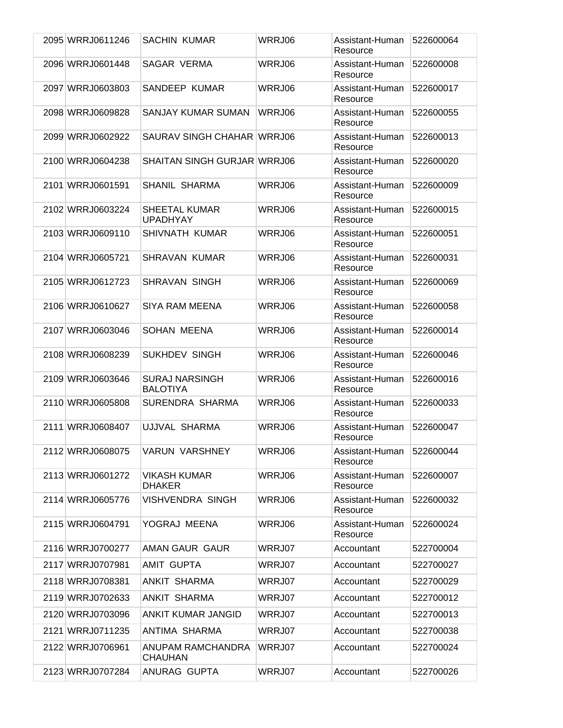| 2095 WRRJ0611246 | SACHIN KUMAR                             | WRRJ06 | Assistant-Human<br>Resource | 522600064 |
|------------------|------------------------------------------|--------|-----------------------------|-----------|
| 2096 WRRJ0601448 | <b>SAGAR VERMA</b>                       | WRRJ06 | Assistant-Human<br>Resource | 522600008 |
| 2097 WRRJ0603803 | SANDEEP KUMAR                            | WRRJ06 | Assistant-Human<br>Resource | 522600017 |
| 2098 WRRJ0609828 | SANJAY KUMAR SUMAN                       | WRRJ06 | Assistant-Human<br>Resource | 522600055 |
| 2099 WRRJ0602922 | SAURAV SINGH CHAHAR WRRJ06               |        | Assistant-Human<br>Resource | 522600013 |
| 2100 WRRJ0604238 | <b>SHAITAN SINGH GURJAR WRRJ06</b>       |        | Assistant-Human<br>Resource | 522600020 |
| 2101 WRRJ0601591 | <b>SHANIL SHARMA</b>                     | WRRJ06 | Assistant-Human<br>Resource | 522600009 |
| 2102 WRRJ0603224 | <b>SHEETAL KUMAR</b><br><b>UPADHYAY</b>  | WRRJ06 | Assistant-Human<br>Resource | 522600015 |
| 2103 WRRJ0609110 | SHIVNATH KUMAR                           | WRRJ06 | Assistant-Human<br>Resource | 522600051 |
| 2104 WRRJ0605721 | SHRAVAN KUMAR                            | WRRJ06 | Assistant-Human<br>Resource | 522600031 |
| 2105 WRRJ0612723 | SHRAVAN SINGH                            | WRRJ06 | Assistant-Human<br>Resource | 522600069 |
| 2106 WRRJ0610627 | SIYA RAM MEENA                           | WRRJ06 | Assistant-Human<br>Resource | 522600058 |
| 2107 WRRJ0603046 | <b>SOHAN MEENA</b>                       | WRRJ06 | Assistant-Human<br>Resource | 522600014 |
| 2108 WRRJ0608239 | <b>SUKHDEV SINGH</b>                     | WRRJ06 | Assistant-Human<br>Resource | 522600046 |
| 2109 WRRJ0603646 | <b>SURAJ NARSINGH</b><br><b>BALOTIYA</b> | WRRJ06 | Assistant-Human<br>Resource | 522600016 |
| 2110 WRRJ0605808 | SURENDRA SHARMA                          | WRRJ06 | Assistant-Human<br>Resource | 522600033 |
| 2111 WRRJ0608407 | UJJVAL SHARMA                            | WRRJ06 | Assistant-Human<br>Resource | 522600047 |
| 2112 WRRJ0608075 | <b>VARUN VARSHNEY</b>                    | WRRJ06 | Assistant-Human<br>Resource | 522600044 |
| 2113 WRRJ0601272 | <b>VIKASH KUMAR</b><br><b>DHAKER</b>     | WRRJ06 | Assistant-Human<br>Resource | 522600007 |
| 2114 WRRJ0605776 | VISHVENDRA SINGH                         | WRRJ06 | Assistant-Human<br>Resource | 522600032 |
| 2115 WRRJ0604791 | YOGRAJ MEENA                             | WRRJ06 | Assistant-Human<br>Resource | 522600024 |
| 2116 WRRJ0700277 | AMAN GAUR GAUR                           | WRRJ07 | Accountant                  | 522700004 |
| 2117 WRRJ0707981 | <b>AMIT GUPTA</b>                        | WRRJ07 | Accountant                  | 522700027 |
| 2118 WRRJ0708381 | ANKIT SHARMA                             | WRRJ07 | Accountant                  | 522700029 |
| 2119 WRRJ0702633 | <b>ANKIT SHARMA</b>                      | WRRJ07 | Accountant                  | 522700012 |
| 2120 WRRJ0703096 | ANKIT KUMAR JANGID                       | WRRJ07 | Accountant                  | 522700013 |
| 2121 WRRJ0711235 | ANTIMA SHARMA                            | WRRJ07 | Accountant                  | 522700038 |
| 2122 WRRJ0706961 | ANUPAM RAMCHANDRA<br>CHAUHAN             | WRRJ07 | Accountant                  | 522700024 |
| 2123 WRRJ0707284 | ANURAG GUPTA                             | WRRJ07 | Accountant                  | 522700026 |